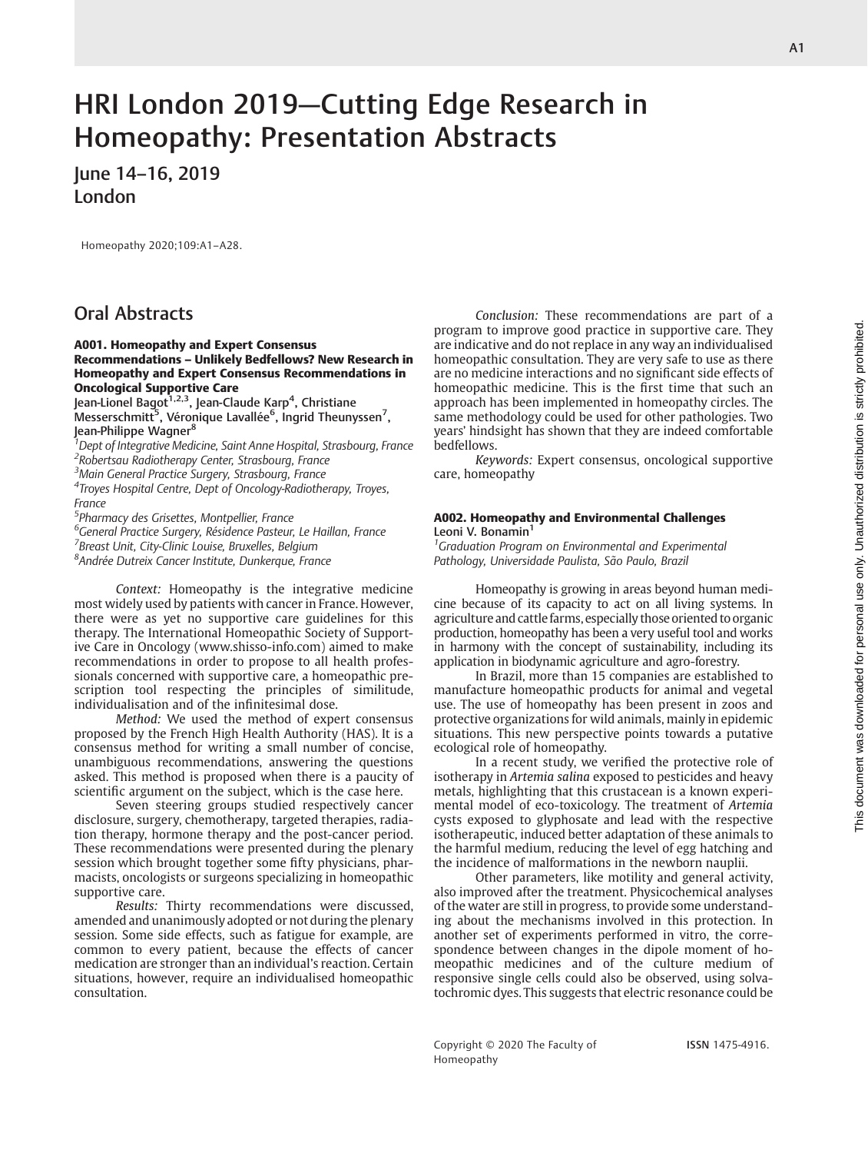# HRI London 2019—Cutting Edge Research in Homeopathy: Presentation Abstracts

# June 14–16, 2019 London

Homeopathy 2020;109:A1–A28.

# Oral Abstracts

#### A001. Homeopathy and Expert Consensus Recommendations – Unlikely Bedfellows? New Research in Homeopathy and Expert Consensus Recommendations in Oncological Supportive Care

Jean-Lionel Bagot<sup>1,2,3</sup>, Jean-Claude Karp<sup>4</sup>, Christiane Messerschmitt<sup>5</sup>, Véronique Lavallée<sup>6</sup>, İngrid Theunyssen<sup>7</sup>, Jean-Philippe Wagner<sup>8</sup>

<sup>1</sup> Dept of Integrative Medicine, Saint Anne Hospital, Strasbourg, France

<sup>2</sup>Robertsau Radiotherapy Center, Strasbourg, France

<sup>3</sup>Main General Practice Surgery, Strasbourg, France 4 Troyes Hospital Centre, Dept of Oncology-Radiotherapy, Troyes, France

<sup>5</sup>Pharmacy des Grisettes, Montpellier, France

<sup>6</sup>General Practice Surgery, Résidence Pasteur, Le Haillan, France <sup>7</sup> Breast Unit, City-Clinic Louise, Bruxelles, Belgium

8 Andrée Dutreix Cancer Institute, Dunkerque, France

Context: Homeopathy is the integrative medicine most widely used by patients with cancer in France. However, there were as yet no supportive care guidelines for this therapy. The International Homeopathic Society of Supportive Care in Oncology (www.shisso-info.com) aimed to make recommendations in order to propose to all health professionals concerned with supportive care, a homeopathic prescription tool respecting the principles of similitude, individualisation and of the infinitesimal dose.

Method: We used the method of expert consensus proposed by the French High Health Authority (HAS). It is a consensus method for writing a small number of concise, unambiguous recommendations, answering the questions asked. This method is proposed when there is a paucity of scientific argument on the subject, which is the case here.

Seven steering groups studied respectively cancer disclosure, surgery, chemotherapy, targeted therapies, radiation therapy, hormone therapy and the post-cancer period. These recommendations were presented during the plenary session which brought together some fifty physicians, pharmacists, oncologists or surgeons specializing in homeopathic supportive care.

Results: Thirty recommendations were discussed, amended and unanimously adopted or not during the plenary session. Some side effects, such as fatigue for example, are common to every patient, because the effects of cancer medication are stronger than an individual's reaction. Certain situations, however, require an individualised homeopathic consultation.

Conclusion: These recommendations are part of a program to improve good practice in supportive care. They are indicative and do not replace in any way an individualised homeopathic consultation. They are very safe to use as there are no medicine interactions and no significant side effects of homeopathic medicine. This is the first time that such an approach has been implemented in homeopathy circles. The same methodology could be used for other pathologies. Two years' hindsight has shown that they are indeed comfortable bedfellows.

Keywords: Expert consensus, oncological supportive care, homeopathy

#### A002. Homeopathy and Environmental Challenges Leoni V. Bonamin<sup>1</sup>

<sup>1</sup> Graduation Program on Environmental and Experimental Pathology, Universidade Paulista, São Paulo, Brazil

Homeopathy is growing in areas beyond human medicine because of its capacity to act on all living systems. In agriculture and cattle farms, especially those oriented to organic production, homeopathy has been a very useful tool and works in harmony with the concept of sustainability, including its application in biodynamic agriculture and agro-forestry.

In Brazil, more than 15 companies are established to manufacture homeopathic products for animal and vegetal use. The use of homeopathy has been present in zoos and protective organizations for wild animals, mainly in epidemic situations. This new perspective points towards a putative ecological role of homeopathy.

In a recent study, we verified the protective role of isotherapy in Artemia salina exposed to pesticides and heavy metals, highlighting that this crustacean is a known experimental model of eco-toxicology. The treatment of Artemia cysts exposed to glyphosate and lead with the respective isotherapeutic, induced better adaptation of these animals to the harmful medium, reducing the level of egg hatching and the incidence of malformations in the newborn nauplii.

Other parameters, like motility and general activity, also improved after the treatment. Physicochemical analyses of the water are still in progress, to provide some understanding about the mechanisms involved in this protection. In another set of experiments performed in vitro, the correspondence between changes in the dipole moment of homeopathic medicines and of the culture medium of responsive single cells could also be observed, using solvatochromic dyes. This suggests that electric resonance could be

Copyright © 2020 The Faculty of Homeopathy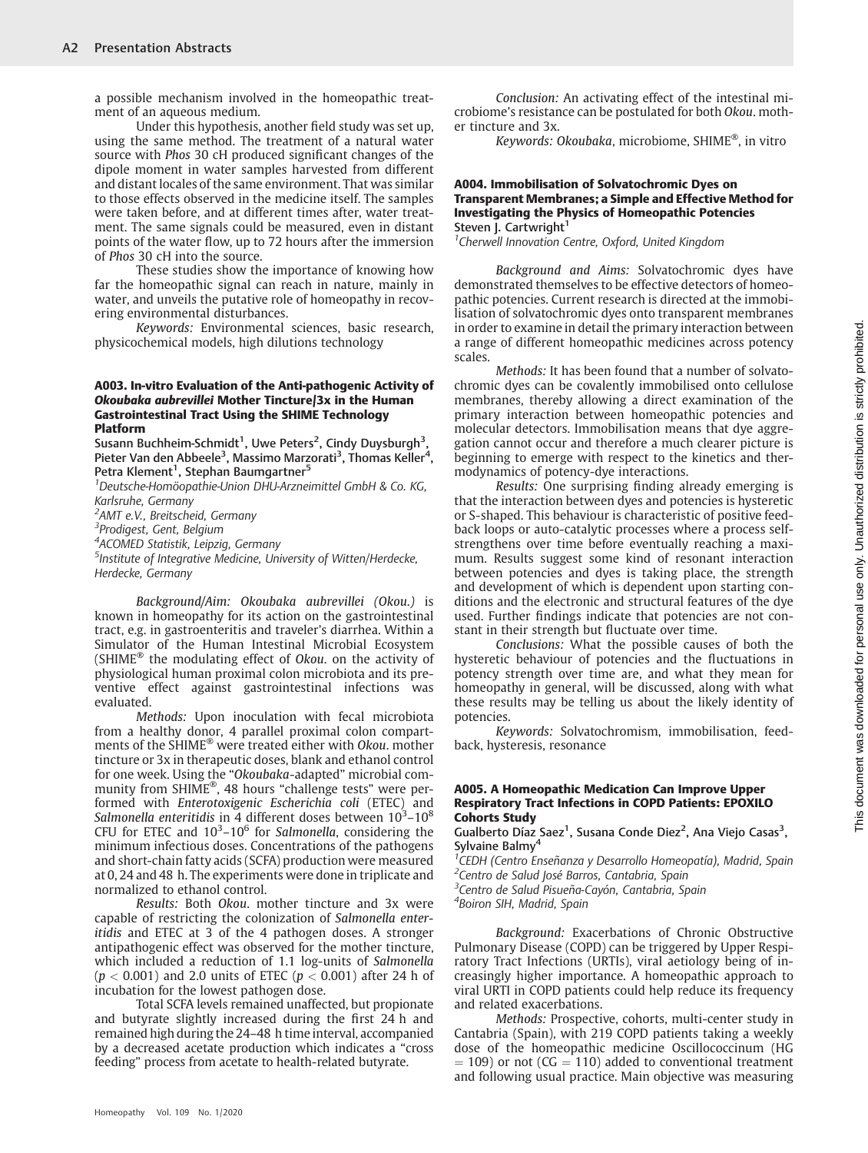a possible mechanism involved in the homeopathic treatment of an aqueous medium.

Under this hypothesis, another field study was set up, using the same method. The treatment of a natural water source with Phos 30 cH produced significant changes of the dipole moment in water samples harvested from different and distant locales of the same environment. That was similar to those effects observed in the medicine itself. The samples were taken before, and at different times after, water treatment. The same signals could be measured, even in distant points of the water flow, up to 72 hours after the immersion of Phos 30 cH into the source.

These studies show the importance of knowing how far the homeopathic signal can reach in nature, mainly in water, and unveils the putative role of homeopathy in recovering environmental disturbances.

Keywords: Environmental sciences, basic research, physicochemical models, high dilutions technology

#### A003. In-vitro Evaluation of the Anti-pathogenic Activity of Okoubaka aubrevillei Mother Tincture/3x in the Human Gastrointestinal Tract Using the SHIME Technology Platform

Susann Buchheim-Schmidt<sup>1</sup>, Uwe Peters<sup>2</sup>, Cindy Duysburgh<sup>3</sup>, Pieter Van den Abbeele<sup>3</sup>, Massimo Marzorati<sup>3</sup>, Thomas Keller<sup>4</sup>, Petra Klement<sup>1</sup>, Stephan Baumgartner<sup>5</sup>

1 Deutsche-Homöopathie-Union DHU-Arzneimittel GmbH & Co. KG, Karlsruhe, Germany

<sup>2</sup>AMT e.V., Breitscheid, Germany

<sup>3</sup>Prodigest, Gent, Belgium

4 ACOMED Statistik, Leipzig, Germany

<sup>5</sup>Institute of Integrative Medicine, University of Witten/Herdecke, Herdecke, Germany

Background/Aim: Okoubaka aubrevillei (Okou.) is known in homeopathy for its action on the gastrointestinal tract, e.g. in gastroenteritis and traveler's diarrhea. Within a Simulator of the Human Intestinal Microbial Ecosystem (SHIME® the modulating effect of Okou. on the activity of physiological human proximal colon microbiota and its preventive effect against gastrointestinal infections was evaluated.

Methods: Upon inoculation with fecal microbiota from a healthy donor, 4 parallel proximal colon compartments of the SHIME® were treated either with Okou. mother tincture or 3x in therapeutic doses, blank and ethanol control for one week. Using the "Okoubaka-adapted" microbial community from SHIME®, 48 hours "challenge tests" were performed with Enterotoxigenic Escherichia coli (ETEC) and Salmonella enteritidis in 4 different doses between  $10^3$ – $10^8$ CFU for ETEC and  $10^3 - 10^6$  for Salmonella, considering the minimum infectious doses. Concentrations of the pathogens and short-chain fatty acids (SCFA) production were measured at 0, 24 and 48 h. The experiments were done in triplicate and normalized to ethanol control.

Results: Both Okou. mother tincture and 3x were capable of restricting the colonization of Salmonella enteritidis and ETEC at 3 of the 4 pathogen doses. A stronger antipathogenic effect was observed for the mother tincture, which included a reduction of 1.1 log-units of Salmonella  $(p < 0.001)$  and 2.0 units of ETEC  $(p < 0.001)$  after 24 h of incubation for the lowest pathogen dose.

Total SCFA levels remained unaffected, but propionate and butyrate slightly increased during the first 24 h and remained high during the 24–48 h time interval, accompanied by a decreased acetate production which indicates a "cross feeding" process from acetate to health-related butyrate.

Conclusion: An activating effect of the intestinal microbiome's resistance can be postulated for both Okou. mother tincture and 3x.

Keywords: Okoubaka, microbiome, SHIME®, in vitro

#### A004. Immobilisation of Solvatochromic Dyes on Transparent Membranes; a Simple and Effective Method for Investigating the Physics of Homeopathic Potencies Steven J. Cartwright<sup>1</sup>

<sup>1</sup> Cherwell Innovation Centre, Oxford, United Kingdom

Background and Aims: Solvatochromic dyes have demonstrated themselves to be effective detectors of homeopathic potencies. Current research is directed at the immobilisation of solvatochromic dyes onto transparent membranes in order to examine in detail the primary interaction between a range of different homeopathic medicines across potency scales.

Methods: It has been found that a number of solvatochromic dyes can be covalently immobilised onto cellulose membranes, thereby allowing a direct examination of the primary interaction between homeopathic potencies and molecular detectors. Immobilisation means that dye aggregation cannot occur and therefore a much clearer picture is beginning to emerge with respect to the kinetics and thermodynamics of potency-dye interactions.

Results: One surprising finding already emerging is that the interaction between dyes and potencies is hysteretic or S-shaped. This behaviour is characteristic of positive feedback loops or auto-catalytic processes where a process selfstrengthens over time before eventually reaching a maximum. Results suggest some kind of resonant interaction between potencies and dyes is taking place, the strength and development of which is dependent upon starting conditions and the electronic and structural features of the dye used. Further findings indicate that potencies are not constant in their strength but fluctuate over time.

Conclusions: What the possible causes of both the hysteretic behaviour of potencies and the fluctuations in potency strength over time are, and what they mean for homeopathy in general, will be discussed, along with what these results may be telling us about the likely identity of potencies.

Keywords: Solvatochromism, immobilisation, feedback, hysteresis, resonance

#### A005. A Homeopathic Medication Can Improve Upper Respiratory Tract Infections in COPD Patients: EPOXILO Cohorts Study

Gualberto Díaz Saez<sup>1</sup>, Susana Conde Diez<sup>2</sup>, Ana Viejo Casas<sup>3</sup>, Sylvaine Balmy<sup>4</sup>

1 CEDH (Centro Enseñanza y Desarrollo Homeopatía), Madrid, Spain <sup>2</sup> Centro de Salud José Barros, Cantabria, Spain

<sup>3</sup>Centro de Salud Pisueña-Cayón, Cantabria, Spain

<sup>4</sup>Boiron SIH, Madrid, Spain

Background: Exacerbations of Chronic Obstructive Pulmonary Disease (COPD) can be triggered by Upper Respiratory Tract Infections (URTIs), viral aetiology being of increasingly higher importance. A homeopathic approach to viral URTI in COPD patients could help reduce its frequency and related exacerbations.

Methods: Prospective, cohorts, multi-center study in Cantabria (Spain), with 219 COPD patients taking a weekly dose of the homeopathic medicine Oscillococcinum (HG  $=$  109) or not (CG  $=$  110) added to conventional treatment and following usual practice. Main objective was measuring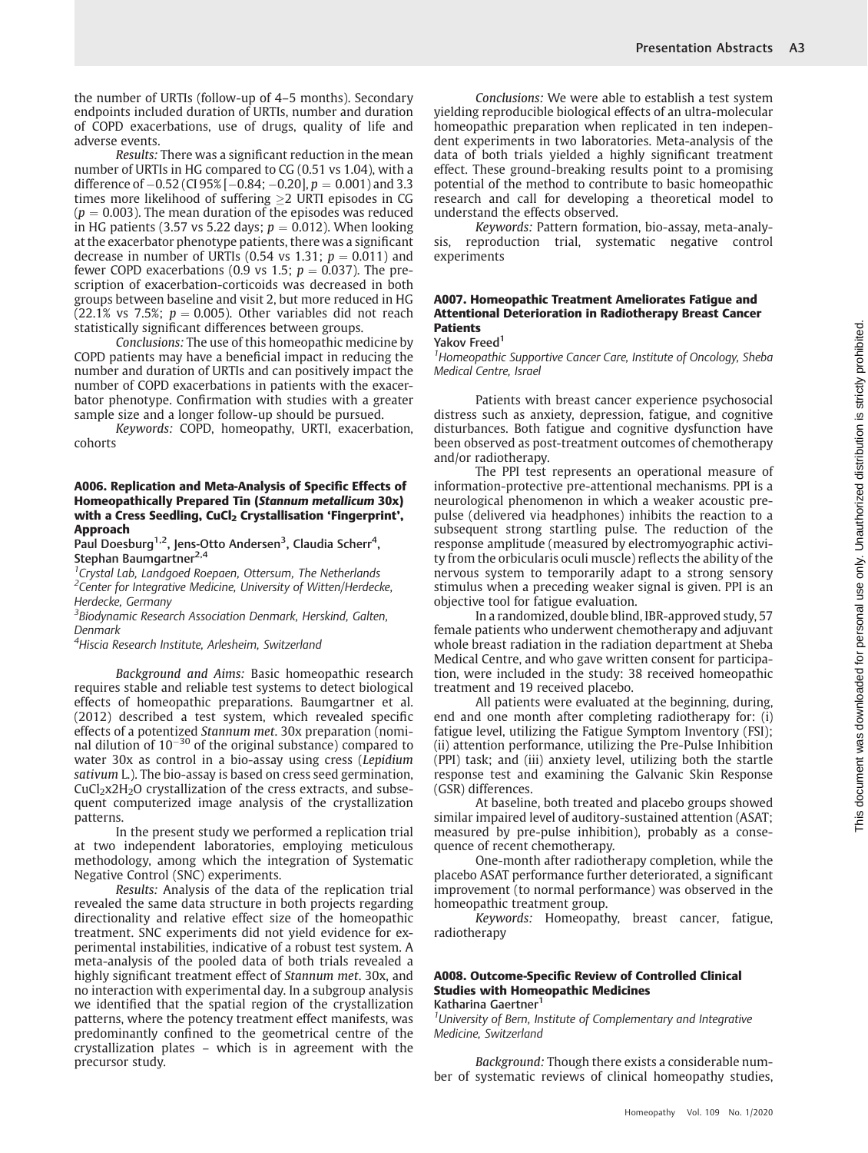the number of URTIs (follow-up of 4–5 months). Secondary endpoints included duration of URTIs, number and duration of COPD exacerbations, use of drugs, quality of life and adverse events.

Results: There was a significant reduction in the mean number of URTIs in HG compared to CG (0.51 vs 1.04), with a difference of  $-0.52$  (CI 95%  $[-0.84; -0.20]$ ,  $p = 0.001$ ) and 3.3 times more likelihood of suffering  $\geq$  URTI episodes in CG  $(p = 0.003)$ . The mean duration of the episodes was reduced in HG patients (3.57 vs 5.22 days;  $p = 0.012$ ). When looking at the exacerbator phenotype patients, there was a significant decrease in number of URTIs (0.54 vs 1.31;  $p = 0.011$ ) and fewer COPD exacerbations (0.9 vs 1.5;  $p = 0.037$ ). The prescription of exacerbation-corticoids was decreased in both groups between baseline and visit 2, but more reduced in HG (22.1% vs 7.5%;  $p = 0.005$ ). Other variables did not reach statistically significant differences between groups.

Conclusions: The use of this homeopathic medicine by COPD patients may have a beneficial impact in reducing the number and duration of URTIs and can positively impact the number of COPD exacerbations in patients with the exacerbator phenotype. Confirmation with studies with a greater sample size and a longer follow-up should be pursued.

Keywords: COPD, homeopathy, URTI, exacerbation, cohorts

#### A006. Replication and Meta-Analysis of Specific Effects of Homeopathically Prepared Tin (Stannum metallicum 30x) with a Cress Seedling, CuCl<sub>2</sub> Crystallisation 'Fingerprint', Approach

Paul Doesburg<sup>1,2</sup>, Jens-Otto Andersen<sup>3</sup>, Claudia Scherr<sup>4</sup>, Stephan Baumgartner<sup>2,4</sup>

<sup>1</sup> Crystal Lab, Landgoed Roepaen, Ottersum, The Netherlands <sup>2</sup>Center for Integrative Medicine, University of Witten/Herdecke, Herdecke, Germany

<sup>3</sup> Biodynamic Research Association Denmark, Herskind, Galten, Denmark

4 Hiscia Research Institute, Arlesheim, Switzerland

Background and Aims: Basic homeopathic research requires stable and reliable test systems to detect biological effects of homeopathic preparations. Baumgartner et al. (2012) described a test system, which revealed specific effects of a potentized Stannum met. 30x preparation (nominal dilution of  $10^{-30}$  of the original substance) compared to water 30x as control in a bio-assay using cress (Lepidium sativum L.). The bio-assay is based on cress seed germination,  $CuCl<sub>2</sub>x2H<sub>2</sub>O$  crystallization of the cress extracts, and subsequent computerized image analysis of the crystallization patterns.

In the present study we performed a replication trial at two independent laboratories, employing meticulous methodology, among which the integration of Systematic Negative Control (SNC) experiments.

Results: Analysis of the data of the replication trial revealed the same data structure in both projects regarding directionality and relative effect size of the homeopathic treatment. SNC experiments did not yield evidence for experimental instabilities, indicative of a robust test system. A meta-analysis of the pooled data of both trials revealed a highly significant treatment effect of Stannum met. 30x, and no interaction with experimental day. In a subgroup analysis we identified that the spatial region of the crystallization patterns, where the potency treatment effect manifests, was predominantly confined to the geometrical centre of the crystallization plates – which is in agreement with the precursor study.

Conclusions: We were able to establish a test system yielding reproducible biological effects of an ultra-molecular homeopathic preparation when replicated in ten independent experiments in two laboratories. Meta-analysis of the data of both trials yielded a highly significant treatment effect. These ground-breaking results point to a promising potential of the method to contribute to basic homeopathic research and call for developing a theoretical model to understand the effects observed.

Keywords: Pattern formation, bio-assay, meta-analysis, reproduction trial, systematic negative control experiments

#### A007. Homeopathic Treatment Ameliorates Fatigue and Attentional Deterioration in Radiotherapy Breast Cancer **Patients**

#### Yakov Freed<sup>1</sup>

<sup>1</sup> Homeopathic Supportive Cancer Care, Institute of Oncology, Sheba Medical Centre, Israel

Patients with breast cancer experience psychosocial distress such as anxiety, depression, fatigue, and cognitive disturbances. Both fatigue and cognitive dysfunction have been observed as post-treatment outcomes of chemotherapy and/or radiotherapy.

The PPI test represents an operational measure of information-protective pre-attentional mechanisms. PPI is a neurological phenomenon in which a weaker acoustic prepulse (delivered via headphones) inhibits the reaction to a subsequent strong startling pulse. The reduction of the response amplitude (measured by electromyographic activity from the orbicularis oculi muscle) reflects the ability of the nervous system to temporarily adapt to a strong sensory stimulus when a preceding weaker signal is given. PPI is an objective tool for fatigue evaluation.

In a randomized, double blind, IBR-approved study, 57 female patients who underwent chemotherapy and adjuvant whole breast radiation in the radiation department at Sheba Medical Centre, and who gave written consent for participation, were included in the study: 38 received homeopathic treatment and 19 received placebo.

All patients were evaluated at the beginning, during, end and one month after completing radiotherapy for: (i) fatigue level, utilizing the Fatigue Symptom Inventory (FSI); (ii) attention performance, utilizing the Pre-Pulse Inhibition (PPI) task; and (iii) anxiety level, utilizing both the startle response test and examining the Galvanic Skin Response (GSR) differences.

At baseline, both treated and placebo groups showed similar impaired level of auditory-sustained attention (ASAT; measured by pre-pulse inhibition), probably as a consequence of recent chemotherapy.

One-month after radiotherapy completion, while the placebo ASAT performance further deteriorated, a significant improvement (to normal performance) was observed in the homeopathic treatment group.

Keywords: Homeopathy, breast cancer, fatigue, radiotherapy

# A008. Outcome-Specific Review of Controlled Clinical Studies with Homeopathic Medicines

Katharina Gaertner<sup>1</sup>

<sup>1</sup>University of Bern, Institute of Complementary and Integrative Medicine, Switzerland

Background: Though there exists a considerable number of systematic reviews of clinical homeopathy studies,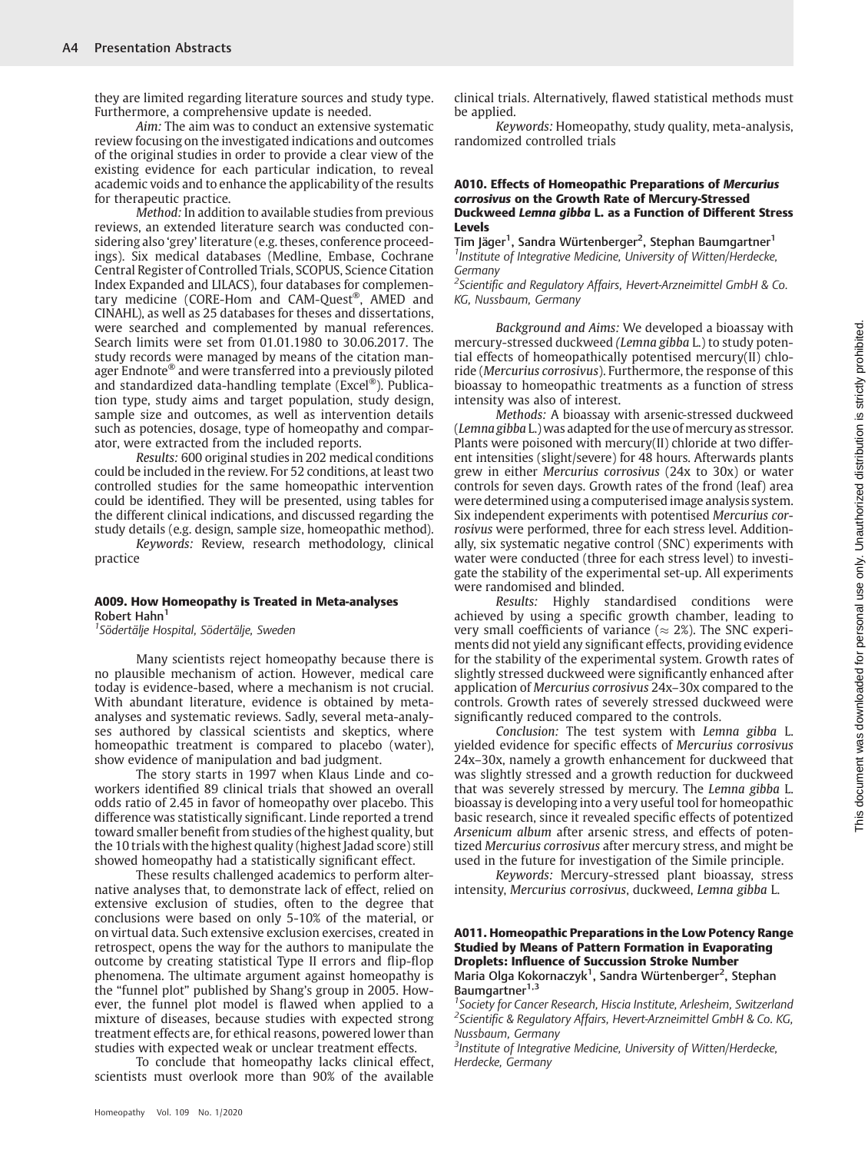they are limited regarding literature sources and study type. Furthermore, a comprehensive update is needed.

Aim: The aim was to conduct an extensive systematic review focusing on the investigated indications and outcomes of the original studies in order to provide a clear view of the existing evidence for each particular indication, to reveal academic voids and to enhance the applicability of the results for therapeutic practice.

Method: In addition to available studies from previous reviews, an extended literature search was conducted considering also 'grey' literature (e.g. theses, conference proceedings). Six medical databases (Medline, Embase, Cochrane Central Register of Controlled Trials, SCOPUS, Science Citation Index Expanded and LILACS), four databases for complementary medicine (CORE-Hom and CAM-Quest®, AMED and CINAHL), as well as 25 databases for theses and dissertations, were searched and complemented by manual references. Search limits were set from 01.01.1980 to 30.06.2017. The study records were managed by means of the citation manager Endnote® and were transferred into a previously piloted and standardized data-handling template (Excel®). Publication type, study aims and target population, study design, sample size and outcomes, as well as intervention details such as potencies, dosage, type of homeopathy and comparator, were extracted from the included reports.

Results: 600 original studies in 202 medical conditions could be included in the review. For 52 conditions, at least two controlled studies for the same homeopathic intervention could be identified. They will be presented, using tables for the different clinical indications, and discussed regarding the study details (e.g. design, sample size, homeopathic method).

Keywords: Review, research methodology, clinical practice

#### A009. How Homeopathy is Treated in Meta-analyses Robert Hahn<sup>1</sup>

<sup>1</sup> Södertälje Hospital, Södertälje, Sweden

Many scientists reject homeopathy because there is no plausible mechanism of action. However, medical care today is evidence-based, where a mechanism is not crucial. With abundant literature, evidence is obtained by metaanalyses and systematic reviews. Sadly, several meta-analyses authored by classical scientists and skeptics, where homeopathic treatment is compared to placebo (water), show evidence of manipulation and bad judgment.

The story starts in 1997 when Klaus Linde and coworkers identified 89 clinical trials that showed an overall odds ratio of 2.45 in favor of homeopathy over placebo. This difference was statistically significant. Linde reported a trend toward smaller benefit from studies of the highest quality, but the 10 trials with the highest quality (highest Jadad score) still showed homeopathy had a statistically significant effect.

These results challenged academics to perform alternative analyses that, to demonstrate lack of effect, relied on extensive exclusion of studies, often to the degree that conclusions were based on only 5-10% of the material, or on virtual data. Such extensive exclusion exercises, created in retrospect, opens the way for the authors to manipulate the outcome by creating statistical Type II errors and flip-flop phenomena. The ultimate argument against homeopathy is the "funnel plot" published by Shang's group in 2005. However, the funnel plot model is flawed when applied to a mixture of diseases, because studies with expected strong treatment effects are, for ethical reasons, powered lower than studies with expected weak or unclear treatment effects.

To conclude that homeopathy lacks clinical effect, scientists must overlook more than 90% of the available clinical trials. Alternatively, flawed statistical methods must be applied.

Keywords: Homeopathy, study quality, meta-analysis, randomized controlled trials

#### A010. Effects of Homeopathic Preparations of Mercurius corrosivus on the Growth Rate of Mercury-Stressed Duckweed Lemna gibba L. as a Function of Different Stress Levels

Tim Jäger<sup>1</sup>, Sandra Würtenberger<sup>2</sup>, Stephan Baumgartner<sup>1</sup> <sup>1</sup> Institute of Integrative Medicine, University of Witten/Herdecke, **Germany** 

<sup>2</sup>Scientific and Regulatory Affairs, Hevert-Arzneimittel GmbH & Co. KG, Nussbaum, Germany

Background and Aims: We developed a bioassay with mercury-stressed duckweed (Lemna gibba L.) to study potential effects of homeopathically potentised mercury(II) chloride (Mercurius corrosivus). Furthermore, the response of this bioassay to homeopathic treatments as a function of stress intensity was also of interest.

Methods: A bioassay with arsenic-stressed duckweed (Lemna gibba L.) was adapted for the use of mercury as stressor. Plants were poisoned with mercury(II) chloride at two different intensities (slight/severe) for 48 hours. Afterwards plants grew in either Mercurius corrosivus (24x to 30x) or water controls for seven days. Growth rates of the frond (leaf) area were determined using a computerised image analysis system. Six independent experiments with potentised Mercurius corrosivus were performed, three for each stress level. Additionally, six systematic negative control (SNC) experiments with water were conducted (three for each stress level) to investigate the stability of the experimental set-up. All experiments were randomised and blinded.

Results: Highly standardised conditions were achieved by using a specific growth chamber, leading to very small coefficients of variance ( $\approx$  2%). The SNC experiments did not yield any significant effects, providing evidence for the stability of the experimental system. Growth rates of slightly stressed duckweed were significantly enhanced after application of Mercurius corrosivus 24x–30x compared to the controls. Growth rates of severely stressed duckweed were significantly reduced compared to the controls.

Conclusion: The test system with Lemna gibba L. yielded evidence for specific effects of Mercurius corrosivus 24x–30x, namely a growth enhancement for duckweed that was slightly stressed and a growth reduction for duckweed that was severely stressed by mercury. The Lemna gibba L. bioassay is developing into a very useful tool for homeopathic basic research, since it revealed specific effects of potentized Arsenicum album after arsenic stress, and effects of potentized Mercurius corrosivus after mercury stress, and might be used in the future for investigation of the Simile principle.

Keywords: Mercury-stressed plant bioassay, stress intensity, Mercurius corrosivus, duckweed, Lemna gibba L.

#### A011. Homeopathic Preparations in the Low Potency Range Studied by Means of Pattern Formation in Evaporating Droplets: Influence of Succussion Stroke Number Maria Olga Kokornaczyk<sup>1</sup>, Sandra Würtenberger<sup>2</sup>, Stephan Baumgartner<sup>1,3</sup>

<sup>1</sup> Society for Cancer Research, Hiscia Institute, Arlesheim, Switzerland <sup>2</sup>Scientific & Regulatory Affairs, Hevert-Arzneimittel GmbH & Co. KG, Nussbaum, Germany

<sup>3</sup> Institute of Integrative Medicine, University of Witten/Herdecke, Herdecke, Germany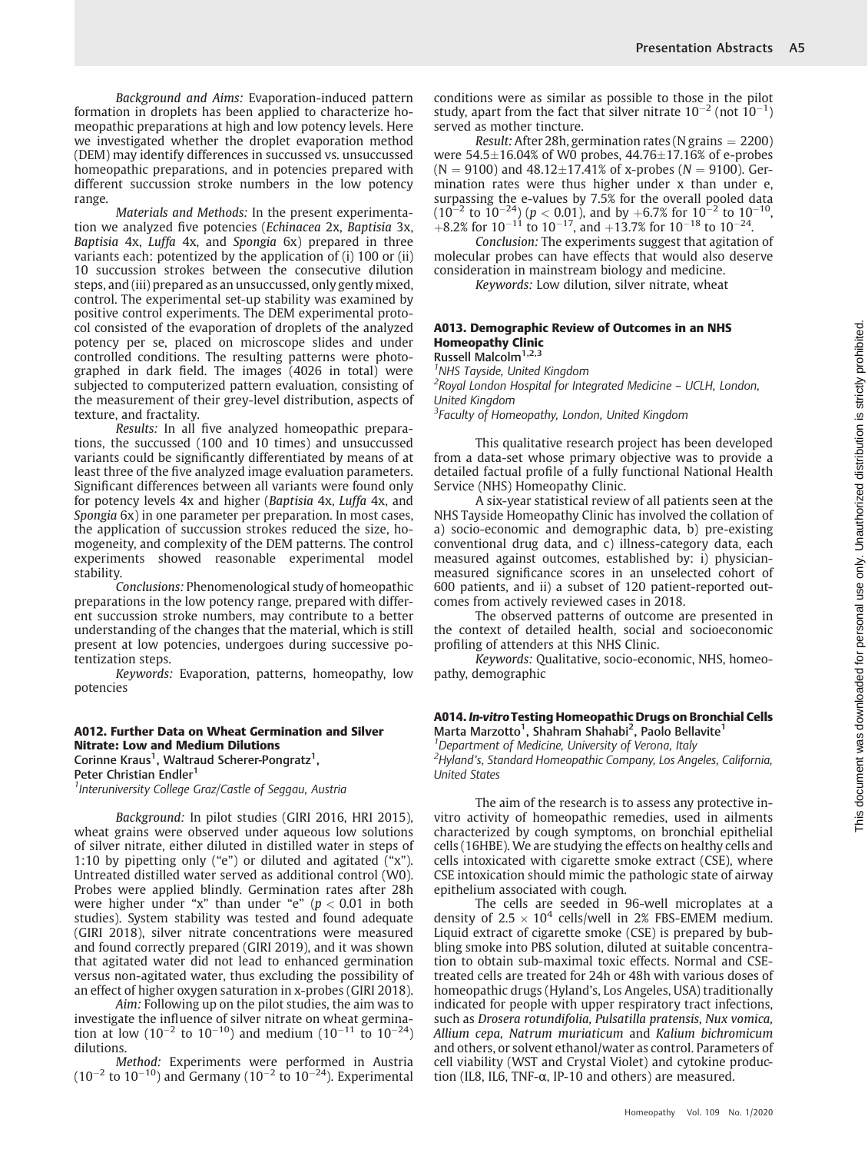Background and Aims: Evaporation-induced pattern formation in droplets has been applied to characterize homeopathic preparations at high and low potency levels. Here we investigated whether the droplet evaporation method (DEM) may identify differences in succussed vs. unsuccussed homeopathic preparations, and in potencies prepared with different succussion stroke numbers in the low potency range.

Materials and Methods: In the present experimentation we analyzed five potencies (Echinacea 2x, Baptisia 3x, Baptisia 4x, Luffa 4x, and Spongia 6x) prepared in three variants each: potentized by the application of (i) 100 or (ii) 10 succussion strokes between the consecutive dilution steps, and (iii) prepared as an unsuccussed, only gently mixed, control. The experimental set-up stability was examined by positive control experiments. The DEM experimental protocol consisted of the evaporation of droplets of the analyzed potency per se, placed on microscope slides and under controlled conditions. The resulting patterns were photographed in dark field. The images (4026 in total) were subjected to computerized pattern evaluation, consisting of the measurement of their grey-level distribution, aspects of texture, and fractality.

Results: In all five analyzed homeopathic preparations, the succussed (100 and 10 times) and unsuccussed variants could be significantly differentiated by means of at least three of the five analyzed image evaluation parameters. Significant differences between all variants were found only for potency levels 4x and higher (Baptisia 4x, Luffa 4x, and Spongia 6x) in one parameter per preparation. In most cases, the application of succussion strokes reduced the size, homogeneity, and complexity of the DEM patterns. The control experiments showed reasonable experimental model stability.

Conclusions: Phenomenological study of homeopathic preparations in the low potency range, prepared with different succussion stroke numbers, may contribute to a better understanding of the changes that the material, which is still present at low potencies, undergoes during successive potentization steps.

Keywords: Evaporation, patterns, homeopathy, low potencies

#### A012. Further Data on Wheat Germination and Silver Nitrate: Low and Medium Dilutions

Corinne Kraus<sup>1</sup>, Waltraud Scherer-Pongratz<sup>1</sup>,

Peter Christian Endler<sup>1</sup>

<sup>1</sup> Interuniversity College Graz/Castle of Seggau, Austria

Background: In pilot studies (GIRI 2016, HRI 2015), wheat grains were observed under aqueous low solutions of silver nitrate, either diluted in distilled water in steps of 1:10 by pipetting only ("e") or diluted and agitated ("x"). Untreated distilled water served as additional control (W0). Probes were applied blindly. Germination rates after 28h were higher under "x" than under "e" ( $p < 0.01$  in both studies). System stability was tested and found adequate (GIRI 2018), silver nitrate concentrations were measured and found correctly prepared (GIRI 2019), and it was shown that agitated water did not lead to enhanced germination versus non-agitated water, thus excluding the possibility of an effect of higher oxygen saturation in x-probes (GIRI 2018).

Aim: Following up on the pilot studies, the aim was to investigate the influence of silver nitrate on wheat germination at low (10<sup>-2</sup> to 10<sup>-10</sup>) and medium (10<sup>-11</sup> to 10<sup>-24</sup>) dilutions.

Method: Experiments were performed in Austria  $(10^{-2}$  to  $10^{-10})$  and Germany  $(10^{-2}$  to  $10^{-24})$ . Experimental conditions were as similar as possible to those in the pilot study, apart from the fact that silver nitrate  $10^{-2}$  (not  $10^{-1}$ ) served as mother tincture.

*Result:* After 28h, germination rates (N grains  $= 2200$ ) were  $54.5{\pm}16.04\%$  of W0 probes,  $44.76{\pm}17.16\%$  of e-probes  $(N = 9100)$  and  $48.12 \pm 17.41\%$  of x-probes  $(N = 9100)$ . Germination rates were thus higher under x than under e, surpassing the e-values by 7.5% for the overall pooled data  $(10^{-2} \text{ to } 10^{-24}) (p < 0.01)$ , and by  $+6.7\%$  for  $10^{-2}$  to  $10^{-10}$ ,  $+8.2\%$  for  $10^{-11}$  to  $10^{-17}$ , and  $+13.7\%$  for  $10^{-18}$  to  $10^{-24}$ .

Conclusion: The experiments suggest that agitation of molecular probes can have effects that would also deserve consideration in mainstream biology and medicine.

Keywords: Low dilution, silver nitrate, wheat

#### A013. Demographic Review of Outcomes in an NHS Homeopathy Clinic

Russell Malcolm<sup>1,2,3</sup> <sup>1</sup>NHS Tayside, United Kingdom <sup>2</sup> Royal London Hospital for Integrated Medicine - UCLH, London, United Kingdom

<sup>3</sup>Faculty of Homeopathy, London, United Kingdom

This qualitative research project has been developed from a data-set whose primary objective was to provide a detailed factual profile of a fully functional National Health Service (NHS) Homeopathy Clinic.

A six-year statistical review of all patients seen at the NHS Tayside Homeopathy Clinic has involved the collation of a) socio-economic and demographic data, b) pre-existing conventional drug data, and c) illness-category data, each measured against outcomes, established by: i) physicianmeasured significance scores in an unselected cohort of 600 patients, and ii) a subset of 120 patient-reported outcomes from actively reviewed cases in 2018.

The observed patterns of outcome are presented in the context of detailed health, social and socioeconomic profiling of attenders at this NHS Clinic.

Keywords: Qualitative, socio-economic, NHS, homeopathy, demographic

#### A014. In-vitroTesting Homeopathic Drugs on Bronchial Cells Marta Marzotto<sup>1</sup>, Shahram Shahabi<sup>2</sup>, Paolo Bellavite<sup>1</sup>

<sup>1</sup>Department of Medicine, University of Verona, Italy

<sup>2</sup>Hyland's, Standard Homeopathic Company, Los Angeles, California, United States

The aim of the research is to assess any protective invitro activity of homeopathic remedies, used in ailments characterized by cough symptoms, on bronchial epithelial cells (16HBE). We are studying the effects on healthy cells and cells intoxicated with cigarette smoke extract (CSE), where CSE intoxication should mimic the pathologic state of airway epithelium associated with cough.

The cells are seeded in 96-well microplates at a density of  $2.5 \times 10^4$  cells/well in 2% FBS-EMEM medium. Liquid extract of cigarette smoke (CSE) is prepared by bubbling smoke into PBS solution, diluted at suitable concentration to obtain sub-maximal toxic effects. Normal and CSEtreated cells are treated for 24h or 48h with various doses of homeopathic drugs (Hyland's, Los Angeles, USA) traditionally indicated for people with upper respiratory tract infections, such as Drosera rotundifolia, Pulsatilla pratensis, Nux vomica, Allium cepa, Natrum muriaticum and Kalium bichromicum and others, or solvent ethanol/water as control. Parameters of cell viability (WST and Crystal Violet) and cytokine production (IL8, IL6, TNF- $\alpha$ , IP-10 and others) are measured.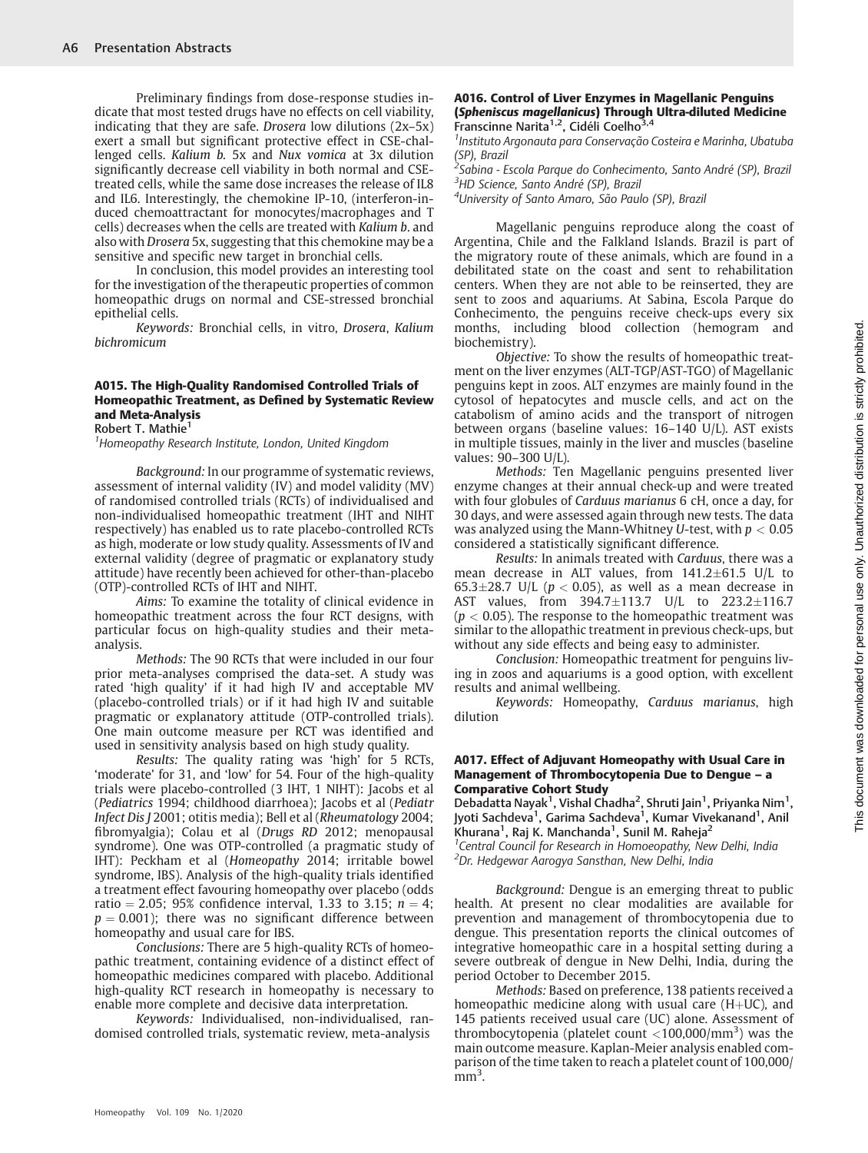Preliminary findings from dose-response studies indicate that most tested drugs have no effects on cell viability, indicating that they are safe. Drosera low dilutions (2x–5x) exert a small but significant protective effect in CSE-challenged cells. Kalium b. 5x and Nux vomica at 3x dilution significantly decrease cell viability in both normal and CSEtreated cells, while the same dose increases the release of IL8 and IL6. Interestingly, the chemokine IP-10, (interferon-induced chemoattractant for monocytes/macrophages and T cells) decreases when the cells are treated with Kalium b. and also with Drosera 5x, suggesting that this chemokine may be a sensitive and specific new target in bronchial cells.

In conclusion, this model provides an interesting tool for the investigation of the therapeutic properties of common homeopathic drugs on normal and CSE-stressed bronchial epithelial cells.

Keywords: Bronchial cells, in vitro, Drosera, Kalium bichromicum

# A015. The High-Quality Randomised Controlled Trials of Homeopathic Treatment, as Defined by Systematic Review and Meta-Analysis

Robert T. Mathie<sup>1</sup>

<sup>1</sup> Homeopathy Research Institute, London, United Kingdom

Background: In our programme of systematic reviews, assessment of internal validity (IV) and model validity (MV) of randomised controlled trials (RCTs) of individualised and non-individualised homeopathic treatment (IHT and NIHT respectively) has enabled us to rate placebo-controlled RCTs as high, moderate or low study quality. Assessments of IV and external validity (degree of pragmatic or explanatory study attitude) have recently been achieved for other-than-placebo (OTP)-controlled RCTs of IHT and NIHT.

Aims: To examine the totality of clinical evidence in homeopathic treatment across the four RCT designs, with particular focus on high-quality studies and their metaanalysis.

Methods: The 90 RCTs that were included in our four prior meta-analyses comprised the data-set. A study was rated 'high quality' if it had high IV and acceptable MV (placebo-controlled trials) or if it had high IV and suitable pragmatic or explanatory attitude (OTP-controlled trials). One main outcome measure per RCT was identified and used in sensitivity analysis based on high study quality.

Results: The quality rating was 'high' for 5 RCTs, 'moderate' for 31, and 'low' for 54. Four of the high-quality trials were placebo-controlled (3 IHT, 1 NIHT): Jacobs et al (Pediatrics 1994; childhood diarrhoea); Jacobs et al (Pediatr Infect Dis J 2001; otitis media); Bell et al (Rheumatology 2004; fibromyalgia); Colau et al (Drugs RD 2012; menopausal syndrome). One was OTP-controlled (a pragmatic study of IHT): Peckham et al (Homeopathy 2014; irritable bowel syndrome, IBS). Analysis of the high-quality trials identified a treatment effect favouring homeopathy over placebo (odds ratio = 2.05; 95% confidence interval, 1.33 to 3.15;  $n = 4$ ;  $p = 0.001$ ; there was no significant difference between homeopathy and usual care for IBS.

Conclusions: There are 5 high-quality RCTs of homeopathic treatment, containing evidence of a distinct effect of homeopathic medicines compared with placebo. Additional high-quality RCT research in homeopathy is necessary to enable more complete and decisive data interpretation.

Keywords: Individualised, non-individualised, randomised controlled trials, systematic review, meta-analysis

#### A016. Control of Liver Enzymes in Magellanic Penguins (Spheniscus magellanicus) Through Ultra-diluted Medicine Franscinne Narita<sup>1,2</sup>, Cidéli Coelho<sup>3,4</sup>

1 Instituto Argonauta para Conservação Costeira e Marinha, Ubatuba (SP), Brazil

<sup>2</sup>Sabina - Escola Parque do Conhecimento, Santo André (SP), Brazil <sup>3</sup>HD Science, Santo André (SP), Brazil

<sup>4</sup>University of Santo Amaro, São Paulo (SP), Brazi

Magellanic penguins reproduce along the coast of Argentina, Chile and the Falkland Islands. Brazil is part of the migratory route of these animals, which are found in a debilitated state on the coast and sent to rehabilitation centers. When they are not able to be reinserted, they are sent to zoos and aquariums. At Sabina, Escola Parque do Conhecimento, the penguins receive check-ups every six months, including blood collection (hemogram and biochemistry).

Objective: To show the results of homeopathic treatment on the liver enzymes (ALT-TGP/AST-TGO) of Magellanic penguins kept in zoos. ALT enzymes are mainly found in the cytosol of hepatocytes and muscle cells, and act on the catabolism of amino acids and the transport of nitrogen between organs (baseline values: 16–140 U/L). AST exists in multiple tissues, mainly in the liver and muscles (baseline values: 90–300 U/L).

Methods: Ten Magellanic penguins presented liver enzyme changes at their annual check-up and were treated with four globules of Carduus marianus 6 cH, once a day, for 30 days, and were assessed again through new tests. The data was analyzed using the Mann-Whitney U-test, with  $p < 0.05$ considered a statistically significant difference.

Results: In animals treated with Carduus, there was a mean decrease in ALT values, from  $141.2 \pm 61.5$  U/L to 65.3 $\pm$ 28.7 U/L ( $p < 0.05$ ), as well as a mean decrease in AST values, from  $394.7 \pm 113.7$  U/L to  $223.2 \pm 116.7$  $(p < 0.05)$ . The response to the homeopathic treatment was similar to the allopathic treatment in previous check-ups, but without any side effects and being easy to administer.

Conclusion: Homeopathic treatment for penguins living in zoos and aquariums is a good option, with excellent results and animal wellbeing.

Keywords: Homeopathy, Carduus marianus, high dilution

#### A017. Effect of Adjuvant Homeopathy with Usual Care in Management of Thrombocytopenia Due to Dengue – a Comparative Cohort Study

Debadatta Nayak<sup>1</sup>, Vishal Chadha<sup>2</sup>, Shruti Jain<sup>1</sup>, Priyanka Nim<sup>1</sup>, Jyoti Sachdeva<sup>1</sup>, Garima Sachdeva<sup>1</sup>, Kumar Vivekanand<sup>1</sup>, Anil ..<br>Khurana<sup>1</sup>, Raj K. Manchanda<sup>1</sup>, Sunil M. Raheja<sup>2</sup>

<sup>1</sup> Central Council for Research in Homoeopathy, New Delhi, India <sup>2</sup>Dr. Hedgewar Aarogya Sansthan, New Delhi, India

Background: Dengue is an emerging threat to public health. At present no clear modalities are available for prevention and management of thrombocytopenia due to dengue. This presentation reports the clinical outcomes of integrative homeopathic care in a hospital setting during a severe outbreak of dengue in New Delhi, India, during the period October to December 2015.

Methods: Based on preference, 138 patients received a homeopathic medicine along with usual care  $(H+UC)$ , and 145 patients received usual care (UC) alone. Assessment of thrombocytopenia (platelet count  $\langle$  100,000/mm<sup>3</sup>) was the main outcome measure. Kaplan-Meier analysis enabled comparison of the time taken to reach a platelet count of 100,000/  $\mathrm{mm}^3$ .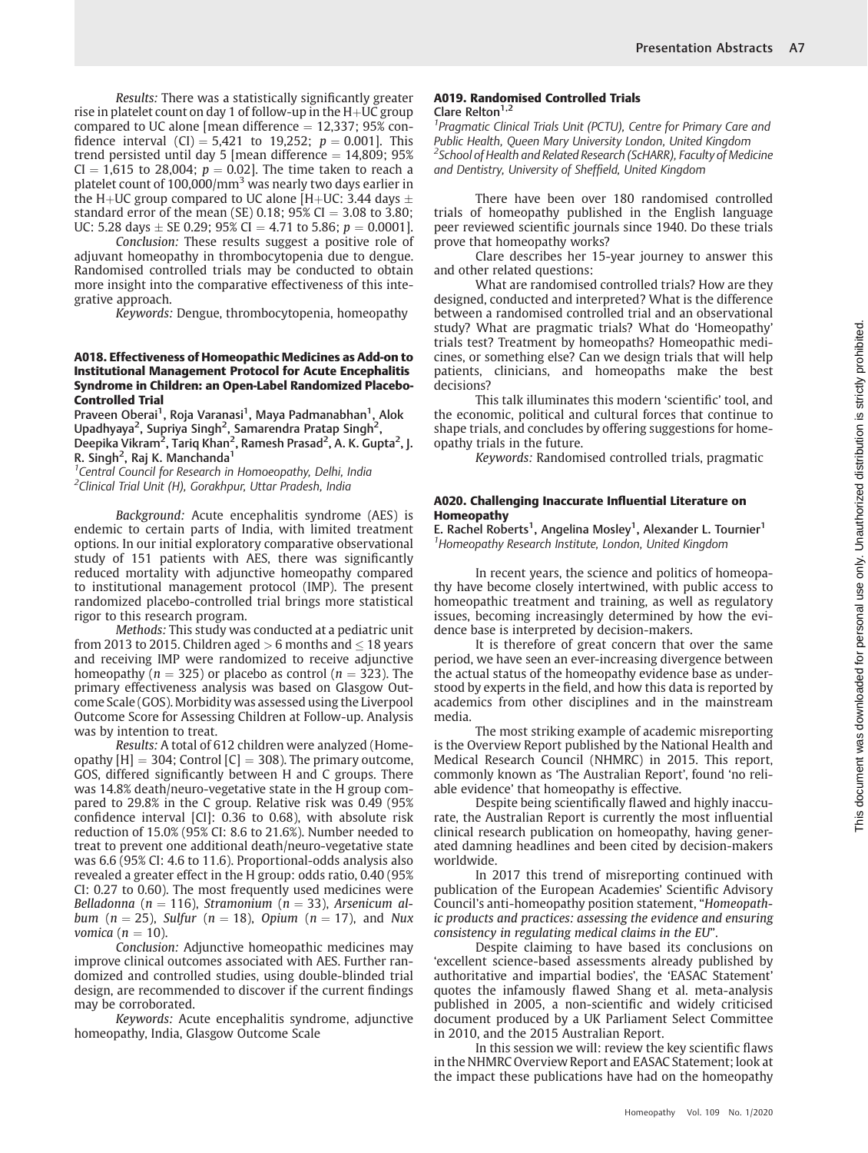Results: There was a statistically significantly greater rise in platelet count on day 1 of follow-up in the  $H+UC$  group compared to UC alone [mean difference  $= 12,337$ ; 95% confidence interval (CI) = 5,421 to 19,252;  $p = 0.001$ . This trend persisted until day 5 [mean difference  $= 14,809$ ; 95%  $CI = 1,615$  to 28,004;  $p = 0.02$ ]. The time taken to reach a platelet count of  $100,000/\text{mm}^3$  was nearly two days earlier in the H+UC group compared to UC alone [H+UC: 3.44 days  $\pm$ standard error of the mean (SE) 0.18;  $95\%$  CI = 3.08 to 3.80; UC: 5.28 days  $\pm$  SE 0.29; 95% CI = 4.71 to 5.86;  $p = 0.0001$ ].

Conclusion: These results suggest a positive role of adjuvant homeopathy in thrombocytopenia due to dengue. Randomised controlled trials may be conducted to obtain more insight into the comparative effectiveness of this integrative approach.

Keywords: Dengue, thrombocytopenia, homeopathy

#### A018. Effectiveness of Homeopathic Medicines as Add-on to Institutional Management Protocol for Acute Encephalitis Syndrome in Children: an Open-Label Randomized Placebo-Controlled Trial

Praveen Oberai<sup>1</sup>, Roja Varanasi<sup>1</sup>, Maya Padmanabhan<sup>1</sup>, Alok Upadhyaya<sup>2</sup>, Supriya Singh<sup>2</sup>, Samarendra Pratap Singh<sup>2</sup>, Deepika Vikram<sup>2</sup>, Tariq Khan<sup>2</sup>, Ramesh Prasad<sup>2</sup>, A. K. Gupta<sup>2</sup>, J. R. Singh<sup>2</sup>, Raj K. Manchanda<sup>1</sup>

<sup>1</sup> Central Council for Research in Homoeopathy, Delhi, India <sup>2</sup>Clinical Trial Unit (H), Gorakhpur, Uttar Pradesh, India

Background: Acute encephalitis syndrome (AES) is endemic to certain parts of India, with limited treatment options. In our initial exploratory comparative observational study of 151 patients with AES, there was significantly reduced mortality with adjunctive homeopathy compared to institutional management protocol (IMP). The present randomized placebo-controlled trial brings more statistical rigor to this research program.

Methods: This study was conducted at a pediatric unit from 2013 to 2015. Children aged  $> 6$  months and  $\leq 18$  years and receiving IMP were randomized to receive adjunctive homeopathy  $(n = 325)$  or placebo as control  $(n = 323)$ . The primary effectiveness analysis was based on Glasgow Outcome Scale (GOS). Morbidity was assessed using the Liverpool Outcome Score for Assessing Children at Follow-up. Analysis was by intention to treat.

Results: A total of 612 children were analyzed (Homeopathy  $[H] = 304$ ; Control  $[C] = 308$ ). The primary outcome, GOS, differed significantly between H and C groups. There was 14.8% death/neuro-vegetative state in the H group compared to 29.8% in the C group. Relative risk was 0.49 (95% confidence interval [CI]: 0.36 to 0.68), with absolute risk reduction of 15.0% (95% CI: 8.6 to 21.6%). Number needed to treat to prevent one additional death/neuro-vegetative state was 6.6 (95% CI: 4.6 to 11.6). Proportional-odds analysis also revealed a greater effect in the H group: odds ratio, 0.40 (95% CI: 0.27 to 0.60). The most frequently used medicines were Belladonna (n = 116), Stramonium (n = 33), Arsenicum album (n = 25), Sulfur (n = 18), Opium (n = 17), and Nux vomica ( $n = 10$ ).

Conclusion: Adjunctive homeopathic medicines may improve clinical outcomes associated with AES. Further randomized and controlled studies, using double-blinded trial design, are recommended to discover if the current findings may be corroborated.

Keywords: Acute encephalitis syndrome, adjunctive homeopathy, India, Glasgow Outcome Scale

# A019. Randomised Controlled Trials Clare Relton $1,2$

<sup>1</sup> Pragmatic Clinical Trials Unit (PCTU), Centre for Primary Care and Public Health, Queen Mary University London, United Kingdom <sup>2</sup>School of Health and Related Research (ScHARR), Faculty of Medicine and Dentistry, University of Sheffield, United Kingdom

There have been over 180 randomised controlled trials of homeopathy published in the English language peer reviewed scientific journals since 1940. Do these trials prove that homeopathy works?

Clare describes her 15-year journey to answer this and other related questions:

What are randomised controlled trials? How are they designed, conducted and interpreted? What is the difference between a randomised controlled trial and an observational study? What are pragmatic trials? What do 'Homeopathy' trials test? Treatment by homeopaths? Homeopathic medicines, or something else? Can we design trials that will help patients, clinicians, and homeopaths make the best decisions?

This talk illuminates this modern 'scientific' tool, and the economic, political and cultural forces that continue to shape trials, and concludes by offering suggestions for homeopathy trials in the future.

Keywords: Randomised controlled trials, pragmatic

#### A020. Challenging Inaccurate Influential Literature on Homeopathy

E. Rachel Roberts<sup>1</sup>, Angelina Mosley<sup>1</sup>, Alexander L. Tournier<sup>1</sup> <sup>1</sup> Homeopathy Research Institute, London, United Kingdom

In recent years, the science and politics of homeopathy have become closely intertwined, with public access to homeopathic treatment and training, as well as regulatory issues, becoming increasingly determined by how the evidence base is interpreted by decision-makers.

It is therefore of great concern that over the same period, we have seen an ever-increasing divergence between the actual status of the homeopathy evidence base as understood by experts in the field, and how this data is reported by academics from other disciplines and in the mainstream media.

The most striking example of academic misreporting is the Overview Report published by the National Health and Medical Research Council (NHMRC) in 2015. This report, commonly known as 'The Australian Report', found 'no reliable evidence' that homeopathy is effective.

Despite being scientifically flawed and highly inaccurate, the Australian Report is currently the most influential clinical research publication on homeopathy, having generated damning headlines and been cited by decision-makers worldwide.

In 2017 this trend of misreporting continued with publication of the European Academies' Scientific Advisory Council's anti-homeopathy position statement, "Homeopathic products and practices: assessing the evidence and ensuring consistency in regulating medical claims in the EU".

Despite claiming to have based its conclusions on 'excellent science-based assessments already published by authoritative and impartial bodies', the 'EASAC Statement' quotes the infamously flawed Shang et al. meta-analysis published in 2005, a non-scientific and widely criticised document produced by a UK Parliament Select Committee in 2010, and the 2015 Australian Report.

In this session we will: review the key scientific flaws in the NHMRC Overview Report and EASAC Statement; look at the impact these publications have had on the homeopathy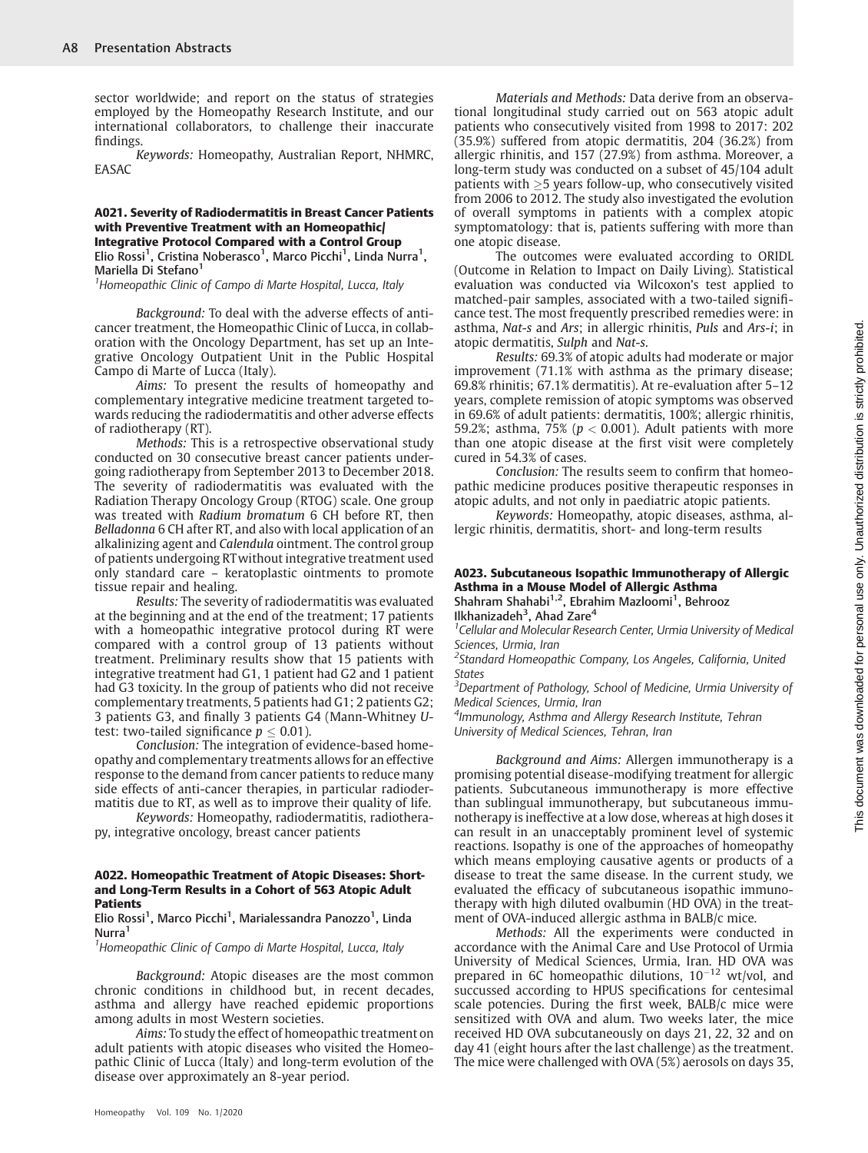sector worldwide; and report on the status of strategies employed by the Homeopathy Research Institute, and our international collaborators, to challenge their inaccurate findings.

Keywords: Homeopathy, Australian Report, NHMRC, EASAC

#### A021. Severity of Radiodermatitis in Breast Cancer Patients with Preventive Treatment with an Homeopathic/ Integrative Protocol Compared with a Control Group

Elio Rossi<sup>1</sup>, Cristina Noberasco<sup>1</sup>, Marco Picchi<sup>1</sup>, Linda Nurra<sup>1</sup>, Mariella Di Stefano<sup>1</sup>

<sup>1</sup> Homeopathic Clinic of Campo di Marte Hospital, Lucca, Italy

Background: To deal with the adverse effects of anticancer treatment, the Homeopathic Clinic of Lucca, in collaboration with the Oncology Department, has set up an Integrative Oncology Outpatient Unit in the Public Hospital Campo di Marte of Lucca (Italy).

Aims: To present the results of homeopathy and complementary integrative medicine treatment targeted towards reducing the radiodermatitis and other adverse effects of radiotherapy (RT).

Methods: This is a retrospective observational study conducted on 30 consecutive breast cancer patients undergoing radiotherapy from September 2013 to December 2018. The severity of radiodermatitis was evaluated with the Radiation Therapy Oncology Group (RTOG) scale. One group was treated with Radium bromatum 6 CH before RT, then Belladonna 6 CH after RT, and also with local application of an alkalinizing agent and Calendula ointment. The control group of patients undergoing RTwithout integrative treatment used only standard care – keratoplastic ointments to promote tissue repair and healing.

Results: The severity of radiodermatitis was evaluated at the beginning and at the end of the treatment; 17 patients with a homeopathic integrative protocol during RT were compared with a control group of 13 patients without treatment. Preliminary results show that 15 patients with integrative treatment had G1, 1 patient had G2 and 1 patient had G3 toxicity. In the group of patients who did not receive complementary treatments, 5 patients had G1; 2 patients G2; 3 patients G3, and finally 3 patients G4 (Mann-Whitney Utest: two-tailed significance  $p \leq 0.01$ ).

Conclusion: The integration of evidence-based homeopathy and complementary treatments allows for an effective response to the demand from cancer patients to reduce many side effects of anti-cancer therapies, in particular radiodermatitis due to RT, as well as to improve their quality of life.

Keywords: Homeopathy, radiodermatitis, radiotherapy, integrative oncology, breast cancer patients

#### A022. Homeopathic Treatment of Atopic Diseases: Shortand Long-Term Results in a Cohort of 563 Atopic Adult Patients

#### Elio Rossi<sup>1</sup>, Marco Picchi<sup>1</sup>, Marialessandra Panozzo<sup>1</sup>, Linda Nurra<sup>1</sup>

<sup>1</sup> Homeopathic Clinic of Campo di Marte Hospital, Lucca, Italy

Background: Atopic diseases are the most common chronic conditions in childhood but, in recent decades, asthma and allergy have reached epidemic proportions among adults in most Western societies.

Aims: To study the effect of homeopathic treatment on adult patients with atopic diseases who visited the Homeopathic Clinic of Lucca (Italy) and long-term evolution of the disease over approximately an 8-year period.

Materials and Methods: Data derive from an observational longitudinal study carried out on 563 atopic adult patients who consecutively visited from 1998 to 2017: 202 (35.9%) suffered from atopic dermatitis, 204 (36.2%) from allergic rhinitis, and 157 (27.9%) from asthma. Moreover, a long-term study was conducted on a subset of 45/104 adult patients with  $\geq$ 5 years follow-up, who consecutively visited from 2006 to 2012. The study also investigated the evolution of overall symptoms in patients with a complex atopic symptomatology: that is, patients suffering with more than one atopic disease.

The outcomes were evaluated according to ORIDL (Outcome in Relation to Impact on Daily Living). Statistical evaluation was conducted via Wilcoxon's test applied to matched-pair samples, associated with a two-tailed significance test. The most frequently prescribed remedies were: in asthma, Nat-s and Ars; in allergic rhinitis, Puls and Ars-i; in atopic dermatitis, Sulph and Nat-s.

Results: 69.3% of atopic adults had moderate or major improvement (71.1% with asthma as the primary disease; 69.8% rhinitis; 67.1% dermatitis). At re-evaluation after 5–12 years, complete remission of atopic symptoms was observed in 69.6% of adult patients: dermatitis, 100%; allergic rhinitis, 59.2%; asthma, 75% ( $p < 0.001$ ). Adult patients with more than one atopic disease at the first visit were completely cured in 54.3% of cases.

Conclusion: The results seem to confirm that homeopathic medicine produces positive therapeutic responses in atopic adults, and not only in paediatric atopic patients.

Keywords: Homeopathy, atopic diseases, asthma, allergic rhinitis, dermatitis, short- and long-term results

#### A023. Subcutaneous Isopathic Immunotherapy of Allergic Asthma in a Mouse Model of Allergic Asthma Shahram Shahabi<sup>1,2</sup>, Ebrahim Mazloomi<sup>1</sup>, Behrooz

Ilkhanizadeh<sup>3</sup>, Ahad Zare<sup>4</sup>

<sup>1</sup> Cellular and Molecular Research Center, Urmia University of Medical Sciences, Urmia, Iran

<sup>2</sup>Standard Homeopathic Company, Los Angeles, California, United **States** 

<sup>3</sup>Department of Pathology, School of Medicine, Urmia University of Medical Sciences, Urmia, Iran

4 Immunology, Asthma and Allergy Research Institute, Tehran University of Medical Sciences, Tehran, Iran

Background and Aims: Allergen immunotherapy is a promising potential disease-modifying treatment for allergic patients. Subcutaneous immunotherapy is more effective than sublingual immunotherapy, but subcutaneous immunotherapy is ineffective at a low dose, whereas at high doses it can result in an unacceptably prominent level of systemic reactions. Isopathy is one of the approaches of homeopathy which means employing causative agents or products of a disease to treat the same disease. In the current study, we evaluated the efficacy of subcutaneous isopathic immunotherapy with high diluted ovalbumin (HD OVA) in the treatment of OVA-induced allergic asthma in BALB/c mice.

Methods: All the experiments were conducted in accordance with the Animal Care and Use Protocol of Urmia University of Medical Sciences, Urmia, Iran. HD OVA was prepared in 6C homeopathic dilutions,  $10^{-12}$  wt/vol, and succussed according to HPUS specifications for centesimal scale potencies. During the first week, BALB/c mice were sensitized with OVA and alum. Two weeks later, the mice received HD OVA subcutaneously on days 21, 22, 32 and on day 41 (eight hours after the last challenge) as the treatment. The mice were challenged with OVA (5%) aerosols on days 35,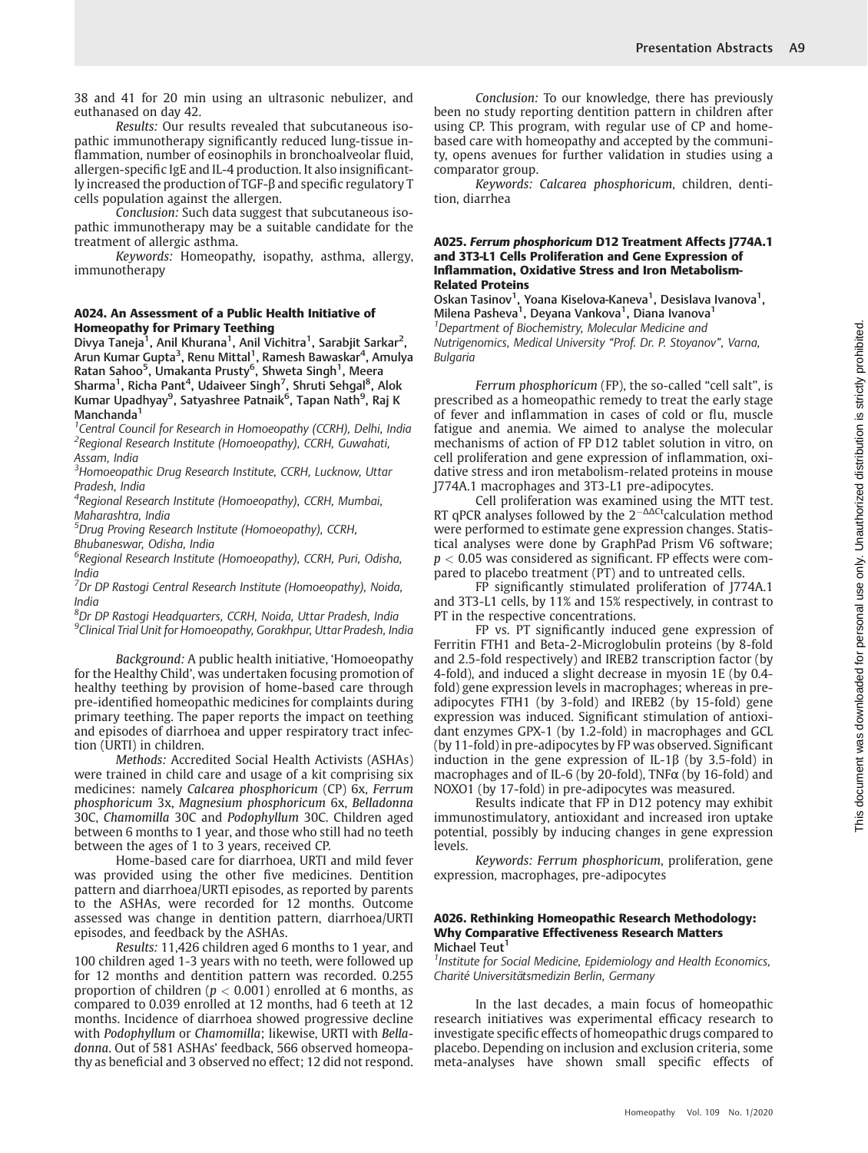38 and 41 for 20 min using an ultrasonic nebulizer, and euthanased on day 42.

Results: Our results revealed that subcutaneous isopathic immunotherapy significantly reduced lung-tissue inflammation, number of eosinophils in bronchoalveolar fluid, allergen-specific IgE and IL-4 production. It also insignificantly increased the production of TGF-β and specific regulatory T cells population against the allergen.

Conclusion: Such data suggest that subcutaneous isopathic immunotherapy may be a suitable candidate for the treatment of allergic asthma.

Keywords: Homeopathy, isopathy, asthma, allergy, immunotherapy

#### A024. An Assessment of a Public Health Initiative of Homeopathy for Primary Teething

Divya Taneja<sup>1</sup>, Anil Khurana<sup>1</sup>, Anil Vichitra<sup>1</sup>, Sarabjit Sarkar<sup>2</sup>, Arun Kumar Gupta<sup>3</sup>, Renu Mittal<sup>1</sup>, Ramesh Bawaskar<sup>4</sup>, Amulya Ratan Sahoo<sup>5</sup>, Umakanta Prusty<sup>6</sup>, Shweta Singh<sup>1</sup>, Meera Sharma<sup>1</sup>, Richa Pant<sup>4</sup>, Udaiveer Singh<sup>7</sup>, Shruti Sehgal<sup>8</sup>, Alok Kumar Upadhyay<sup>9</sup>, Satyashree Patnaik<sup>6</sup>, Tapan Nath<sup>9</sup>, Raj K Manchanda<sup>1</sup>

<sup>1</sup> Central Council for Research in Homoeopathy (CCRH), Delhi, India <sup>2</sup>Regional Research Institute (Homoeopathy), CCRH, Guwahati, Assam, India

<sup>3</sup>Homoeopathic Drug Research Institute, CCRH, Lucknow, Uttar Pradesh, India

<sup>4</sup>Regional Research Institute (Homoeopathy), CCRH, Mumbai, Maharashtra, India

<sup>5</sup>Drug Proving Research Institute (Homoeopathy), CCRH, Bhubaneswar, Odisha, India

<sup>6</sup>Regional Research Institute (Homoeopathy), CCRH, Puri, Odisha, India

<sup>7</sup>Dr DP Rastogi Central Research Institute (Homoeopathy), Noida, India

 ${}^{8}$ Dr DP Rastogi Headquarters, CCRH, Noida, Uttar Pradesh, India <sup>9</sup>Clinical Trial Unit for Homoeopathy, Gorakhpur, Uttar Pradesh, India

Background: A public health initiative, 'Homoeopathy for the Healthy Child', was undertaken focusing promotion of healthy teething by provision of home-based care through pre-identified homeopathic medicines for complaints during primary teething. The paper reports the impact on teething and episodes of diarrhoea and upper respiratory tract infection (URTI) in children.

Methods: Accredited Social Health Activists (ASHAs) were trained in child care and usage of a kit comprising six medicines: namely Calcarea phosphoricum (CP) 6x, Ferrum phosphoricum 3x, Magnesium phosphoricum 6x, Belladonna 30C, Chamomilla 30C and Podophyllum 30C. Children aged between 6 months to 1 year, and those who still had no teeth between the ages of 1 to 3 years, received CP.

Home-based care for diarrhoea, URTI and mild fever was provided using the other five medicines. Dentition pattern and diarrhoea/URTI episodes, as reported by parents to the ASHAs, were recorded for 12 months. Outcome assessed was change in dentition pattern, diarrhoea/URTI episodes, and feedback by the ASHAs.

Results: 11,426 children aged 6 months to 1 year, and 100 children aged 1-3 years with no teeth, were followed up for 12 months and dentition pattern was recorded. 0.255 proportion of children ( $p < 0.001$ ) enrolled at 6 months, as compared to 0.039 enrolled at 12 months, had 6 teeth at 12 months. Incidence of diarrhoea showed progressive decline with Podophyllum or Chamomilla; likewise, URTI with Belladonna. Out of 581 ASHAs' feedback, 566 observed homeopathy as beneficial and 3 observed no effect; 12 did not respond.

Conclusion: To our knowledge, there has previously been no study reporting dentition pattern in children after using CP. This program, with regular use of CP and homebased care with homeopathy and accepted by the community, opens avenues for further validation in studies using a comparator group.

Keywords: Calcarea phosphoricum, children, dentition, diarrhea

#### A025. Ferrum phosphoricum D12 Treatment Affects J774A.1 and 3T3-L1 Cells Proliferation and Gene Expression of Inflammation, Oxidative Stress and Iron Metabolism-Related Proteins

Oskan Tasinov<sup>1</sup>, Yoana Kiselova-Kaneva<sup>1</sup>, Desislava Ivanova<sup>1</sup>,<br>Milena Pasheva<sup>1</sup>, Deyana Vankova<sup>1</sup>, Diana Ivanova<sup>1</sup> <sup>1</sup>Department of Biochemistry, Molecular Medicine and Nutrigenomics, Medical University "Prof. Dr. P. Stoyanov", Varna, Bulgaria

Ferrum phosphoricum (FP), the so-called "cell salt", is prescribed as a homeopathic remedy to treat the early stage of fever and inflammation in cases of cold or flu, muscle fatigue and anemia. We aimed to analyse the molecular mechanisms of action of FP D12 tablet solution in vitro, on cell proliferation and gene expression of inflammation, oxidative stress and iron metabolism-related proteins in mouse J774A.1 macrophages and 3T3-L1 pre-adipocytes.

Cell proliferation was examined using the MTT test. RT qPCR analyses followed by the  $2^{-\Delta\Delta Ct}$ calculation method were performed to estimate gene expression changes. Statistical analyses were done by GraphPad Prism V6 software;  $p < 0.05$  was considered as significant. FP effects were compared to placebo treatment (PT) and to untreated cells.

FP significantly stimulated proliferation of J774A.1 and 3T3-L1 cells, by 11% and 15% respectively, in contrast to PT in the respective concentrations.

FP vs. PT significantly induced gene expression of Ferritin FTH1 and Beta-2-Microglobulin proteins (by 8-fold and 2.5-fold respectively) and IREB2 transcription factor (by 4-fold), and induced a slight decrease in myosin 1E (by 0.4 fold) gene expression levels in macrophages; whereas in preadipocytes FTH1 (by 3-fold) and IREB2 (by 15-fold) gene expression was induced. Significant stimulation of antioxidant enzymes GPX-1 (by 1.2-fold) in macrophages and GCL (by 11-fold) in pre-adipocytes by FP was observed. Significant induction in the gene expression of IL-1 $\beta$  (by 3.5-fold) in macrophages and of IL-6 (by 20-fold), TNFα (by 16-fold) and NOXO1 (by 17-fold) in pre-adipocytes was measured.

Results indicate that FP in D12 potency may exhibit immunostimulatory, antioxidant and increased iron uptake potential, possibly by inducing changes in gene expression levels.

Keywords: Ferrum phosphoricum, proliferation, gene expression, macrophages, pre-adipocytes

#### A026. Rethinking Homeopathic Research Methodology: Why Comparative Effectiveness Research Matters Michael Teut<sup>1</sup>

<sup>1</sup> Institute for Social Medicine, Epidemiology and Health Economics, Charité Universitätsmedizin Berlin, Germany

In the last decades, a main focus of homeopathic research initiatives was experimental efficacy research to investigate specific effects of homeopathic drugs compared to placebo. Depending on inclusion and exclusion criteria, some meta-analyses have shown small specific effects of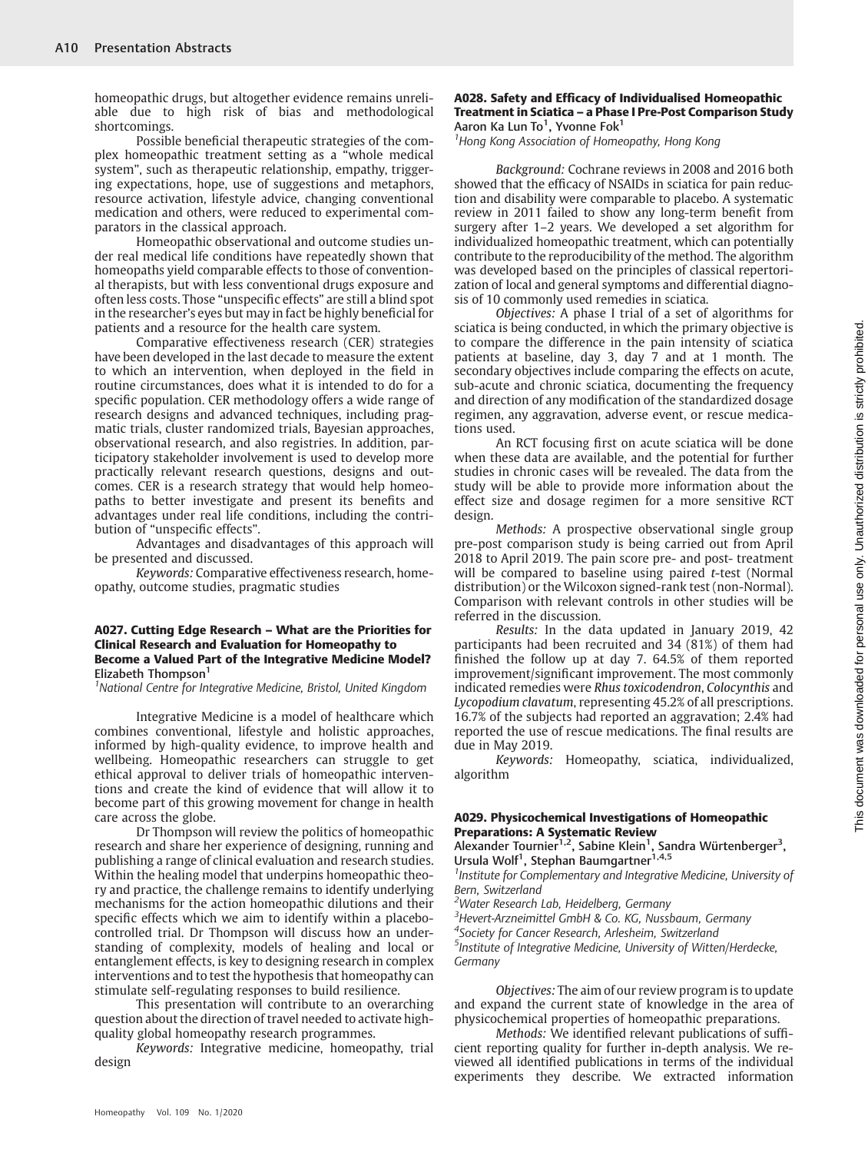homeopathic drugs, but altogether evidence remains unreliable due to high risk of bias and methodological shortcomings.

Possible beneficial therapeutic strategies of the complex homeopathic treatment setting as a "whole medical system", such as therapeutic relationship, empathy, triggering expectations, hope, use of suggestions and metaphors, resource activation, lifestyle advice, changing conventional medication and others, were reduced to experimental comparators in the classical approach.

Homeopathic observational and outcome studies under real medical life conditions have repeatedly shown that homeopaths yield comparable effects to those of conventional therapists, but with less conventional drugs exposure and often less costs. Those "unspecific effects" are still a blind spot in the researcher's eyes but may in fact be highly beneficial for patients and a resource for the health care system.

Comparative effectiveness research (CER) strategies have been developed in the last decade to measure the extent to which an intervention, when deployed in the field in routine circumstances, does what it is intended to do for a specific population. CER methodology offers a wide range of research designs and advanced techniques, including pragmatic trials, cluster randomized trials, Bayesian approaches, observational research, and also registries. In addition, participatory stakeholder involvement is used to develop more practically relevant research questions, designs and outcomes. CER is a research strategy that would help homeopaths to better investigate and present its benefits and advantages under real life conditions, including the contribution of "unspecific effects".

Advantages and disadvantages of this approach will be presented and discussed.

Keywords: Comparative effectiveness research, homeopathy, outcome studies, pragmatic studies

#### A027. Cutting Edge Research – What are the Priorities for Clinical Research and Evaluation for Homeopathy to Become a Valued Part of the Integrative Medicine Model? Elizabeth Thompson<sup>1</sup>

<sup>1</sup>National Centre for Integrative Medicine, Bristol, United Kingdom

Integrative Medicine is a model of healthcare which combines conventional, lifestyle and holistic approaches, informed by high-quality evidence, to improve health and wellbeing. Homeopathic researchers can struggle to get ethical approval to deliver trials of homeopathic interventions and create the kind of evidence that will allow it to become part of this growing movement for change in health care across the globe.

Dr Thompson will review the politics of homeopathic research and share her experience of designing, running and publishing a range of clinical evaluation and research studies. Within the healing model that underpins homeopathic theory and practice, the challenge remains to identify underlying mechanisms for the action homeopathic dilutions and their specific effects which we aim to identify within a placebocontrolled trial. Dr Thompson will discuss how an understanding of complexity, models of healing and local or entanglement effects, is key to designing research in complex interventions and to test the hypothesis that homeopathy can stimulate self-regulating responses to build resilience.

This presentation will contribute to an overarching question about the direction of travel needed to activate highquality global homeopathy research programmes.

Keywords: Integrative medicine, homeopathy, trial design

#### A028. Safety and Efficacy of Individualised Homeopathic Treatment in Sciatica – a Phase I Pre-Post Comparison Study Aaron Ka Lun To<sup>1</sup>, Yvonne Fok<sup>1</sup>

<sup>1</sup> Hong Kong Association of Homeopathy, Hong Kong

Background: Cochrane reviews in 2008 and 2016 both showed that the efficacy of NSAIDs in sciatica for pain reduction and disability were comparable to placebo. A systematic review in 2011 failed to show any long-term benefit from surgery after 1–2 years. We developed a set algorithm for individualized homeopathic treatment, which can potentially contribute to the reproducibility of the method. The algorithm was developed based on the principles of classical repertorization of local and general symptoms and differential diagnosis of 10 commonly used remedies in sciatica.

Objectives: A phase I trial of a set of algorithms for sciatica is being conducted, in which the primary objective is to compare the difference in the pain intensity of sciatica patients at baseline, day 3, day 7 and at 1 month. The secondary objectives include comparing the effects on acute, sub-acute and chronic sciatica, documenting the frequency and direction of any modification of the standardized dosage regimen, any aggravation, adverse event, or rescue medications used.

An RCT focusing first on acute sciatica will be done when these data are available, and the potential for further studies in chronic cases will be revealed. The data from the study will be able to provide more information about the effect size and dosage regimen for a more sensitive RCT design.

Methods: A prospective observational single group pre-post comparison study is being carried out from April 2018 to April 2019. The pain score pre- and post- treatment will be compared to baseline using paired  $t$ -test (Normal distribution) or the Wilcoxon signed-rank test (non-Normal). Comparison with relevant controls in other studies will be referred in the discussion.

Results: In the data updated in January 2019, 42 participants had been recruited and 34 (81%) of them had finished the follow up at day 7. 64.5% of them reported improvement/significant improvement. The most commonly indicated remedies were Rhus toxicodendron, Colocynthis and Lycopodium clavatum, representing 45.2% of all prescriptions. 16.7% of the subjects had reported an aggravation; 2.4% had reported the use of rescue medications. The final results are due in May 2019.

Keywords: Homeopathy, sciatica, individualized, algorithm

#### A029. Physicochemical Investigations of Homeopathic Preparations: A Systematic Review

Alexander Tournier<sup>1,2</sup>, Sabine Klein<sup>1</sup>, Sandra Würtenberger<sup>3</sup>,<br>Ursula Wolf<sup>1</sup>, Stephan Baumgartner<sup>1,4,5</sup>

<sup>1</sup> Institute for Complementary and Integrative Medicine, University of Bern, Switzerland

<sup>2</sup>Water Research Lab, Heidelberg, Germany

<sup>3</sup> Hevert-Arzneimittel GmbH & Co. KG, Nussbaum, Germany <sup>4</sup>Society for Cancer Research, Arlesheim, Switzerland

<sup>5</sup>Institute of Integrative Medicine, University of Witten/Herdecke, **Germany** 

Objectives: The aim of our review program is to update and expand the current state of knowledge in the area of physicochemical properties of homeopathic preparations.

Methods: We identified relevant publications of sufficient reporting quality for further in-depth analysis. We reviewed all identified publications in terms of the individual experiments they describe. We extracted information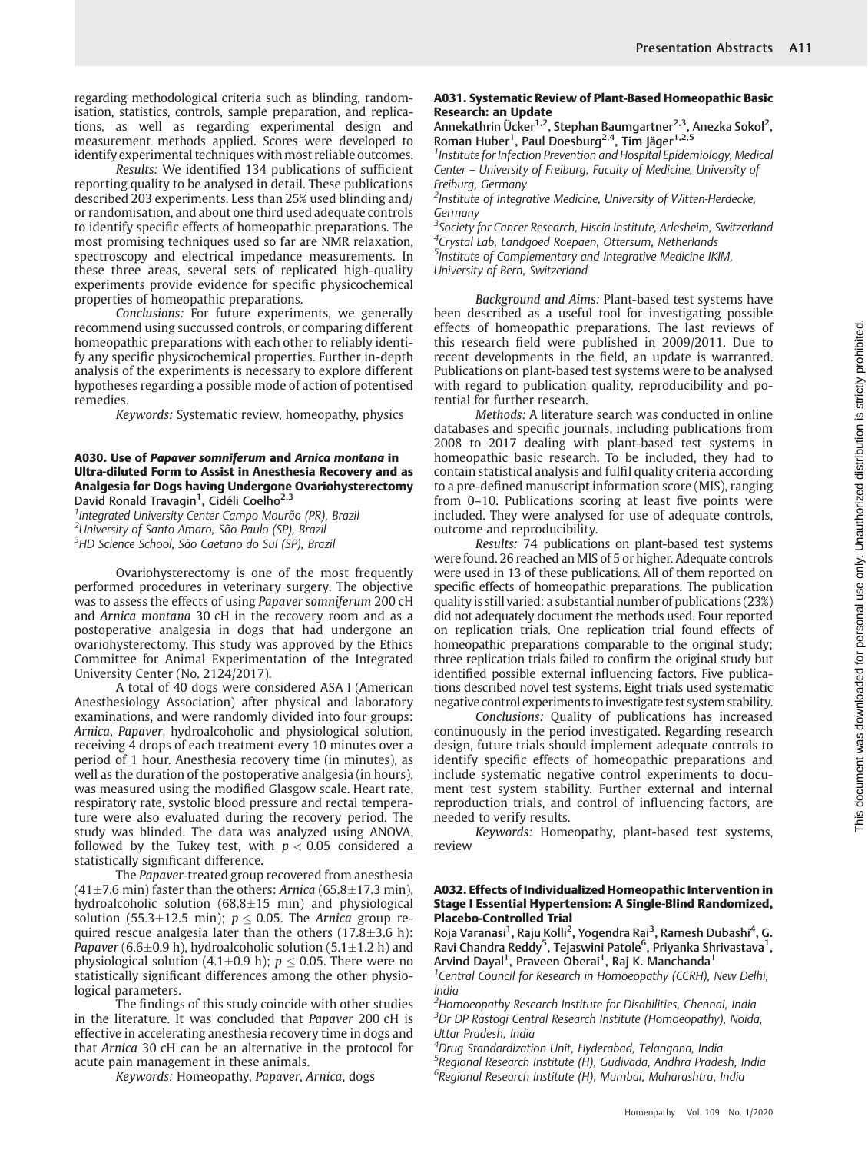regarding methodological criteria such as blinding, randomisation, statistics, controls, sample preparation, and replications, as well as regarding experimental design and measurement methods applied. Scores were developed to identify experimental techniques with most reliable outcomes.

Results: We identified 134 publications of sufficient reporting quality to be analysed in detail. These publications described 203 experiments. Less than 25% used blinding and/ or randomisation, and about one third used adequate controls to identify specific effects of homeopathic preparations. The most promising techniques used so far are NMR relaxation, spectroscopy and electrical impedance measurements. In these three areas, several sets of replicated high-quality experiments provide evidence for specific physicochemical properties of homeopathic preparations.

Conclusions: For future experiments, we generally recommend using succussed controls, or comparing different homeopathic preparations with each other to reliably identify any specific physicochemical properties. Further in-depth analysis of the experiments is necessary to explore different hypotheses regarding a possible mode of action of potentised remedies.

Keywords: Systematic review, homeopathy, physics

#### A030. Use of Papaver somniferum and Arnica montana in Ultra-diluted Form to Assist in Anesthesia Recovery and as Analgesia for Dogs having Undergone Ovariohysterectomy David Ronald Travagin<sup>1</sup>, Cidéli Coelho<sup>2,3</sup>

<sup>1</sup> Integrated University Center Campo Mourão (PR), Brazil <sup>2</sup>University of Santo Amaro, São Paulo (SP), Brazil <sup>3</sup>HD Science School, São Caetano do Sul (SP), Brazil

Ovariohysterectomy is one of the most frequently performed procedures in veterinary surgery. The objective was to assess the effects of using Papaver somniferum 200 cH and Arnica montana 30 cH in the recovery room and as a postoperative analgesia in dogs that had undergone an ovariohysterectomy. This study was approved by the Ethics Committee for Animal Experimentation of the Integrated University Center (No. 2124/2017).

A total of 40 dogs were considered ASA I (American Anesthesiology Association) after physical and laboratory examinations, and were randomly divided into four groups: Arnica, Papaver, hydroalcoholic and physiological solution, receiving 4 drops of each treatment every 10 minutes over a period of 1 hour. Anesthesia recovery time (in minutes), as well as the duration of the postoperative analgesia (in hours), was measured using the modified Glasgow scale. Heart rate, respiratory rate, systolic blood pressure and rectal temperature were also evaluated during the recovery period. The study was blinded. The data was analyzed using ANOVA, followed by the Tukey test, with  $p < 0.05$  considered a statistically significant difference.

The Papaver-treated group recovered from anesthesia  $(41\pm7.6 \text{ min})$  faster than the others: Arnica (65.8 $\pm$ 17.3 min), hydroalcoholic solution  $(68.8 \pm 15 \text{ min})$  and physiological solution (55.3 $\pm$ 12.5 min);  $p \le 0.05$ . The Arnica group required rescue analgesia later than the others  $(17.8 \pm 3.6 \text{ h})$ : *Papaver* (6.6 $\pm$ 0.9 h), hydroalcoholic solution (5.1 $\pm$ 1.2 h) and physiological solution (4.1 $\pm$ 0.9 h);  $p \le 0.05$ . There were no statistically significant differences among the other physiological parameters.

The findings of this study coincide with other studies in the literature. It was concluded that Papaver 200 cH is effective in accelerating anesthesia recovery time in dogs and that Arnica 30 cH can be an alternative in the protocol for acute pain management in these animals.

Keywords: Homeopathy, Papaver, Arnica, dogs

#### A031. Systematic Review of Plant-Based Homeopathic Basic Research: an Update

Annekathrin Ücker<sup>1,2</sup>, Stephan Baumgartner<sup>2,3</sup>, Anezka Sokol<sup>2</sup>, Roman Huber<sup>1</sup>, Paul Doesburg<sup>2,4</sup>, Tim Jäger<sup>1,2,5</sup>

<sup>1</sup> Institute for Infection Prevention and Hospital Epidemiology, Medical Center – University of Freiburg, Faculty of Medicine, University of Freiburg, Germany

<sup>2</sup>Institute of Integrative Medicine, University of Witten-Herdecke, Germany

<sup>3</sup>Society for Cancer Research, Hiscia Institute, Arlesheim, Switzerland <sup>4</sup>Crystal Lab, Landgoed Roepaen, Ottersum, Netherlands 5 Institute of Complementary and Integrative Medicine IKIM, University of Bern, Switzerland

Background and Aims: Plant-based test systems have been described as a useful tool for investigating possible effects of homeopathic preparations. The last reviews of this research field were published in 2009/2011. Due to recent developments in the field, an update is warranted. Publications on plant-based test systems were to be analysed with regard to publication quality, reproducibility and potential for further research.

Methods: A literature search was conducted in online databases and specific journals, including publications from 2008 to 2017 dealing with plant-based test systems in homeopathic basic research. To be included, they had to contain statistical analysis and fulfil quality criteria according to a pre-defined manuscript information score (MIS), ranging from 0–10. Publications scoring at least five points were included. They were analysed for use of adequate controls, outcome and reproducibility.

Results: 74 publications on plant-based test systems were found. 26 reached an MIS of 5 or higher. Adequate controls were used in 13 of these publications. All of them reported on specific effects of homeopathic preparations. The publication quality is still varied: a substantial number of publications (23%) did not adequately document the methods used. Four reported on replication trials. One replication trial found effects of homeopathic preparations comparable to the original study; three replication trials failed to confirm the original study but identified possible external influencing factors. Five publications described novel test systems. Eight trials used systematic negative control experiments to investigate test system stability.

Conclusions: Quality of publications has increased continuously in the period investigated. Regarding research design, future trials should implement adequate controls to identify specific effects of homeopathic preparations and include systematic negative control experiments to document test system stability. Further external and internal reproduction trials, and control of influencing factors, are needed to verify results.

Keywords: Homeopathy, plant-based test systems, review

#### A032. Effects of Individualized Homeopathic Intervention in Stage I Essential Hypertension: A Single-Blind Randomized, Placebo-Controlled Trial

Roja Varanasi<sup>1</sup>, Raju Kolli<sup>2</sup>, Yogendra Rai<sup>3</sup>, Ramesh Dubashi<sup>4</sup>, G. Ravi Chandra Reddy<sup>5</sup>, Tejaswini Patole<sup>6</sup>, Priyanka Shrivastava<sup>1</sup>, Arvind Dayal<sup>1</sup>, Praveen Oberai<sup>1</sup>, Raj K. Manchanda<sup>1</sup>

<sup>1</sup> Central Council for Research in Homoeopathy (CCRH), New Delhi, India

<sup>2</sup> Homoeopathy Research Institute for Disabilities, Chennai, India <sup>3</sup>Dr DP Rastogi Central Research Institute (Homoeopathy), Noida, Uttar Pradesh, India

4 Drug Standardization Unit, Hyderabad, Telangana, India

5 Regional Research Institute (H), Gudivada, Andhra Pradesh, India <sup>6</sup>Regional Research Institute (H), Mumbai, Maharashtra, India

Homeopathy Vol. 109 No. 1/2020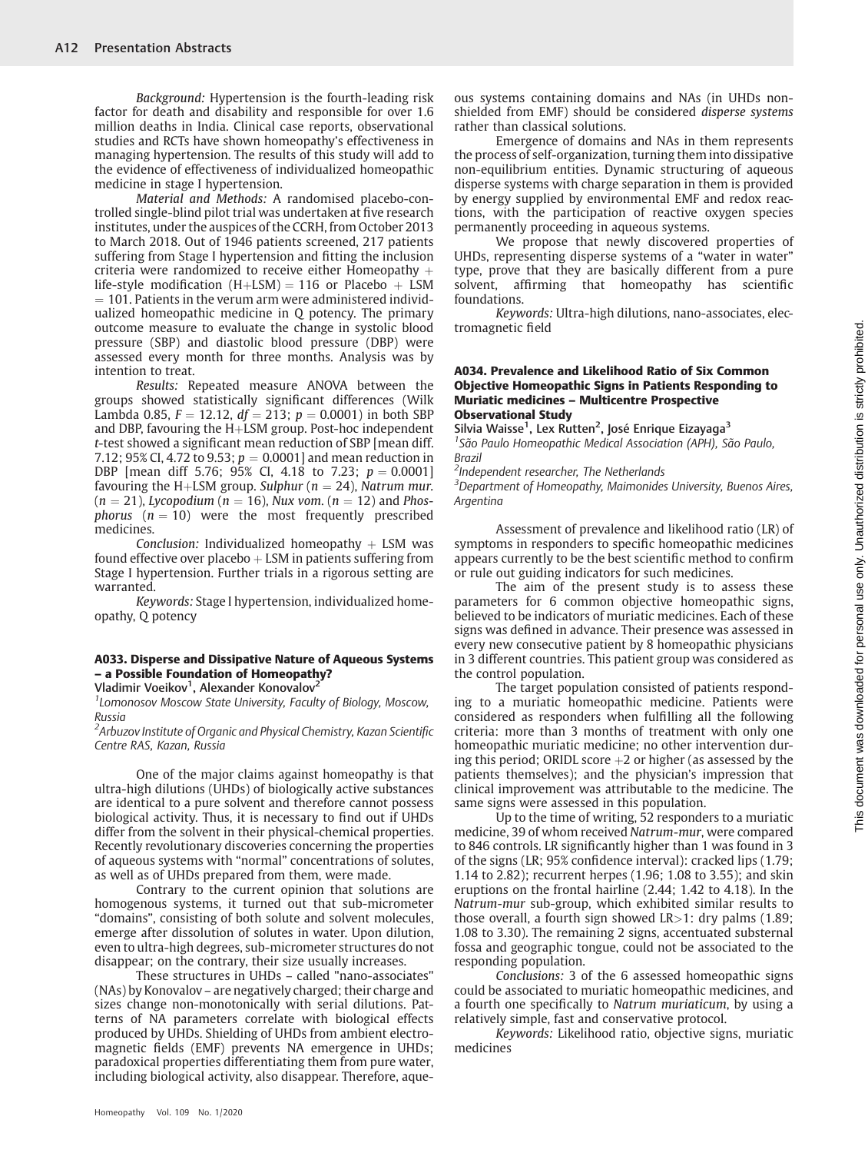Background: Hypertension is the fourth-leading risk factor for death and disability and responsible for over 1.6 million deaths in India. Clinical case reports, observational studies and RCTs have shown homeopathy's effectiveness in managing hypertension. The results of this study will add to the evidence of effectiveness of individualized homeopathic medicine in stage I hypertension.

Material and Methods: A randomised placebo-controlled single-blind pilot trial was undertaken at five research institutes, under the auspices of the CCRH, from October 2013 to March 2018. Out of 1946 patients screened, 217 patients suffering from Stage I hypertension and fitting the inclusion criteria were randomized to receive either Homeopathy  $+$ life-style modification  $(H+LSM) = 116$  or Placebo + LSM  $= 101$ . Patients in the verum arm were administered individualized homeopathic medicine in Q potency. The primary outcome measure to evaluate the change in systolic blood pressure (SBP) and diastolic blood pressure (DBP) were assessed every month for three months. Analysis was by intention to treat.

Results: Repeated measure ANOVA between the groups showed statistically significant differences (Wilk Lambda 0.85,  $F = 12.12$ ,  $df = 213$ ;  $p = 0.0001$ ) in both SBP and DBP, favouring the  $H+LSM$  group. Post-hoc independent t-test showed a significant mean reduction of SBP [mean diff. 7.12; 95% CI, 4.72 to 9.53;  $p = 0.0001$  and mean reduction in DBP [mean diff 5.76; 95% CI, 4.18 to 7.23;  $p = 0.0001$ ] favouring the H+LSM group. Sulphur ( $n = 24$ ), Natrum mur.  $(n = 21)$ , Lycopodium  $(n = 16)$ , Nux vom.  $(n = 12)$  and Phosphorus  $(n = 10)$  were the most frequently prescribed medicines.

Conclusion: Individualized homeopathy  $+$  LSM was found effective over placebo  $+$  LSM in patients suffering from Stage I hypertension. Further trials in a rigorous setting are warranted.

Keywords: Stage I hypertension, individualized homeopathy, Q potency

# A033. Disperse and Dissipative Nature of Aqueous Systems – a Possible Foundation of Homeopathy?

Vladimir Voeikov<sup>1</sup>, Alexander Konovalov<sup>2</sup>

<sup>1</sup> Lomonosov Moscow State University, Faculty of Biology, Moscow, Russia

 ${}^2$ Arbuzov Institute of Organic and Physical Chemistry, Kazan Scientific Centre RAS, Kazan, Russia

One of the major claims against homeopathy is that ultra-high dilutions (UHDs) of biologically active substances are identical to a pure solvent and therefore cannot possess biological activity. Thus, it is necessary to find out if UHDs differ from the solvent in their physical-chemical properties. Recently revolutionary discoveries concerning the properties of aqueous systems with "normal" concentrations of solutes, as well as of UHDs prepared from them, were made.

Contrary to the current opinion that solutions are homogenous systems, it turned out that sub-micrometer "domains", consisting of both solute and solvent molecules, emerge after dissolution of solutes in water. Upon dilution, even to ultra-high degrees, sub-micrometer structures do not disappear; on the contrary, their size usually increases.

These structures in UHDs – called "nano-associates" (NAs) by Konovalov – are negatively charged; their charge and sizes change non-monotonically with serial dilutions. Patterns of NA parameters correlate with biological effects produced by UHDs. Shielding of UHDs from ambient electromagnetic fields (EMF) prevents NA emergence in UHDs; paradoxical properties differentiating them from pure water, including biological activity, also disappear. Therefore, aque-

ous systems containing domains and NAs (in UHDs nonshielded from EMF) should be considered disperse systems rather than classical solutions.

Emergence of domains and NAs in them represents the process of self-organization, turning them into dissipative non-equilibrium entities. Dynamic structuring of aqueous disperse systems with charge separation in them is provided by energy supplied by environmental EMF and redox reactions, with the participation of reactive oxygen species permanently proceeding in aqueous systems.

We propose that newly discovered properties of UHDs, representing disperse systems of a "water in water" type, prove that they are basically different from a pure solvent, affirming that homeopathy has scientific foundations.

Keywords: Ultra-high dilutions, nano-associates, electromagnetic field

#### A034. Prevalence and Likelihood Ratio of Six Common Objective Homeopathic Signs in Patients Responding to Muriatic medicines – Multicentre Prospective Observational Study

Silvia Waisse<sup>1</sup>, Lex Rutten<sup>2</sup>, José Enrique Eizayaga<sup>3</sup> <sup>1</sup> São Paulo Homeopathic Medical Association (APH), São Paulo, Brazil

<sup>2</sup>Independent researcher, The Netherlands

<sup>3</sup>Department of Homeopathy, Maimonides University, Buenos Aires, Argentina

Assessment of prevalence and likelihood ratio (LR) of symptoms in responders to specific homeopathic medicines appears currently to be the best scientific method to confirm or rule out guiding indicators for such medicines.

The aim of the present study is to assess these parameters for 6 common objective homeopathic signs, believed to be indicators of muriatic medicines. Each of these signs was defined in advance. Their presence was assessed in every new consecutive patient by 8 homeopathic physicians in 3 different countries. This patient group was considered as the control population.

The target population consisted of patients responding to a muriatic homeopathic medicine. Patients were considered as responders when fulfilling all the following criteria: more than 3 months of treatment with only one homeopathic muriatic medicine; no other intervention during this period; ORIDL score  $+2$  or higher (as assessed by the patients themselves); and the physician's impression that clinical improvement was attributable to the medicine. The same signs were assessed in this population.

Up to the time of writing, 52 responders to a muriatic medicine, 39 of whom received Natrum-mur, were compared to 846 controls. LR significantly higher than 1 was found in 3 of the signs (LR; 95% confidence interval): cracked lips (1.79; 1.14 to 2.82); recurrent herpes (1.96; 1.08 to 3.55); and skin eruptions on the frontal hairline (2.44; 1.42 to 4.18). In the Natrum-mur sub-group, which exhibited similar results to those overall, a fourth sign showed  $LR>1$ : dry palms (1.89; 1.08 to 3.30). The remaining 2 signs, accentuated substernal fossa and geographic tongue, could not be associated to the responding population.

Conclusions: 3 of the 6 assessed homeopathic signs could be associated to muriatic homeopathic medicines, and a fourth one specifically to Natrum muriaticum, by using a relatively simple, fast and conservative protocol.

Keywords: Likelihood ratio, objective signs, muriatic medicines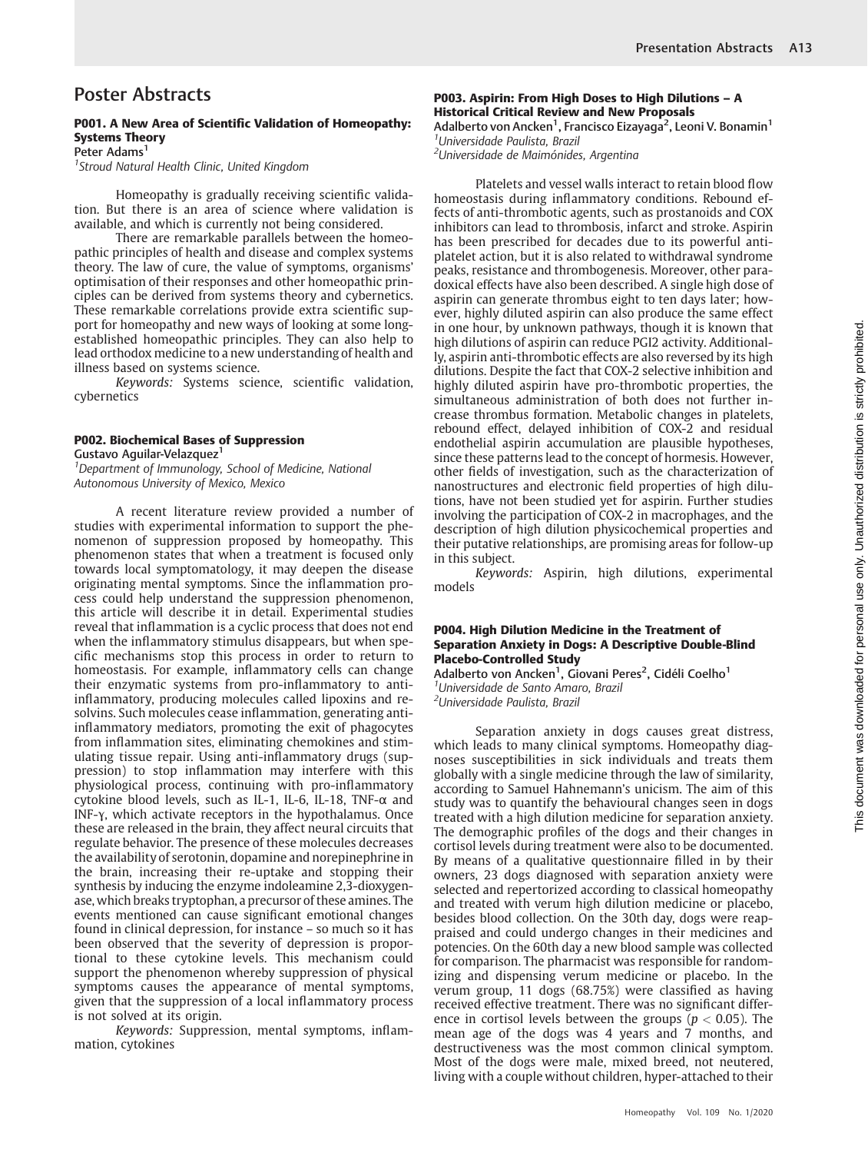# Poster Abstracts

# P001. A New Area of Scientific Validation of Homeopathy: Systems Theory

Peter Adams<sup>1</sup>

<sup>1</sup> Stroud Natural Health Clinic, United Kingdom

Homeopathy is gradually receiving scientific validation. But there is an area of science where validation is available, and which is currently not being considered.

There are remarkable parallels between the homeopathic principles of health and disease and complex systems theory. The law of cure, the value of symptoms, organisms' optimisation of their responses and other homeopathic principles can be derived from systems theory and cybernetics. These remarkable correlations provide extra scientific support for homeopathy and new ways of looking at some longestablished homeopathic principles. They can also help to lead orthodox medicine to a new understanding of health and illness based on systems science.

Keywords: Systems science, scientific validation, cybernetics

#### P002. Biochemical Bases of Suppression

Gustavo Aguilar-Velazquez1

<sup>1</sup>Department of Immunology, School of Medicine, National Autonomous University of Mexico, Mexico

A recent literature review provided a number of studies with experimental information to support the phenomenon of suppression proposed by homeopathy. This phenomenon states that when a treatment is focused only towards local symptomatology, it may deepen the disease originating mental symptoms. Since the inflammation process could help understand the suppression phenomenon, this article will describe it in detail. Experimental studies reveal that inflammation is a cyclic process that does not end when the inflammatory stimulus disappears, but when specific mechanisms stop this process in order to return to homeostasis. For example, inflammatory cells can change their enzymatic systems from pro-inflammatory to antiinflammatory, producing molecules called lipoxins and resolvins. Such molecules cease inflammation, generating antiinflammatory mediators, promoting the exit of phagocytes from inflammation sites, eliminating chemokines and stimulating tissue repair. Using anti-inflammatory drugs (suppression) to stop inflammation may interfere with this physiological process, continuing with pro-inflammatory cytokine blood levels, such as IL-1, IL-6, IL-18, TNF-α and INF-γ, which activate receptors in the hypothalamus. Once these are released in the brain, they affect neural circuits that regulate behavior. The presence of these molecules decreases the availability of serotonin, dopamine and norepinephrine in the brain, increasing their re-uptake and stopping their synthesis by inducing the enzyme indoleamine 2,3-dioxygenase, which breaks tryptophan, a precursor of these amines. The events mentioned can cause significant emotional changes found in clinical depression, for instance – so much so it has been observed that the severity of depression is proportional to these cytokine levels. This mechanism could support the phenomenon whereby suppression of physical symptoms causes the appearance of mental symptoms, given that the suppression of a local inflammatory process is not solved at its origin.

Keywords: Suppression, mental symptoms, inflammation, cytokines

# P003. Aspirin: From High Doses to High Dilutions – A Historical Critical Review and New Proposals

Adalberto von Ancken<sup>1</sup>, Francisco Eizayaga<sup>2</sup>, Leoni V. Bonamin<sup>1</sup> 1 Universidade Paulista, Brazil

<sup>2</sup>Universidade de Maimónides, Argentina

Platelets and vessel walls interact to retain blood flow homeostasis during inflammatory conditions. Rebound effects of anti-thrombotic agents, such as prostanoids and COX inhibitors can lead to thrombosis, infarct and stroke. Aspirin has been prescribed for decades due to its powerful antiplatelet action, but it is also related to withdrawal syndrome peaks, resistance and thrombogenesis. Moreover, other paradoxical effects have also been described. A single high dose of aspirin can generate thrombus eight to ten days later; however, highly diluted aspirin can also produce the same effect in one hour, by unknown pathways, though it is known that high dilutions of aspirin can reduce PGI2 activity. Additionally, aspirin anti-thrombotic effects are also reversed by its high dilutions. Despite the fact that COX-2 selective inhibition and highly diluted aspirin have pro-thrombotic properties, the simultaneous administration of both does not further increase thrombus formation. Metabolic changes in platelets, rebound effect, delayed inhibition of COX-2 and residual endothelial aspirin accumulation are plausible hypotheses, since these patterns lead to the concept of hormesis. However, other fields of investigation, such as the characterization of nanostructures and electronic field properties of high dilutions, have not been studied yet for aspirin. Further studies involving the participation of COX-2 in macrophages, and the description of high dilution physicochemical properties and their putative relationships, are promising areas for follow-up in this subject.

Keywords: Aspirin, high dilutions, experimental models

#### P004. High Dilution Medicine in the Treatment of Separation Anxiety in Dogs: A Descriptive Double-Blind Placebo-Controlled Study

Adalberto von Ancken<sup>1</sup>, Giovani Peres<sup>2</sup>, Cidéli Coelho<sup>1</sup> <sup>1</sup>Universidade de Santo Amaro, Brazi <sup>2</sup>Universidade Paulista, Brazil

Separation anxiety in dogs causes great distress, which leads to many clinical symptoms. Homeopathy diagnoses susceptibilities in sick individuals and treats them globally with a single medicine through the law of similarity, according to Samuel Hahnemann's unicism. The aim of this study was to quantify the behavioural changes seen in dogs treated with a high dilution medicine for separation anxiety. The demographic profiles of the dogs and their changes in cortisol levels during treatment were also to be documented. By means of a qualitative questionnaire filled in by their owners, 23 dogs diagnosed with separation anxiety were selected and repertorized according to classical homeopathy and treated with verum high dilution medicine or placebo, besides blood collection. On the 30th day, dogs were reappraised and could undergo changes in their medicines and potencies. On the 60th day a new blood sample was collected for comparison. The pharmacist was responsible for randomizing and dispensing verum medicine or placebo. In the verum group, 11 dogs (68.75%) were classified as having received effective treatment. There was no significant difference in cortisol levels between the groups ( $p < 0.05$ ). The mean age of the dogs was 4 years and 7 months, and destructiveness was the most common clinical symptom. Most of the dogs were male, mixed breed, not neutered, living with a couple without children, hyper-attached to their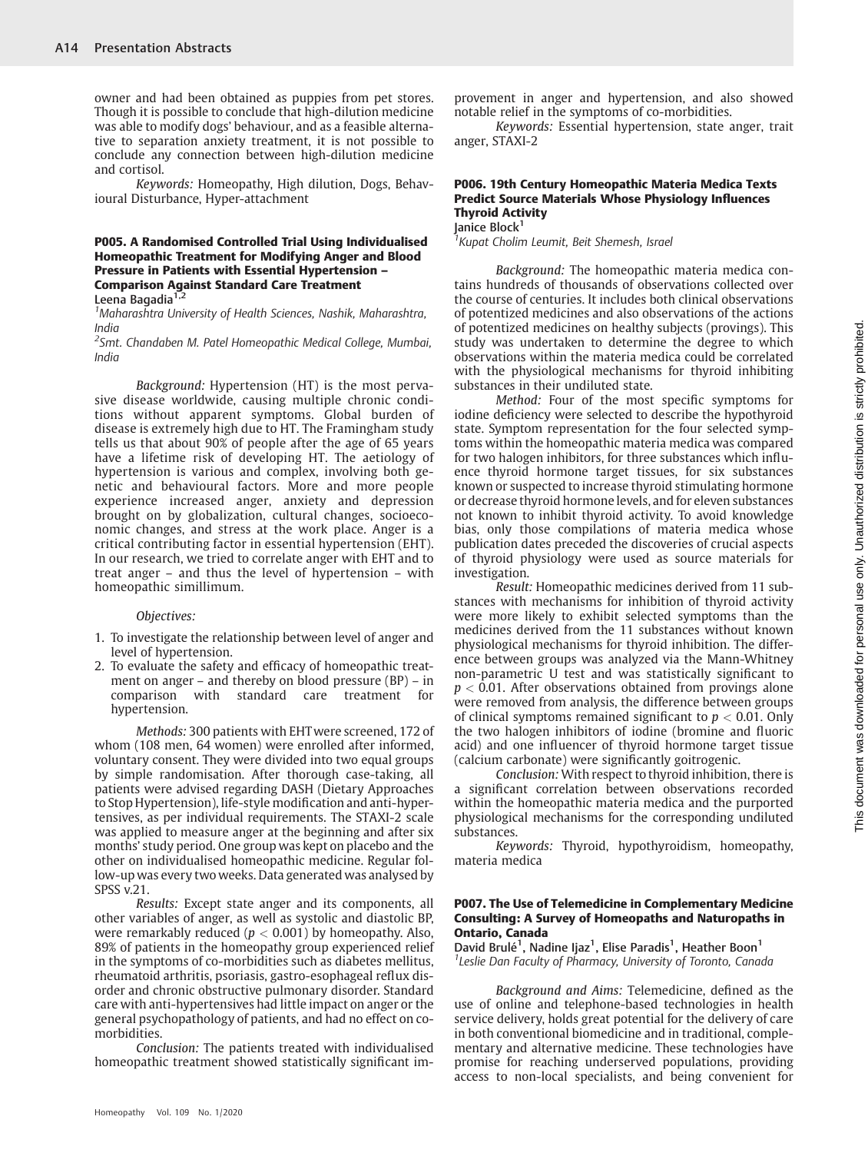owner and had been obtained as puppies from pet stores. Though it is possible to conclude that high-dilution medicine was able to modify dogs' behaviour, and as a feasible alternative to separation anxiety treatment, it is not possible to conclude any connection between high-dilution medicine and cortisol.

Keywords: Homeopathy, High dilution, Dogs, Behavioural Disturbance, Hyper-attachment

#### P005. A Randomised Controlled Trial Using Individualised Homeopathic Treatment for Modifying Anger and Blood Pressure in Patients with Essential Hypertension – Comparison Against Standard Care Treatment Leena Bagadia<sup>1,2</sup>

1 Maharashtra University of Health Sciences, Nashik, Maharashtra, India

<sup>2</sup>Smt. Chandaben M. Patel Homeopathic Medical College, Mumbai, India

Background: Hypertension (HT) is the most pervasive disease worldwide, causing multiple chronic conditions without apparent symptoms. Global burden of disease is extremely high due to HT. The Framingham study tells us that about 90% of people after the age of 65 years have a lifetime risk of developing HT. The aetiology of hypertension is various and complex, involving both genetic and behavioural factors. More and more people experience increased anger, anxiety and depression brought on by globalization, cultural changes, socioeconomic changes, and stress at the work place. Anger is a critical contributing factor in essential hypertension (EHT). In our research, we tried to correlate anger with EHT and to treat anger – and thus the level of hypertension – with homeopathic simillimum.

#### Objectives:

- 1. To investigate the relationship between level of anger and level of hypertension.
- 2. To evaluate the safety and efficacy of homeopathic treatment on anger – and thereby on blood pressure (BP) – in comparison with standard care treatment for hypertension.

Methods: 300 patients with EHTwere screened, 172 of whom (108 men, 64 women) were enrolled after informed, voluntary consent. They were divided into two equal groups by simple randomisation. After thorough case-taking, all patients were advised regarding DASH (Dietary Approaches to Stop Hypertension), life-style modification and anti-hypertensives, as per individual requirements. The STAXI-2 scale was applied to measure anger at the beginning and after six months' study period. One group was kept on placebo and the other on individualised homeopathic medicine. Regular follow-up was every two weeks. Data generated was analysed by SPSS v.21.

Results: Except state anger and its components, all other variables of anger, as well as systolic and diastolic BP, were remarkably reduced ( $p < 0.001$ ) by homeopathy. Also, 89% of patients in the homeopathy group experienced relief in the symptoms of co-morbidities such as diabetes mellitus, rheumatoid arthritis, psoriasis, gastro-esophageal reflux disorder and chronic obstructive pulmonary disorder. Standard care with anti-hypertensives had little impact on anger or the general psychopathology of patients, and had no effect on comorbidities.

Conclusion: The patients treated with individualised homeopathic treatment showed statistically significant im-

provement in anger and hypertension, and also showed notable relief in the symptoms of co-morbidities.

Keywords: Essential hypertension, state anger, trait anger, STAXI-2

#### P006. 19th Century Homeopathic Materia Medica Texts Predict Source Materials Whose Physiology Influences Thyroid Activity Janice Block<sup>1</sup>

<sup>1</sup> Kupat Cholim Leumit, Beit Shemesh, Israel

Background: The homeopathic materia medica contains hundreds of thousands of observations collected over the course of centuries. It includes both clinical observations of potentized medicines and also observations of the actions of potentized medicines on healthy subjects (provings). This study was undertaken to determine the degree to which observations within the materia medica could be correlated with the physiological mechanisms for thyroid inhibiting substances in their undiluted state.

Method: Four of the most specific symptoms for iodine deficiency were selected to describe the hypothyroid state. Symptom representation for the four selected symptoms within the homeopathic materia medica was compared for two halogen inhibitors, for three substances which influence thyroid hormone target tissues, for six substances known or suspected to increase thyroid stimulating hormone or decrease thyroid hormone levels, and for eleven substances not known to inhibit thyroid activity. To avoid knowledge bias, only those compilations of materia medica whose publication dates preceded the discoveries of crucial aspects of thyroid physiology were used as source materials for investigation.

Result: Homeopathic medicines derived from 11 substances with mechanisms for inhibition of thyroid activity were more likely to exhibit selected symptoms than the medicines derived from the 11 substances without known physiological mechanisms for thyroid inhibition. The difference between groups was analyzed via the Mann-Whitney non-parametric U test and was statistically significant to  $p < 0.01$ . After observations obtained from provings alone were removed from analysis, the difference between groups of clinical symptoms remained significant to  $p < 0.01$ . Only the two halogen inhibitors of iodine (bromine and fluoric acid) and one influencer of thyroid hormone target tissue (calcium carbonate) were significantly goitrogenic.

Conclusion: With respect to thyroid inhibition, there is a significant correlation between observations recorded within the homeopathic materia medica and the purported physiological mechanisms for the corresponding undiluted substances.

Keywords: Thyroid, hypothyroidism, homeopathy, materia medica

#### P007. The Use of Telemedicine in Complementary Medicine Consulting: A Survey of Homeopaths and Naturopaths in Ontario, Canada

David Brulé<sup>1</sup>, Nadine Ijaz<sup>1</sup>, Elise Paradis<sup>1</sup>, Heather Boon<sup>1</sup> <sup>1</sup> Leslie Dan Faculty of Pharmacy, University of Toronto, Canada

Background and Aims: Telemedicine, defined as the use of online and telephone-based technologies in health service delivery, holds great potential for the delivery of care in both conventional biomedicine and in traditional, complementary and alternative medicine. These technologies have promise for reaching underserved populations, providing access to non-local specialists, and being convenient for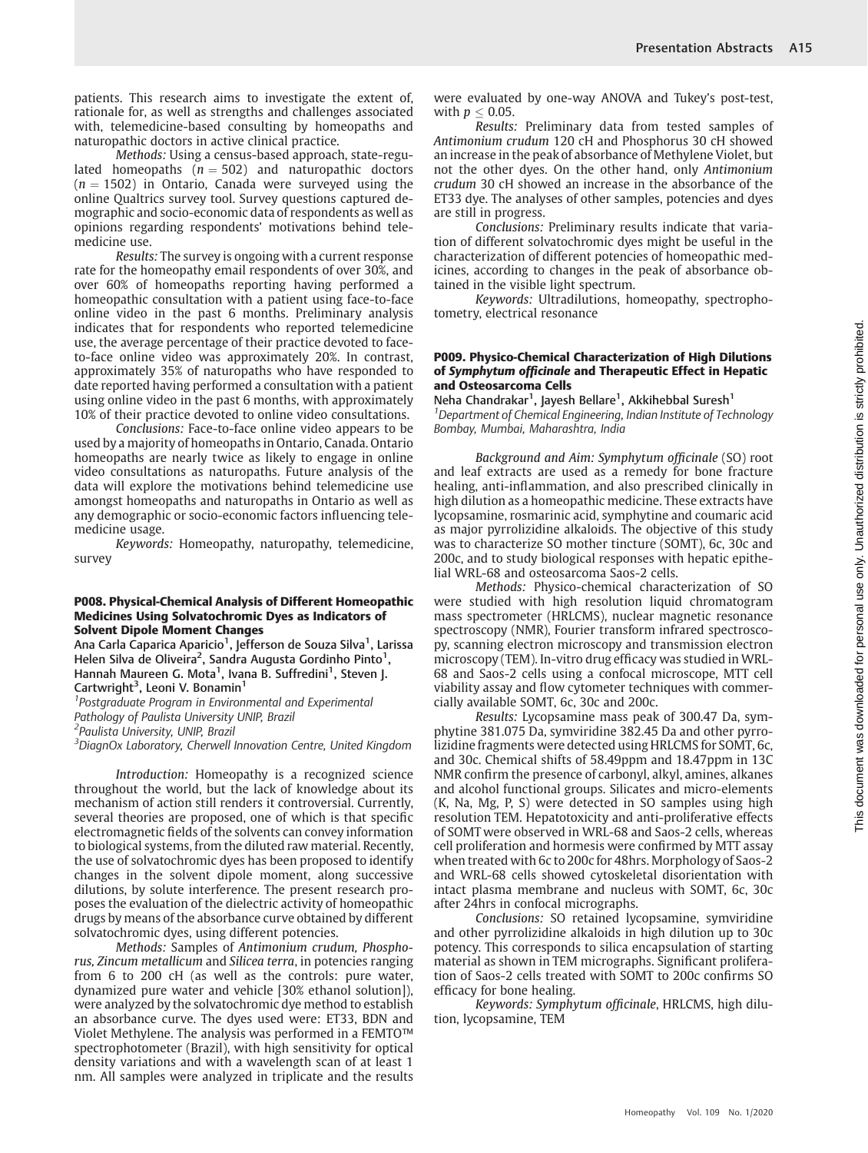patients. This research aims to investigate the extent of, rationale for, as well as strengths and challenges associated with, telemedicine-based consulting by homeopaths and naturopathic doctors in active clinical practice.

Methods: Using a census-based approach, state-regulated homeopaths ( $n = 502$ ) and naturopathic doctors  $(n = 1502)$  in Ontario, Canada were surveyed using the online Qualtrics survey tool. Survey questions captured demographic and socio-economic data of respondents as well as opinions regarding respondents' motivations behind telemedicine use.

Results: The survey is ongoing with a current response rate for the homeopathy email respondents of over 30%, and over 60% of homeopaths reporting having performed a homeopathic consultation with a patient using face-to-face online video in the past 6 months. Preliminary analysis indicates that for respondents who reported telemedicine use, the average percentage of their practice devoted to faceto-face online video was approximately 20%. In contrast, approximately 35% of naturopaths who have responded to date reported having performed a consultation with a patient using online video in the past 6 months, with approximately 10% of their practice devoted to online video consultations.

Conclusions: Face-to-face online video appears to be used by a majority of homeopaths in Ontario, Canada. Ontario homeopaths are nearly twice as likely to engage in online video consultations as naturopaths. Future analysis of the data will explore the motivations behind telemedicine use amongst homeopaths and naturopaths in Ontario as well as any demographic or socio-economic factors influencing telemedicine usage.

Keywords: Homeopathy, naturopathy, telemedicine, survey

#### P008. Physical-Chemical Analysis of Different Homeopathic Medicines Using Solvatochromic Dyes as Indicators of Solvent Dipole Moment Changes

Ana Carla Caparica Aparicio<sup>1</sup>, Jefferson de Souza Silva<sup>1</sup>, Larissa Helen Silva de Oliveira<sup>2</sup>, Sandra Augusta Gordinho Pinto<sup>1</sup>, Hannah Maureen G. Mota<sup>1</sup>, Ivana B. Suffredini<sup>1</sup>, Steven J. Cartwright<sup>3</sup>, Leoni V. Bonamin<sup>1</sup>

<sup>1</sup>Postgraduate Program in Environmental and Experimental Pathology of Paulista University UNIP, Brazil 2 Paulista University, UNIP, Brazil

<sup>3</sup>DiagnOx Laboratory, Cherwell Innovation Centre, United Kingdom

Introduction: Homeopathy is a recognized science throughout the world, but the lack of knowledge about its mechanism of action still renders it controversial. Currently, several theories are proposed, one of which is that specific electromagnetic fields of the solvents can convey information to biological systems, from the diluted raw material. Recently, the use of solvatochromic dyes has been proposed to identify changes in the solvent dipole moment, along successive dilutions, by solute interference. The present research proposes the evaluation of the dielectric activity of homeopathic drugs by means of the absorbance curve obtained by different solvatochromic dyes, using different potencies.

Methods: Samples of Antimonium crudum, Phosphorus, Zincum metallicum and Silicea terra, in potencies ranging from 6 to 200 cH (as well as the controls: pure water, dynamized pure water and vehicle [30% ethanol solution]), were analyzed by the solvatochromic dye method to establish an absorbance curve. The dyes used were: ET33, BDN and Violet Methylene. The analysis was performed in a FEMTO™ spectrophotometer (Brazil), with high sensitivity for optical density variations and with a wavelength scan of at least 1 nm. All samples were analyzed in triplicate and the results

were evaluated by one-way ANOVA and Tukey's post-test, with  $p < 0.05$ .

Results: Preliminary data from tested samples of Antimonium crudum 120 cH and Phosphorus 30 cH showed an increase in the peak of absorbance of Methylene Violet, but not the other dyes. On the other hand, only Antimonium crudum 30 cH showed an increase in the absorbance of the ET33 dye. The analyses of other samples, potencies and dyes are still in progress.

Conclusions: Preliminary results indicate that variation of different solvatochromic dyes might be useful in the characterization of different potencies of homeopathic medicines, according to changes in the peak of absorbance obtained in the visible light spectrum.

Keywords: Ultradilutions, homeopathy, spectrophotometry, electrical resonance

#### P009. Physico-Chemical Characterization of High Dilutions of Symphytum officinale and Therapeutic Effect in Hepatic and Osteosarcoma Cells

Neha Chandrakar<sup>1</sup>, Jayesh Bellare<sup>1</sup>, Akkihebbal Suresh<sup>1</sup> <sup>1</sup>Department of Chemical Engineering, Indian Institute of Technology Bombay, Mumbai, Maharashtra, India

Background and Aim: Symphytum officinale (SO) root and leaf extracts are used as a remedy for bone fracture healing, anti-inflammation, and also prescribed clinically in high dilution as a homeopathic medicine. These extracts have lycopsamine, rosmarinic acid, symphytine and coumaric acid as major pyrrolizidine alkaloids. The objective of this study was to characterize SO mother tincture (SOMT), 6c, 30c and 200c, and to study biological responses with hepatic epithelial WRL-68 and osteosarcoma Saos-2 cells.

Methods: Physico-chemical characterization of SO were studied with high resolution liquid chromatogram mass spectrometer (HRLCMS), nuclear magnetic resonance spectroscopy (NMR), Fourier transform infrared spectroscopy, scanning electron microscopy and transmission electron microscopy (TEM). In-vitro drug efficacy was studied in WRL-68 and Saos-2 cells using a confocal microscope, MTT cell viability assay and flow cytometer techniques with commercially available SOMT, 6c, 30c and 200c.

Results: Lycopsamine mass peak of 300.47 Da, symphytine 381.075 Da, symviridine 382.45 Da and other pyrrolizidine fragments were detected using HRLCMS for SOMT, 6c, and 30c. Chemical shifts of 58.49ppm and 18.47ppm in 13C NMR confirm the presence of carbonyl, alkyl, amines, alkanes and alcohol functional groups. Silicates and micro-elements (K, Na, Mg, P, S) were detected in SO samples using high resolution TEM. Hepatotoxicity and anti-proliferative effects of SOMT were observed in WRL-68 and Saos-2 cells, whereas cell proliferation and hormesis were confirmed by MTT assay when treated with 6c to 200c for 48hrs. Morphology of Saos-2 and WRL-68 cells showed cytoskeletal disorientation with intact plasma membrane and nucleus with SOMT, 6c, 30c after 24hrs in confocal micrographs.

Conclusions: SO retained lycopsamine, symviridine and other pyrrolizidine alkaloids in high dilution up to 30c potency. This corresponds to silica encapsulation of starting material as shown in TEM micrographs. Significant proliferation of Saos-2 cells treated with SOMT to 200c confirms SO efficacy for bone healing.

Keywords: Symphytum officinale, HRLCMS, high dilution, lycopsamine, TEM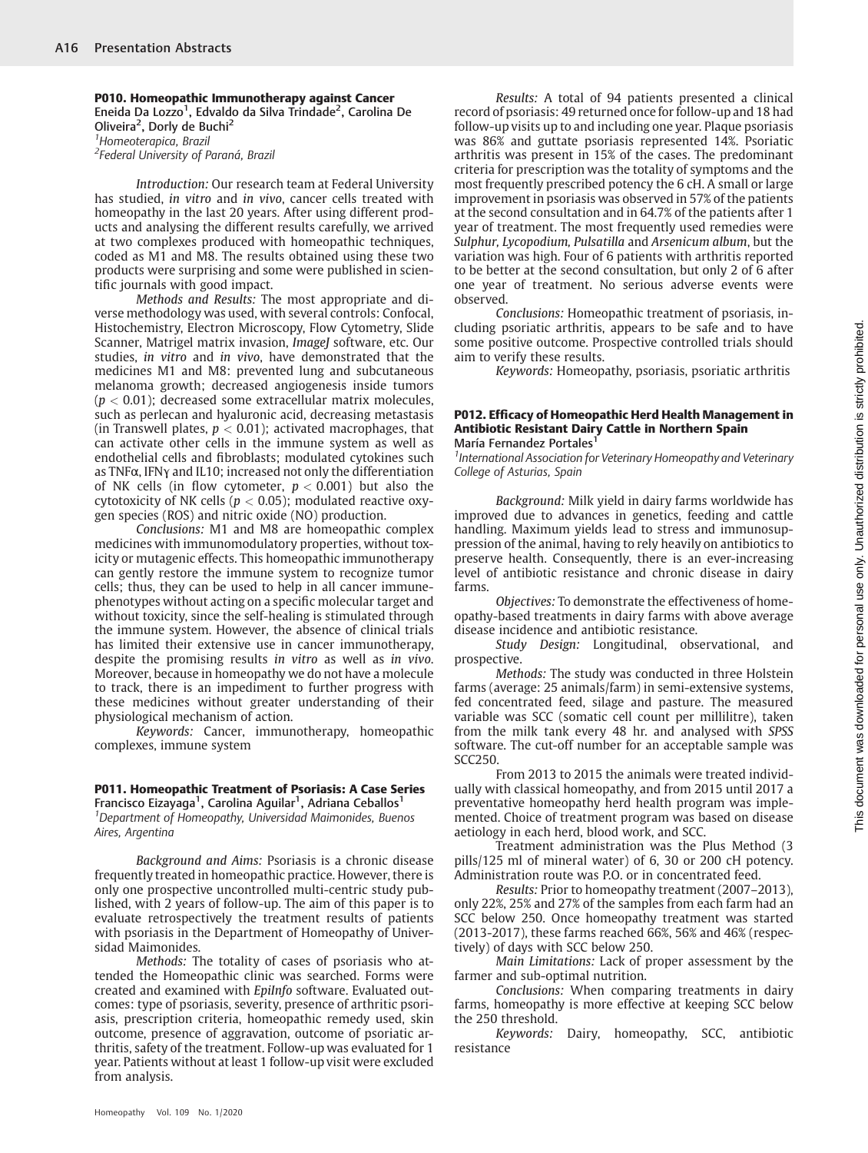P010. Homeopathic Immunotherapy against Cancer Eneida Da Lozzo<sup>1</sup>, Edvaldo da Silva Trindade<sup>2</sup>, Carolina De Oliveira<sup>2</sup>, Dorly de Buchi<sup>2</sup> 1 Homeoterapica, Brazil <sup>2</sup>Federal University of Paraná, Brazil

Introduction: Our research team at Federal University has studied, in vitro and in vivo, cancer cells treated with homeopathy in the last 20 years. After using different products and analysing the different results carefully, we arrived at two complexes produced with homeopathic techniques, coded as M1 and M8. The results obtained using these two products were surprising and some were published in scientific journals with good impact.

Methods and Results: The most appropriate and diverse methodology was used, with several controls: Confocal, Histochemistry, Electron Microscopy, Flow Cytometry, Slide Scanner, Matrigel matrix invasion, ImageJ software, etc. Our studies, in vitro and in vivo, have demonstrated that the medicines M1 and M8: prevented lung and subcutaneous melanoma growth; decreased angiogenesis inside tumors  $(p < 0.01)$ ; decreased some extracellular matrix molecules, such as perlecan and hyaluronic acid, decreasing metastasis (in Transwell plates,  $p < 0.01$ ); activated macrophages, that can activate other cells in the immune system as well as endothelial cells and fibroblasts; modulated cytokines such as TNFα, IFNγ and IL10; increased not only the differentiation of NK cells (in flow cytometer,  $p < 0.001$ ) but also the cytotoxicity of NK cells ( $p < 0.05$ ); modulated reactive oxygen species (ROS) and nitric oxide (NO) production.

Conclusions: M1 and M8 are homeopathic complex medicines with immunomodulatory properties, without toxicity or mutagenic effects. This homeopathic immunotherapy can gently restore the immune system to recognize tumor cells; thus, they can be used to help in all cancer immunephenotypes without acting on a specific molecular target and without toxicity, since the self-healing is stimulated through the immune system. However, the absence of clinical trials has limited their extensive use in cancer immunotherapy, despite the promising results in vitro as well as in vivo. Moreover, because in homeopathy we do not have a molecule to track, there is an impediment to further progress with these medicines without greater understanding of their physiological mechanism of action.

Keywords: Cancer, immunotherapy, homeopathic complexes, immune system

## P011. Homeopathic Treatment of Psoriasis: A Case Series

Francisco Eizayaga<sup>1</sup>, Carolina Aguilar<sup>1</sup>, Adriana Ceballos<sup>1</sup> <sup>1</sup>Department of Homeopathy, Universidad Maimonides, Buenos Aires, Argentina

Background and Aims: Psoriasis is a chronic disease frequently treated in homeopathic practice. However, there is only one prospective uncontrolled multi-centric study published, with 2 years of follow-up. The aim of this paper is to evaluate retrospectively the treatment results of patients with psoriasis in the Department of Homeopathy of Universidad Maimonides.

Methods: The totality of cases of psoriasis who attended the Homeopathic clinic was searched. Forms were created and examined with EpiInfo software. Evaluated outcomes: type of psoriasis, severity, presence of arthritic psoriasis, prescription criteria, homeopathic remedy used, skin outcome, presence of aggravation, outcome of psoriatic arthritis, safety of the treatment. Follow-up was evaluated for 1 year. Patients without at least 1 follow-up visit were excluded from analysis.

Results: A total of 94 patients presented a clinical record of psoriasis: 49 returned once for follow-up and 18 had follow-up visits up to and including one year. Plaque psoriasis was 86% and guttate psoriasis represented 14%. Psoriatic arthritis was present in 15% of the cases. The predominant criteria for prescription was the totality of symptoms and the most frequently prescribed potency the 6 cH. A small or large improvement in psoriasis was observed in 57% of the patients at the second consultation and in 64.7% of the patients after 1 year of treatment. The most frequently used remedies were Sulphur, Lycopodium, Pulsatilla and Arsenicum album, but the variation was high. Four of 6 patients with arthritis reported to be better at the second consultation, but only 2 of 6 after one year of treatment. No serious adverse events were observed.

Conclusions: Homeopathic treatment of psoriasis, including psoriatic arthritis, appears to be safe and to have some positive outcome. Prospective controlled trials should aim to verify these results.

Keywords: Homeopathy, psoriasis, psoriatic arthritis

#### P012. Efficacy of Homeopathic Herd Health Management in Antibiotic Resistant Dairy Cattle in Northern Spain María Fernandez Portales<sup>1</sup>

<sup>1</sup> International Association for Veterinary Homeopathy and Veterinary College of Asturias, Spain

Background: Milk yield in dairy farms worldwide has improved due to advances in genetics, feeding and cattle handling. Maximum yields lead to stress and immunosuppression of the animal, having to rely heavily on antibiotics to preserve health. Consequently, there is an ever-increasing level of antibiotic resistance and chronic disease in dairy farms.

Objectives: To demonstrate the effectiveness of homeopathy-based treatments in dairy farms with above average disease incidence and antibiotic resistance.

Study Design: Longitudinal, observational, and prospective.

Methods: The study was conducted in three Holstein farms (average: 25 animals/farm) in semi-extensive systems, fed concentrated feed, silage and pasture. The measured variable was SCC (somatic cell count per millilitre), taken from the milk tank every 48 hr. and analysed with SPSS software. The cut-off number for an acceptable sample was SCC250.

From 2013 to 2015 the animals were treated individually with classical homeopathy, and from 2015 until 2017 a preventative homeopathy herd health program was implemented. Choice of treatment program was based on disease aetiology in each herd, blood work, and SCC.

Treatment administration was the Plus Method (3 pills/125 ml of mineral water) of 6, 30 or 200 cH potency. Administration route was P.O. or in concentrated feed.

Results: Prior to homeopathy treatment (2007–2013), only 22%, 25% and 27% of the samples from each farm had an SCC below 250. Once homeopathy treatment was started (2013-2017), these farms reached 66%, 56% and 46% (respectively) of days with SCC below 250.

Main Limitations: Lack of proper assessment by the farmer and sub-optimal nutrition.

Conclusions: When comparing treatments in dairy farms, homeopathy is more effective at keeping SCC below the 250 threshold.

Keywords: Dairy, homeopathy, SCC, antibiotic resistance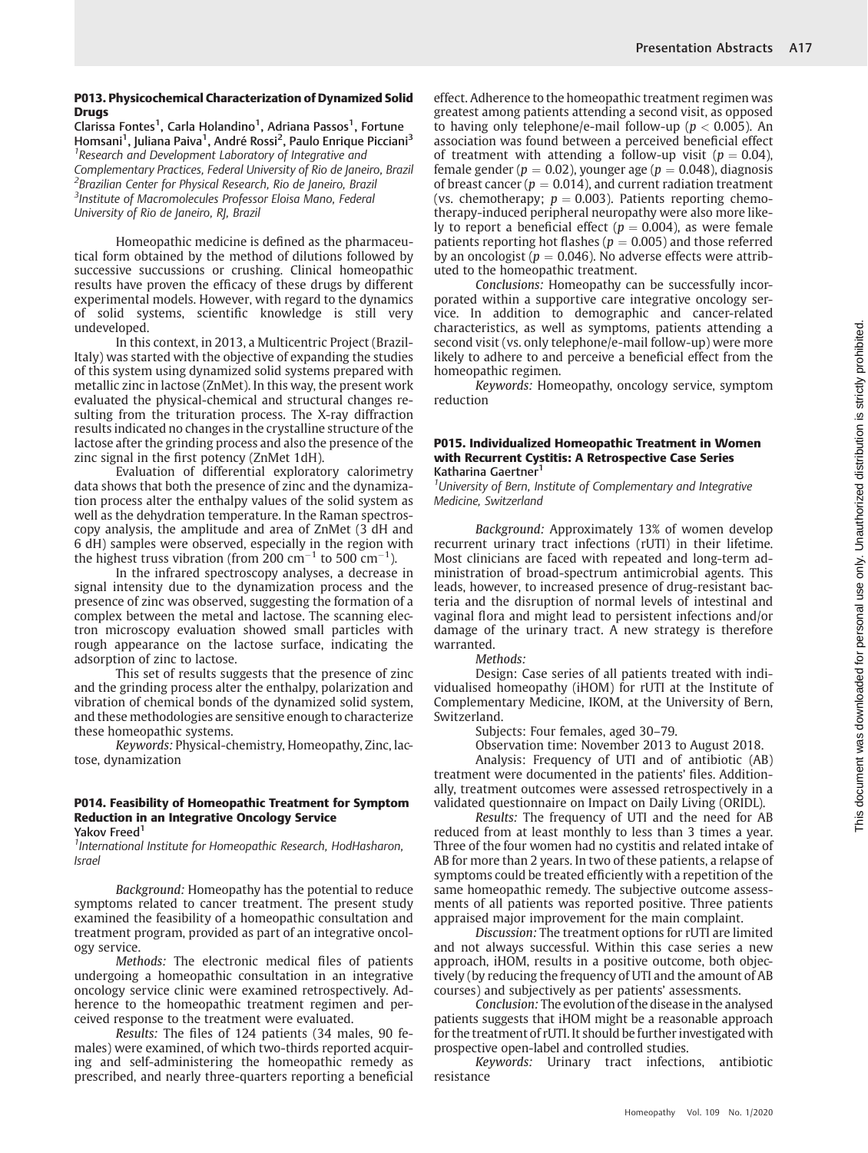#### P013. Physicochemical Characterization of Dynamized Solid **Drugs**

Clarissa Fontes<sup>1</sup>, Carla Holandino<sup>1</sup>, Adriana Passos<sup>1</sup>, Fortune Homsani<sup>1</sup>, Juliana Paiva<sup>1</sup>, André Rossi<sup>2</sup>, Paulo Enrique Picciani<sup>3</sup> <sup>1</sup> Research and Development Laboratory of Integrative and Complementary Practices, Federal University of Rio de Janeiro, Brazil <sup>2</sup>Brazilian Center for Physical Research, Rio de Janeiro, Brazil <sup>3</sup>Institute of Macromolecules Professor Eloisa Mano, Federal University of Rio de Janeiro, RJ, Brazil

Homeopathic medicine is defined as the pharmaceutical form obtained by the method of dilutions followed by successive succussions or crushing. Clinical homeopathic results have proven the efficacy of these drugs by different experimental models. However, with regard to the dynamics of solid systems, scientific knowledge is still very undeveloped.

In this context, in 2013, a Multicentric Project (Brazil-Italy) was started with the objective of expanding the studies of this system using dynamized solid systems prepared with metallic zinc in lactose (ZnMet). In this way, the present work evaluated the physical-chemical and structural changes resulting from the trituration process. The X-ray diffraction results indicated no changes in the crystalline structure of the lactose after the grinding process and also the presence of the zinc signal in the first potency (ZnMet 1dH).

Evaluation of differential exploratory calorimetry data shows that both the presence of zinc and the dynamization process alter the enthalpy values of the solid system as well as the dehydration temperature. In the Raman spectroscopy analysis, the amplitude and area of ZnMet (3 dH and 6 dH) samples were observed, especially in the region with the highest truss vibration (from  $200 \text{ cm}^{-1}$  to 500  $\text{cm}^{-1}$ ).

In the infrared spectroscopy analyses, a decrease in signal intensity due to the dynamization process and the presence of zinc was observed, suggesting the formation of a complex between the metal and lactose. The scanning electron microscopy evaluation showed small particles with rough appearance on the lactose surface, indicating the adsorption of zinc to lactose.

This set of results suggests that the presence of zinc and the grinding process alter the enthalpy, polarization and vibration of chemical bonds of the dynamized solid system, and these methodologies are sensitive enough to characterize these homeopathic systems.

Keywords: Physical-chemistry, Homeopathy, Zinc, lactose, dynamization

# P014. Feasibility of Homeopathic Treatment for Symptom Reduction in an Integrative Oncology Service

Yakov Freed<sup>1</sup>

<sup>1</sup> International Institute for Homeopathic Research, HodHasharon, Israel

Background: Homeopathy has the potential to reduce symptoms related to cancer treatment. The present study examined the feasibility of a homeopathic consultation and treatment program, provided as part of an integrative oncology service.

Methods: The electronic medical files of patients undergoing a homeopathic consultation in an integrative oncology service clinic were examined retrospectively. Adherence to the homeopathic treatment regimen and perceived response to the treatment were evaluated.

Results: The files of 124 patients (34 males, 90 females) were examined, of which two-thirds reported acquiring and self-administering the homeopathic remedy as prescribed, and nearly three-quarters reporting a beneficial effect. Adherence to the homeopathic treatment regimen was greatest among patients attending a second visit, as opposed to having only telephone/e-mail follow-up ( $p < 0.005$ ). An association was found between a perceived beneficial effect of treatment with attending a follow-up visit ( $p = 0.04$ ), female gender ( $p = 0.02$ ), younger age ( $p = 0.048$ ), diagnosis of breast cancer ( $p = 0.014$ ), and current radiation treatment (vs. chemotherapy;  $p = 0.003$ ). Patients reporting chemotherapy-induced peripheral neuropathy were also more likely to report a beneficial effect ( $p = 0.004$ ), as were female patients reporting hot flashes ( $p = 0.005$ ) and those referred by an oncologist ( $p = 0.046$ ). No adverse effects were attributed to the homeopathic treatment.

Conclusions: Homeopathy can be successfully incorporated within a supportive care integrative oncology service. In addition to demographic and cancer-related characteristics, as well as symptoms, patients attending a second visit (vs. only telephone/e-mail follow-up) were more likely to adhere to and perceive a beneficial effect from the homeopathic regimen.

Keywords: Homeopathy, oncology service, symptom reduction

#### P015. Individualized Homeopathic Treatment in Women with Recurrent Cystitis: A Retrospective Case Series Katharina Gaertner<sup>1</sup>

<sup>1</sup>University of Bern, Institute of Complementary and Integrative Medicine, Switzerland

Background: Approximately 13% of women develop recurrent urinary tract infections (rUTI) in their lifetime. Most clinicians are faced with repeated and long-term administration of broad-spectrum antimicrobial agents. This leads, however, to increased presence of drug-resistant bacteria and the disruption of normal levels of intestinal and vaginal flora and might lead to persistent infections and/or damage of the urinary tract. A new strategy is therefore warranted.

Methods:

Design: Case series of all patients treated with individualised homeopathy (iHOM) for rUTI at the Institute of Complementary Medicine, IKOM, at the University of Bern, Switzerland.

Subjects: Four females, aged 30–79.

Observation time: November 2013 to August 2018. Analysis: Frequency of UTI and of antibiotic (AB) treatment were documented in the patients' files. Additionally, treatment outcomes were assessed retrospectively in a validated questionnaire on Impact on Daily Living (ORIDL).

Results: The frequency of UTI and the need for AB reduced from at least monthly to less than 3 times a year. Three of the four women had no cystitis and related intake of AB for more than 2 years. In two of these patients, a relapse of symptoms could be treated efficiently with a repetition of the same homeopathic remedy. The subjective outcome assessments of all patients was reported positive. Three patients appraised major improvement for the main complaint.

Discussion: The treatment options for rUTI are limited and not always successful. Within this case series a new approach, iHOM, results in a positive outcome, both objectively (by reducing the frequency of UTI and the amount of AB courses) and subjectively as per patients' assessments.

Conclusion: The evolution of the disease in the analysed patients suggests that iHOM might be a reasonable approach for the treatment of rUTI. It should be further investigated with prospective open-label and controlled studies.

Keywords: Urinary tract infections, antibiotic resistance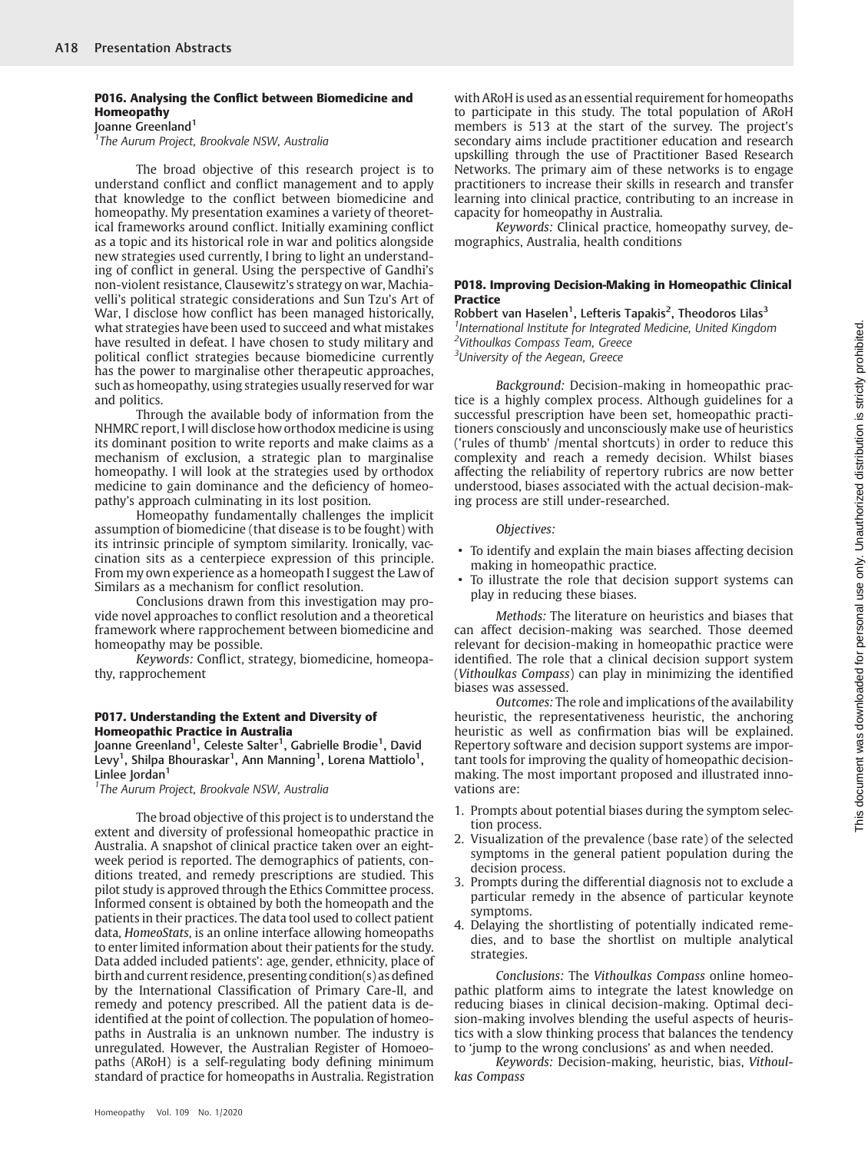#### P016. Analysing the Conflict between Biomedicine and Homeopathy Joanne Greenland<sup>1</sup>

<sup>1</sup>The Aurum Project, Brookvale NSW, Australia

The broad objective of this research project is to understand conflict and conflict management and to apply that knowledge to the conflict between biomedicine and homeopathy. My presentation examines a variety of theoretical frameworks around conflict. Initially examining conflict as a topic and its historical role in war and politics alongside new strategies used currently, I bring to light an understanding of conflict in general. Using the perspective of Gandhi's non-violent resistance, Clausewitz's strategy on war, Machiavelli's political strategic considerations and Sun Tzu's Art of War, I disclose how conflict has been managed historically, what strategies have been used to succeed and what mistakes have resulted in defeat. I have chosen to study military and political conflict strategies because biomedicine currently has the power to marginalise other therapeutic approaches, such as homeopathy, using strategies usually reserved for war and politics.

Through the available body of information from the NHMRC report, I will disclose how orthodox medicine is using its dominant position to write reports and make claims as a mechanism of exclusion, a strategic plan to marginalise homeopathy. I will look at the strategies used by orthodox medicine to gain dominance and the deficiency of homeopathy's approach culminating in its lost position.

Homeopathy fundamentally challenges the implicit assumption of biomedicine (that disease is to be fought) with its intrinsic principle of symptom similarity. Ironically, vaccination sits as a centerpiece expression of this principle. From my own experience as a homeopath I suggest the Law of Similars as a mechanism for conflict resolution.

Conclusions drawn from this investigation may provide novel approaches to conflict resolution and a theoretical framework where rapprochement between biomedicine and homeopathy may be possible.

Keywords: Conflict, strategy, biomedicine, homeopathy, rapprochement

#### P017. Understanding the Extent and Diversity of Homeopathic Practice in Australia

Joanne Greenland<sup>1</sup>, Celeste Salter<sup>1</sup>, Gabrielle Brodie<sup>1</sup>, David  ${\rm Levy}^1$ , Shilpa Bhouraskar $^1$ , Ann Manning $^1$ , Lorena Mattiolo $^1$ , Linlee Jordan<sup>1</sup>

<sup>1</sup>The Aurum Project, Brookvale NSW, Australia

The broad objective of this project is to understand the extent and diversity of professional homeopathic practice in Australia. A snapshot of clinical practice taken over an eightweek period is reported. The demographics of patients, conditions treated, and remedy prescriptions are studied. This pilot study is approved through the Ethics Committee process. Informed consent is obtained by both the homeopath and the patients in their practices. The data tool used to collect patient data, HomeoStats, is an online interface allowing homeopaths to enter limited information about their patients for the study. Data added included patients': age, gender, ethnicity, place of birth and current residence, presenting condition(s) as defined by the International Classification of Primary Care-II, and remedy and potency prescribed. All the patient data is deidentified at the point of collection. The population of homeopaths in Australia is an unknown number. The industry is unregulated. However, the Australian Register of Homoeopaths (ARoH) is a self-regulating body defining minimum standard of practice for homeopaths in Australia. Registration

with ARoH is used as an essential requirement for homeopaths to participate in this study. The total population of ARoH members is 513 at the start of the survey. The project's secondary aims include practitioner education and research upskilling through the use of Practitioner Based Research Networks. The primary aim of these networks is to engage practitioners to increase their skills in research and transfer learning into clinical practice, contributing to an increase in capacity for homeopathy in Australia.

Keywords: Clinical practice, homeopathy survey, demographics, Australia, health conditions

#### P018. Improving Decision-Making in Homeopathic Clinical **Practice**

Robbert van Haselen<sup>1</sup>, Lefteris Tapakis<sup>2</sup>, Theodoros Lilas<sup>3</sup> <sup>1</sup> International Institute for Integrated Medicine, United Kingdom 2 Vithoulkas Compass Team, Greece <sup>3</sup>University of the Aegean, Greece

Background: Decision-making in homeopathic practice is a highly complex process. Although guidelines for a successful prescription have been set, homeopathic practitioners consciously and unconsciously make use of heuristics ('rules of thumb' /mental shortcuts) in order to reduce this complexity and reach a remedy decision. Whilst biases affecting the reliability of repertory rubrics are now better understood, biases associated with the actual decision-making process are still under-researched.

#### Objectives:

- To identify and explain the main biases affecting decision making in homeopathic practice.
- To illustrate the role that decision support systems can play in reducing these biases.

Methods: The literature on heuristics and biases that can affect decision-making was searched. Those deemed relevant for decision-making in homeopathic practice were identified. The role that a clinical decision support system (Vithoulkas Compass) can play in minimizing the identified biases was assessed.

Outcomes: The role and implications of the availability heuristic, the representativeness heuristic, the anchoring heuristic as well as confirmation bias will be explained. Repertory software and decision support systems are important tools for improving the quality of homeopathic decisionmaking. The most important proposed and illustrated innovations are:

- 1. Prompts about potential biases during the symptom selection process.
- 2. Visualization of the prevalence (base rate) of the selected symptoms in the general patient population during the decision process.
- 3. Prompts during the differential diagnosis not to exclude a particular remedy in the absence of particular keynote symptoms.
- 4. Delaying the shortlisting of potentially indicated remedies, and to base the shortlist on multiple analytical strategies.

Conclusions: The Vithoulkas Compass online homeopathic platform aims to integrate the latest knowledge on reducing biases in clinical decision-making. Optimal decision-making involves blending the useful aspects of heuristics with a slow thinking process that balances the tendency to 'jump to the wrong conclusions' as and when needed.

Keywords: Decision-making, heuristic, bias, Vithoulkas Compass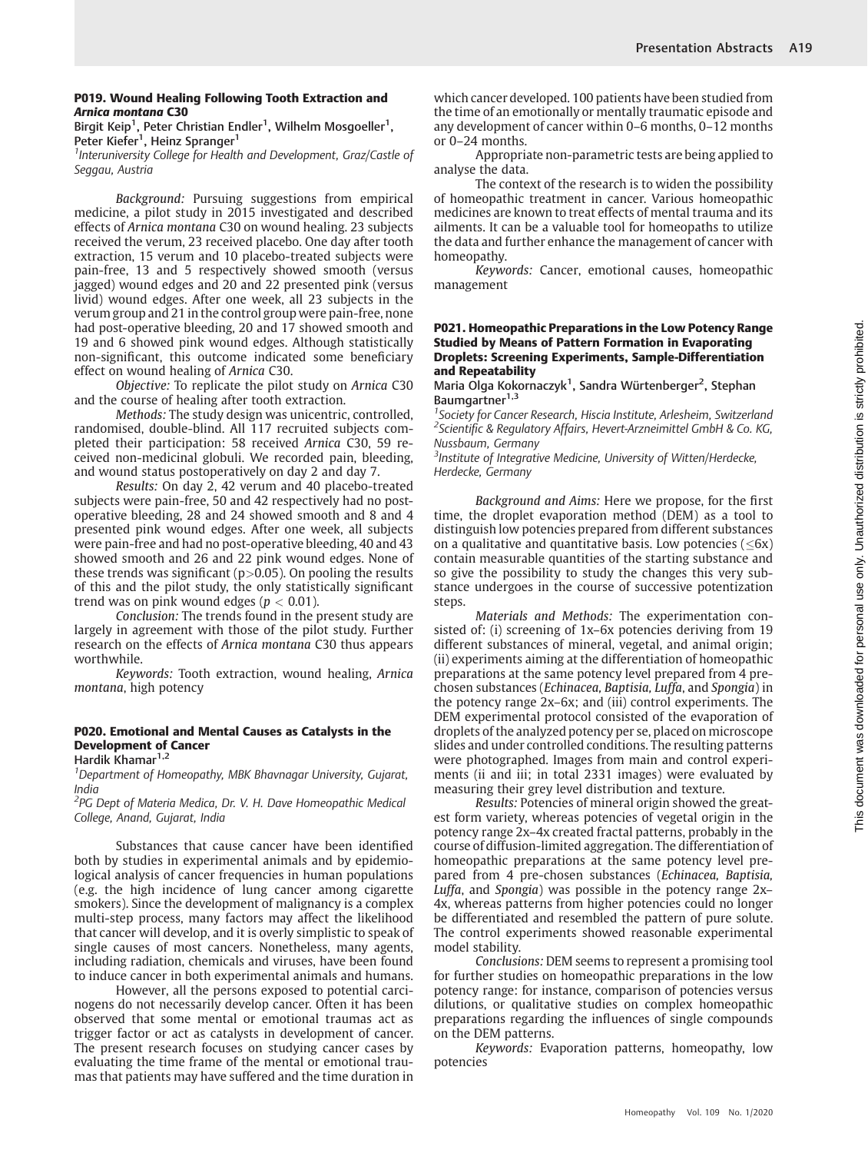#### P019. Wound Healing Following Tooth Extraction and Arnica montana C30

Birgit Keip $^1$ , Peter Christian Endler $^1$ , Wilhelm Mosgoeller $^1,$ Peter Kiefer<sup>1</sup>, Heinz Spranger<sup>1</sup>

<sup>1</sup>Interuniversity College for Health and Development, Graz/Castle of Seggau, Austria

Background: Pursuing suggestions from empirical medicine, a pilot study in 2015 investigated and described effects of Arnica montana C30 on wound healing. 23 subjects received the verum, 23 received placebo. One day after tooth extraction, 15 verum and 10 placebo-treated subjects were pain-free, 13 and 5 respectively showed smooth (versus jagged) wound edges and 20 and 22 presented pink (versus livid) wound edges. After one week, all 23 subjects in the verum group and 21 in the control group were pain-free, none had post-operative bleeding, 20 and 17 showed smooth and 19 and 6 showed pink wound edges. Although statistically non-significant, this outcome indicated some beneficiary effect on wound healing of Arnica C30.

Objective: To replicate the pilot study on Arnica C30 and the course of healing after tooth extraction.

Methods: The study design was unicentric, controlled, randomised, double-blind. All 117 recruited subjects completed their participation: 58 received Arnica C30, 59 received non-medicinal globuli. We recorded pain, bleeding, and wound status postoperatively on day 2 and day 7.

Results: On day 2, 42 verum and 40 placebo-treated subjects were pain-free, 50 and 42 respectively had no postoperative bleeding, 28 and 24 showed smooth and 8 and 4 presented pink wound edges. After one week, all subjects were pain-free and had no post-operative bleeding, 40 and 43 showed smooth and 26 and 22 pink wound edges. None of these trends was significant ( $p > 0.05$ ). On pooling the results of this and the pilot study, the only statistically significant trend was on pink wound edges ( $p < 0.01$ ).

Conclusion: The trends found in the present study are largely in agreement with those of the pilot study. Further research on the effects of Arnica montana C30 thus appears worthwhile.

Keywords: Tooth extraction, wound healing, Arnica montana, high potency

# P020. Emotional and Mental Causes as Catalysts in the Development of Cancer

Hardik Khamar<sup>1,2</sup>

<sup>1</sup>Department of Homeopathy, MBK Bhavnagar University, Gujarat, India

<sup>2</sup>PG Dept of Materia Medica, Dr. V. H. Dave Homeopathic Medical College, Anand, Gujarat, India

Substances that cause cancer have been identified both by studies in experimental animals and by epidemiological analysis of cancer frequencies in human populations (e.g. the high incidence of lung cancer among cigarette smokers). Since the development of malignancy is a complex multi-step process, many factors may affect the likelihood that cancer will develop, and it is overly simplistic to speak of single causes of most cancers. Nonetheless, many agents, including radiation, chemicals and viruses, have been found to induce cancer in both experimental animals and humans.

However, all the persons exposed to potential carcinogens do not necessarily develop cancer. Often it has been observed that some mental or emotional traumas act as trigger factor or act as catalysts in development of cancer. The present research focuses on studying cancer cases by evaluating the time frame of the mental or emotional traumas that patients may have suffered and the time duration in

which cancer developed. 100 patients have been studied from the time of an emotionally or mentally traumatic episode and any development of cancer within 0–6 months, 0–12 months or 0–24 months.

Appropriate non-parametric tests are being applied to analyse the data.

The context of the research is to widen the possibility of homeopathic treatment in cancer. Various homeopathic medicines are known to treat effects of mental trauma and its ailments. It can be a valuable tool for homeopaths to utilize the data and further enhance the management of cancer with homeopathy.

Keywords: Cancer, emotional causes, homeopathic management

#### P021. Homeopathic Preparations in the Low Potency Range Studied by Means of Pattern Formation in Evaporating Droplets: Screening Experiments, Sample-Differentiation and Repeatability

Maria Olga Kokornaczyk<sup>1</sup>, Sandra Würtenberger<sup>2</sup>, Stephan Baumgartner<sup>1,3</sup>

<sup>1</sup> Society for Cancer Research, Hiscia Institute, Arlesheim, Switzerland <sup>2</sup>Scientific & Regulatory Affairs, Hevert-Arzneimittel GmbH & Co. KG, Nussbaum, Germany

<sup>3</sup>Institute of Integrative Medicine, University of Witten/Herdecke, Herdecke, Germany

Background and Aims: Here we propose, for the first time, the droplet evaporation method (DEM) as a tool to distinguish low potencies prepared from different substances on a qualitative and quantitative basis. Low potencies ( $\leq 6x$ ) contain measurable quantities of the starting substance and so give the possibility to study the changes this very substance undergoes in the course of successive potentization steps.

Materials and Methods: The experimentation consisted of: (i) screening of 1x–6x potencies deriving from 19 different substances of mineral, vegetal, and animal origin; (ii) experiments aiming at the differentiation of homeopathic preparations at the same potency level prepared from 4 prechosen substances (Echinacea, Baptisia, Luffa, and Spongia) in the potency range 2x–6x; and (iii) control experiments. The DEM experimental protocol consisted of the evaporation of droplets of the analyzed potency per se, placed on microscope slides and under controlled conditions. The resulting patterns were photographed. Images from main and control experiments (ii and iii; in total 2331 images) were evaluated by measuring their grey level distribution and texture.

Results: Potencies of mineral origin showed the greatest form variety, whereas potencies of vegetal origin in the potency range 2x–4x created fractal patterns, probably in the course of diffusion-limited aggregation. The differentiation of homeopathic preparations at the same potency level prepared from 4 pre-chosen substances (Echinacea, Baptisia, Luffa, and Spongia) was possible in the potency range 2x– 4x, whereas patterns from higher potencies could no longer be differentiated and resembled the pattern of pure solute. The control experiments showed reasonable experimental model stability.

Conclusions: DEM seems to represent a promising tool for further studies on homeopathic preparations in the low potency range: for instance, comparison of potencies versus dilutions, or qualitative studies on complex homeopathic preparations regarding the influences of single compounds on the DEM patterns.

Keywords: Evaporation patterns, homeopathy, low potencies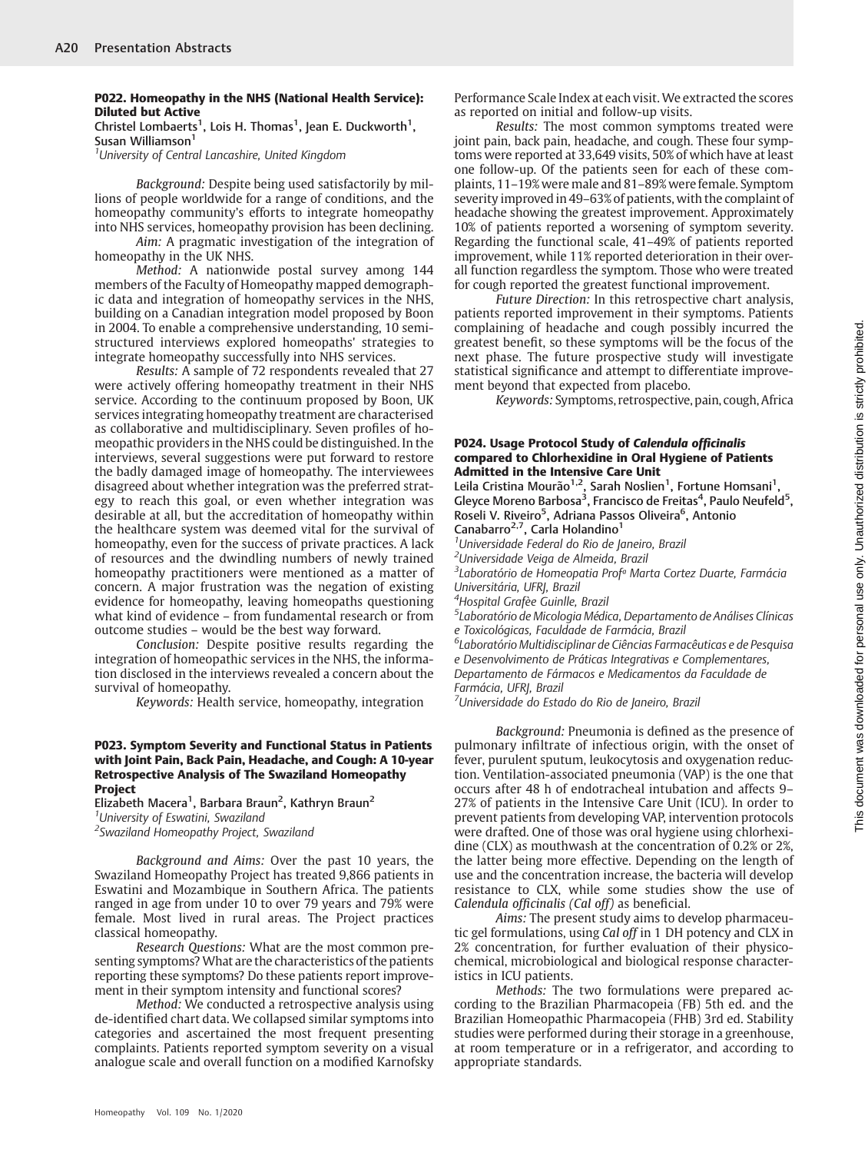#### P022. Homeopathy in the NHS (National Health Service): Diluted but Active

Christel Lombaerts<sup>1</sup>, Lois H. Thomas<sup>1</sup>, Jean E. Duckworth<sup>1</sup>, Susan Williamson<sup>1</sup>

<sup>1</sup>University of Central Lancashire, United Kingdom

Background: Despite being used satisfactorily by millions of people worldwide for a range of conditions, and the homeopathy community's efforts to integrate homeopathy into NHS services, homeopathy provision has been declining.

Aim: A pragmatic investigation of the integration of homeopathy in the UK NHS.

Method: A nationwide postal survey among 144 members of the Faculty of Homeopathy mapped demographic data and integration of homeopathy services in the NHS, building on a Canadian integration model proposed by Boon in 2004. To enable a comprehensive understanding, 10 semistructured interviews explored homeopaths' strategies to integrate homeopathy successfully into NHS services.

Results: A sample of 72 respondents revealed that 27 were actively offering homeopathy treatment in their NHS service. According to the continuum proposed by Boon, UK services integrating homeopathy treatment are characterised as collaborative and multidisciplinary. Seven profiles of homeopathic providers in the NHS could be distinguished. In the interviews, several suggestions were put forward to restore the badly damaged image of homeopathy. The interviewees disagreed about whether integration was the preferred strategy to reach this goal, or even whether integration was desirable at all, but the accreditation of homeopathy within the healthcare system was deemed vital for the survival of homeopathy, even for the success of private practices. A lack of resources and the dwindling numbers of newly trained homeopathy practitioners were mentioned as a matter of concern. A major frustration was the negation of existing evidence for homeopathy, leaving homeopaths questioning what kind of evidence – from fundamental research or from outcome studies – would be the best way forward.

Conclusion: Despite positive results regarding the integration of homeopathic services in the NHS, the information disclosed in the interviews revealed a concern about the survival of homeopathy.

Keywords: Health service, homeopathy, integration

#### P023. Symptom Severity and Functional Status in Patients with Joint Pain, Back Pain, Headache, and Cough: A 10-year Retrospective Analysis of The Swaziland Homeopathy **Project**

Elizabeth Macera<sup>1</sup>, Barbara Braun<sup>2</sup>, Kathryn Braun<sup>2</sup> <sup>1</sup>University of Eswatini, Swaziland

<sup>2</sup> Swaziland Homeopathy Project, Swaziland

Background and Aims: Over the past 10 years, the Swaziland Homeopathy Project has treated 9,866 patients in Eswatini and Mozambique in Southern Africa. The patients ranged in age from under 10 to over 79 years and 79% were female. Most lived in rural areas. The Project practices classical homeopathy.

Research Questions: What are the most common presenting symptoms?What are the characteristics of the patients reporting these symptoms? Do these patients report improvement in their symptom intensity and functional scores?

Method: We conducted a retrospective analysis using de-identified chart data. We collapsed similar symptoms into categories and ascertained the most frequent presenting complaints. Patients reported symptom severity on a visual analogue scale and overall function on a modified Karnofsky Performance Scale Index at each visit. We extracted the scores as reported on initial and follow-up visits.

Results: The most common symptoms treated were joint pain, back pain, headache, and cough. These four symptoms were reported at 33,649 visits, 50% of which have at least one follow-up. Of the patients seen for each of these complaints, 11–19% were male and 81–89% were female. Symptom severity improved in 49–63% of patients, with the complaint of headache showing the greatest improvement. Approximately 10% of patients reported a worsening of symptom severity. Regarding the functional scale, 41–49% of patients reported improvement, while 11% reported deterioration in their overall function regardless the symptom. Those who were treated for cough reported the greatest functional improvement.

Future Direction: In this retrospective chart analysis, patients reported improvement in their symptoms. Patients complaining of headache and cough possibly incurred the greatest benefit, so these symptoms will be the focus of the next phase. The future prospective study will investigate statistical significance and attempt to differentiate improvement beyond that expected from placebo.

Keywords: Symptoms, retrospective, pain, cough, Africa

#### P024. Usage Protocol Study of Calendula officinalis compared to Chlorhexidine in Oral Hygiene of Patients Admitted in the Intensive Care Unit

Leila Cristina Mourão<sup>1,2</sup>, Sarah Noslien<sup>1</sup>, Fortune Homsani<sup>1</sup>, Gleyce Moreno Barbosa<sup>3</sup>, Francisco de Freitas<sup>4</sup>, Paulo Neufeld<sup>5</sup>, Roseli V. Riveiro<sup>5</sup>, Adriana Passos Oliveira<sup>6</sup>, Antonio Canabarro<sup>2,7</sup>, Carla Holandino<sup>1</sup> <sup>1</sup>Universidade Federal do Rio de Janeiro, Brazil

<sup>2</sup>Universidade Veiga de Almeida, Brazil

<sup>3</sup> Laboratório de Homeopatia Prof<sup>a</sup> Marta Cortez Duarte, Farmácia Universitária, UFRJ, Brazil

4 Hospital Grafèe Guinlle, Brazil

5 Laboratório de Micologia Médica, Departamento de Análises Clínicas e Toxicológicas, Faculdade de Farmácia, Brazil

6 Laboratório Multidisciplinar de Ciências Farmacêuticas e de Pesquisa e Desenvolvimento de Práticas Integrativas e Complementares, Departamento de Fármacos e Medicamentos da Faculdade de Farmácia, UFRJ, Brazil

<sup>7</sup>Universidade do Estado do Rio de Janeiro, Brazil

Background: Pneumonia is defined as the presence of pulmonary infiltrate of infectious origin, with the onset of fever, purulent sputum, leukocytosis and oxygenation reduction. Ventilation-associated pneumonia (VAP) is the one that occurs after 48 h of endotracheal intubation and affects 9– 27% of patients in the Intensive Care Unit (ICU). In order to prevent patients from developing VAP, intervention protocols were drafted. One of those was oral hygiene using chlorhexidine (CLX) as mouthwash at the concentration of 0.2% or 2%, the latter being more effective. Depending on the length of use and the concentration increase, the bacteria will develop resistance to CLX, while some studies show the use of Calendula officinalis (Cal off) as beneficial.

Aims: The present study aims to develop pharmaceutic gel formulations, using Cal off in 1 DH potency and CLX in 2% concentration, for further evaluation of their physicochemical, microbiological and biological response characteristics in ICU patients.

Methods: The two formulations were prepared according to the Brazilian Pharmacopeia (FB) 5th ed. and the Brazilian Homeopathic Pharmacopeia (FHB) 3rd ed. Stability studies were performed during their storage in a greenhouse, at room temperature or in a refrigerator, and according to appropriate standards.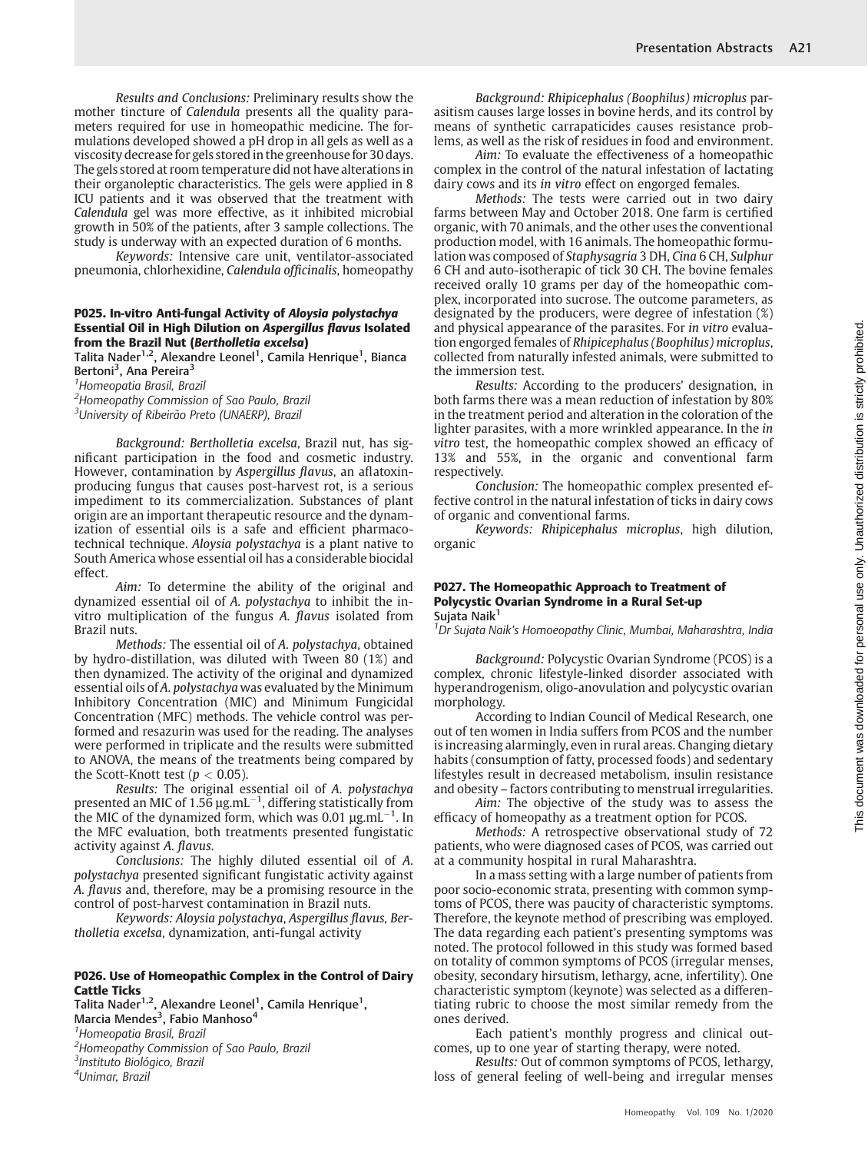Results and Conclusions: Preliminary results show the mother tincture of Calendula presents all the quality parameters required for use in homeopathic medicine. The formulations developed showed a pH drop in all gels as well as a viscosity decrease for gels stored in the greenhouse for 30 days. The gels stored at room temperature did not have alterations in their organoleptic characteristics. The gels were applied in 8 ICU patients and it was observed that the treatment with Calendula gel was more effective, as it inhibited microbial growth in 50% of the patients, after 3 sample collections. The study is underway with an expected duration of 6 months.

Keywords: Intensive care unit, ventilator-associated pneumonia, chlorhexidine, Calendula officinalis, homeopathy

#### P025. In-vitro Anti-fungal Activity of Aloysia polystachya Essential Oil in High Dilution on Aspergillus flavus Isolated from the Brazil Nut (Bertholletia excelsa)

Talita Nader<sup>1,2</sup>, Alexandre Leonel<sup>1</sup>, Camila Henrique<sup>1</sup>, Bianca Bertoni<sup>3</sup>, Ana Pereira<sup>3</sup>

<sup>1</sup> Homeopatia Brasil, Brazil

<sup>2</sup>Homeopathy Commission of Sao Paulo, Brazil

<sup>3</sup>University of Ribeirão Preto (UNAERP), Brazil

Background: Bertholletia excelsa, Brazil nut, has significant participation in the food and cosmetic industry. However, contamination by Aspergillus flavus, an aflatoxinproducing fungus that causes post-harvest rot, is a serious impediment to its commercialization. Substances of plant origin are an important therapeutic resource and the dynamization of essential oils is a safe and efficient pharmacotechnical technique. Aloysia polystachya is a plant native to South America whose essential oil has a considerable biocidal effect.

Aim: To determine the ability of the original and dynamized essential oil of A. polystachya to inhibit the invitro multiplication of the fungus A. flavus isolated from Brazil nuts.

Methods: The essential oil of A. polystachya, obtained by hydro-distillation, was diluted with Tween 80 (1%) and then dynamized. The activity of the original and dynamized essential oils of A. polystachya was evaluated by the Minimum Inhibitory Concentration (MIC) and Minimum Fungicidal Concentration (MFC) methods. The vehicle control was performed and resazurin was used for the reading. The analyses were performed in triplicate and the results were submitted to ANOVA, the means of the treatments being compared by the Scott-Knott test ( $p < 0.05$ ).

Results: The original essential oil of A. polystachya presented an MIC of 1.56  $\mu$ g.mL $^{-1}$ , differing statistically from the MIC of the dynamized form, which was 0.01  $\mu$ g.mL<sup>-1</sup>. In the MFC evaluation, both treatments presented fungistatic activity against A. flavus.

Conclusions: The highly diluted essential oil of A. polystachya presented significant fungistatic activity against A. flavus and, therefore, may be a promising resource in the control of post-harvest contamination in Brazil nuts.

Keywords: Aloysia polystachya, Aspergillus flavus, Bertholletia excelsa, dynamization, anti-fungal activity

#### P026. Use of Homeopathic Complex in the Control of Dairy Cattle Ticks

Talita Nader<sup>1,2</sup>, Alexandre Leonel<sup>1</sup>, Camila Henrique<sup>1</sup>,

Marcia Mendes<sup>3</sup>, Fabio Manhoso<sup>4</sup>

<sup>1</sup> Homeopatia Brasil, Brazil

<sup>2</sup> Homeopathy Commission of Sao Paulo, Brazil 3 Instituto Biológico, Brazil

4 Unimar, Brazil

Background: Rhipicephalus (Boophilus) microplus parasitism causes large losses in bovine herds, and its control by means of synthetic carrapaticides causes resistance problems, as well as the risk of residues in food and environment.

Aim: To evaluate the effectiveness of a homeopathic complex in the control of the natural infestation of lactating dairy cows and its in vitro effect on engorged females.

Methods: The tests were carried out in two dairy farms between May and October 2018. One farm is certified organic, with 70 animals, and the other uses the conventional production model, with 16 animals. The homeopathic formulation was composed of Staphysagria 3 DH, Cina 6 CH, Sulphur 6 CH and auto-isotherapic of tick 30 CH. The bovine females received orally 10 grams per day of the homeopathic complex, incorporated into sucrose. The outcome parameters, as designated by the producers, were degree of infestation (%) and physical appearance of the parasites. For in vitro evaluation engorged females of Rhipicephalus (Boophilus) microplus, collected from naturally infested animals, were submitted to the immersion test.

Results: According to the producers' designation, in both farms there was a mean reduction of infestation by 80% in the treatment period and alteration in the coloration of the lighter parasites, with a more wrinkled appearance. In the in vitro test, the homeopathic complex showed an efficacy of 13% and 55%, in the organic and conventional farm respectively.

Conclusion: The homeopathic complex presented effective control in the natural infestation of ticks in dairy cows of organic and conventional farms.

Keywords: Rhipicephalus microplus, high dilution, organic

#### P027. The Homeopathic Approach to Treatment of Polycystic Ovarian Syndrome in a Rural Set-up Sujata Naik<sup>1</sup>

<sup>1</sup> Dr Sujata Naik's Homoeopathy Clinic, Mumbai, Maharashtra, India

Background: Polycystic Ovarian Syndrome (PCOS) is a complex, chronic lifestyle-linked disorder associated with hyperandrogenism, oligo-anovulation and polycystic ovarian morphology.

According to Indian Council of Medical Research, one out of ten women in India suffers from PCOS and the number is increasing alarmingly, even in rural areas. Changing dietary habits (consumption of fatty, processed foods) and sedentary lifestyles result in decreased metabolism, insulin resistance and obesity – factors contributing to menstrual irregularities.

Aim: The objective of the study was to assess the efficacy of homeopathy as a treatment option for PCOS.

Methods: A retrospective observational study of 72 patients, who were diagnosed cases of PCOS, was carried out at a community hospital in rural Maharashtra.

In a mass setting with a large number of patients from poor socio-economic strata, presenting with common symptoms of PCOS, there was paucity of characteristic symptoms. Therefore, the keynote method of prescribing was employed. The data regarding each patient's presenting symptoms was noted. The protocol followed in this study was formed based on totality of common symptoms of PCOS (irregular menses, obesity, secondary hirsutism, lethargy, acne, infertility). One characteristic symptom (keynote) was selected as a differentiating rubric to choose the most similar remedy from the ones derived.

Each patient's monthly progress and clinical outcomes, up to one year of starting therapy, were noted.

Results: Out of common symptoms of PCOS, lethargy, loss of general feeling of well-being and irregular menses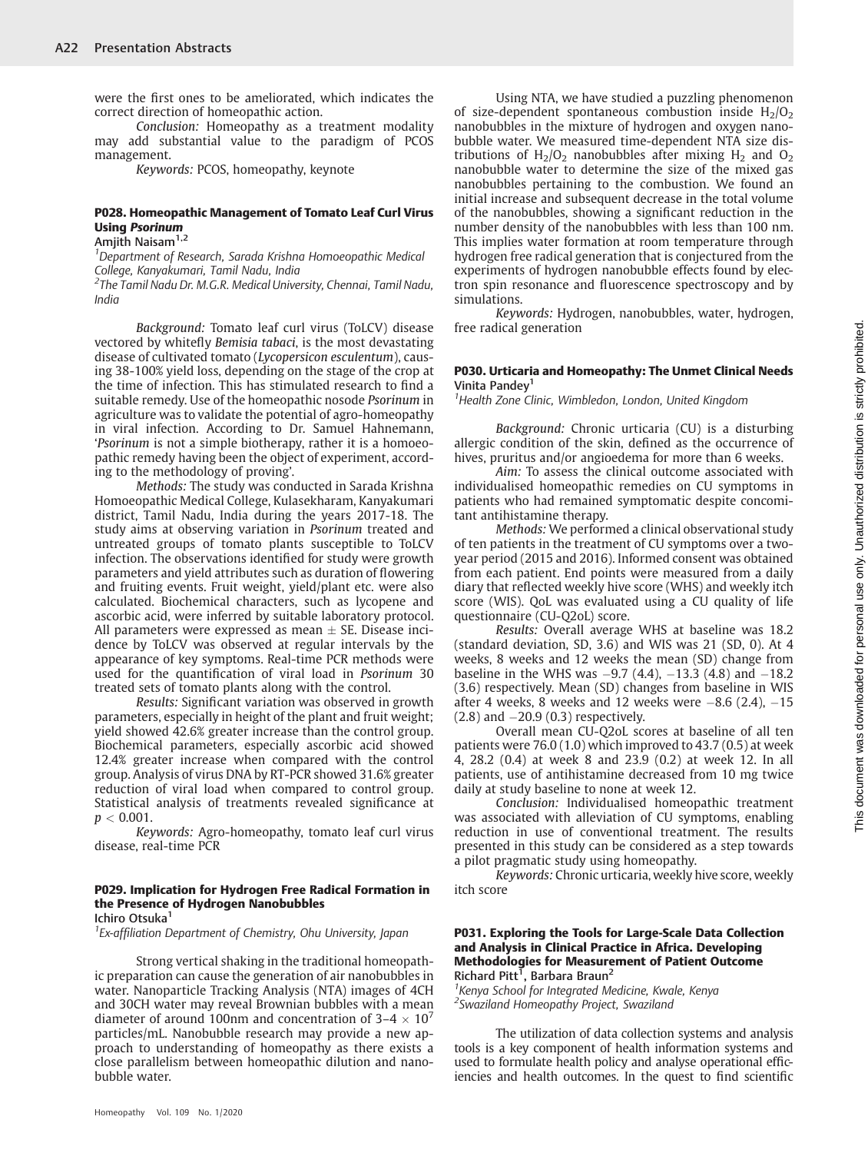were the first ones to be ameliorated, which indicates the correct direction of homeopathic action.

Conclusion: Homeopathy as a treatment modality may add substantial value to the paradigm of PCOS management.

Keywords: PCOS, homeopathy, keynote

#### P028. Homeopathic Management of Tomato Leaf Curl Virus Using Psorinum

# Amjith Naisam<sup>1,2</sup>

<sup>1</sup>Department of Research, Sarada Krishna Homoeopathic Medical College, Kanyakumari, Tamil Nadu, India

<sup>2</sup>The Tamil Nadu Dr. M.G.R. Medical University, Chennai, Tamil Nadu, India

Background: Tomato leaf curl virus (ToLCV) disease vectored by whitefly Bemisia tabaci, is the most devastating disease of cultivated tomato (Lycopersicon esculentum), causing 38-100% yield loss, depending on the stage of the crop at the time of infection. This has stimulated research to find a suitable remedy. Use of the homeopathic nosode Psorinum in agriculture was to validate the potential of agro-homeopathy in viral infection. According to Dr. Samuel Hahnemann, 'Psorinum is not a simple biotherapy, rather it is a homoeopathic remedy having been the object of experiment, according to the methodology of proving'.

Methods: The study was conducted in Sarada Krishna Homoeopathic Medical College, Kulasekharam, Kanyakumari district, Tamil Nadu, India during the years 2017-18. The study aims at observing variation in Psorinum treated and untreated groups of tomato plants susceptible to ToLCV infection. The observations identified for study were growth parameters and yield attributes such as duration of flowering and fruiting events. Fruit weight, yield/plant etc. were also calculated. Biochemical characters, such as lycopene and ascorbic acid, were inferred by suitable laboratory protocol. All parameters were expressed as mean  $\pm$  SE. Disease incidence by ToLCV was observed at regular intervals by the appearance of key symptoms. Real-time PCR methods were used for the quantification of viral load in Psorinum 30 treated sets of tomato plants along with the control.

Results: Significant variation was observed in growth parameters, especially in height of the plant and fruit weight; yield showed 42.6% greater increase than the control group. Biochemical parameters, especially ascorbic acid showed 12.4% greater increase when compared with the control group. Analysis of virus DNA by RT-PCR showed 31.6% greater reduction of viral load when compared to control group. Statistical analysis of treatments revealed significance at  $p < 0.001$ .

Keywords: Agro-homeopathy, tomato leaf curl virus disease, real-time PCR

# P029. Implication for Hydrogen Free Radical Formation in the Presence of Hydrogen Nanobubbles

Ichiro Otsuka<sup>1</sup>

<sup>1</sup> Ex-affiliation Department of Chemistry, Ohu University, Japan

Strong vertical shaking in the traditional homeopathic preparation can cause the generation of air nanobubbles in water. Nanoparticle Tracking Analysis (NTA) images of 4CH and 30CH water may reveal Brownian bubbles with a mean diameter of around 100nm and concentration of  $3-4 \times 10^7$ particles/mL. Nanobubble research may provide a new approach to understanding of homeopathy as there exists a close parallelism between homeopathic dilution and nanobubble water.

Using NTA, we have studied a puzzling phenomenon of size-dependent spontaneous combustion inside  $H_2/O_2$ nanobubbles in the mixture of hydrogen and oxygen nanobubble water. We measured time-dependent NTA size distributions of  $H_2/O_2$  nanobubbles after mixing  $H_2$  and  $O_2$ nanobubble water to determine the size of the mixed gas nanobubbles pertaining to the combustion. We found an initial increase and subsequent decrease in the total volume of the nanobubbles, showing a significant reduction in the number density of the nanobubbles with less than 100 nm. This implies water formation at room temperature through hydrogen free radical generation that is conjectured from the experiments of hydrogen nanobubble effects found by electron spin resonance and fluorescence spectroscopy and by simulations.

Keywords: Hydrogen, nanobubbles, water, hydrogen, free radical generation

#### P030. Urticaria and Homeopathy: The Unmet Clinical Needs Vinita Pandey<sup>1</sup>

<sup>1</sup> Health Zone Clinic, Wimbledon, London, United Kingdom

Background: Chronic urticaria (CU) is a disturbing allergic condition of the skin, defined as the occurrence of hives, pruritus and/or angioedema for more than 6 weeks.

Aim: To assess the clinical outcome associated with individualised homeopathic remedies on CU symptoms in patients who had remained symptomatic despite concomitant antihistamine therapy.

Methods: We performed a clinical observational study of ten patients in the treatment of CU symptoms over a twoyear period (2015 and 2016). Informed consent was obtained from each patient. End points were measured from a daily diary that reflected weekly hive score (WHS) and weekly itch score (WIS). QoL was evaluated using a CU quality of life questionnaire (CU-Q2oL) score.

Results: Overall average WHS at baseline was 18.2 (standard deviation, SD, 3.6) and WIS was 21 (SD, 0). At 4 weeks, 8 weeks and 12 weeks the mean (SD) change from baseline in the WHS was  $-9.7$  (4.4),  $-13.3$  (4.8) and  $-18.2$ (3.6) respectively. Mean (SD) changes from baseline in WIS after 4 weeks, 8 weeks and 12 weeks were  $-8.6$  (2.4),  $-15$ (2.8) and -20.9 (0.3) respectively.

Overall mean CU-Q2oL scores at baseline of all ten patients were 76.0 (1.0) which improved to 43.7 (0.5) at week 4, 28.2 (0.4) at week 8 and 23.9 (0.2) at week 12. In all patients, use of antihistamine decreased from 10 mg twice daily at study baseline to none at week 12.

Conclusion: Individualised homeopathic treatment was associated with alleviation of CU symptoms, enabling reduction in use of conventional treatment. The results presented in this study can be considered as a step towards a pilot pragmatic study using homeopathy.

Keywords: Chronic urticaria, weekly hive score, weekly itch score

#### P031. Exploring the Tools for Large-Scale Data Collection and Analysis in Clinical Practice in Africa. Developing Methodologies for Measurement of Patient Outcome Richard Pitt<sup>T</sup>, Barbara Braun<sup>2</sup>

<sup>1</sup> Kenya School for Integrated Medicine, Kwale, Kenya 2 Swaziland Homeopathy Project, Swaziland

The utilization of data collection systems and analysis tools is a key component of health information systems and used to formulate health policy and analyse operational efficiencies and health outcomes. In the quest to find scientific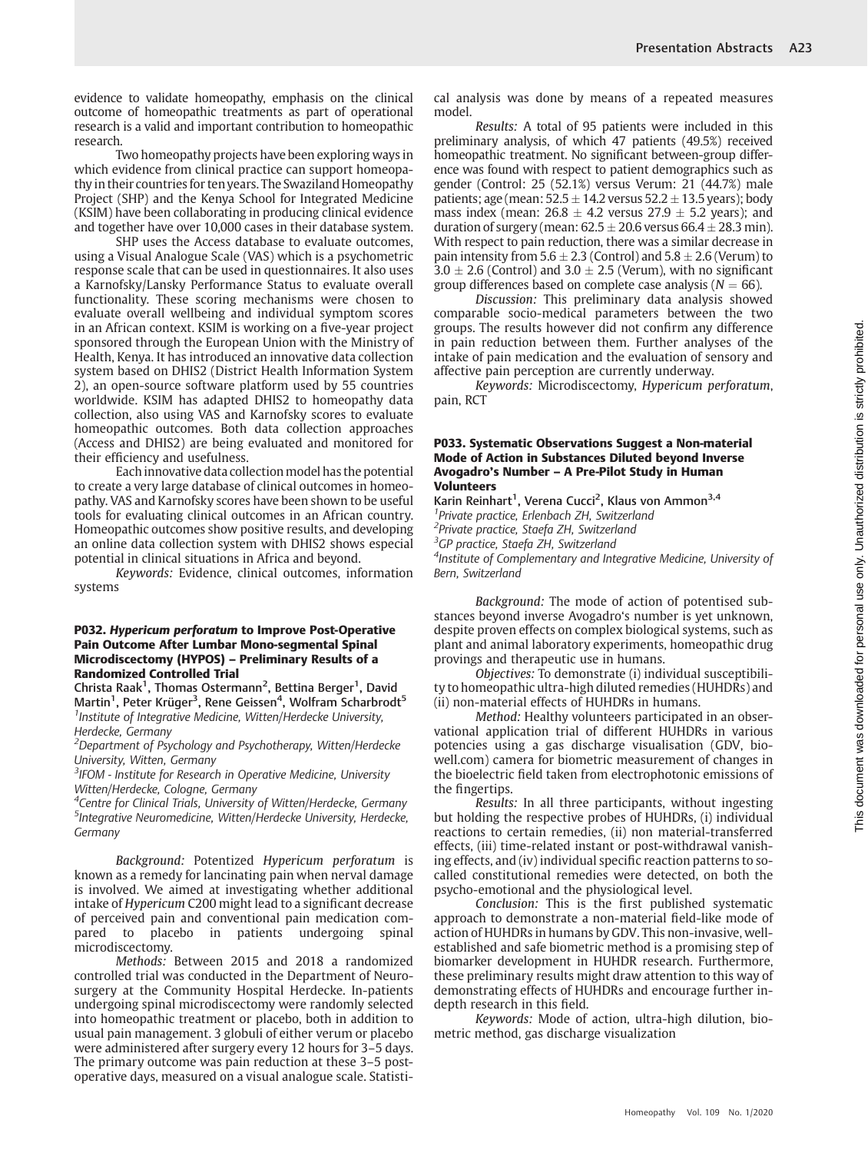evidence to validate homeopathy, emphasis on the clinical outcome of homeopathic treatments as part of operational research is a valid and important contribution to homeopathic research.

Two homeopathy projects have been exploring ways in which evidence from clinical practice can support homeopathy in their countries for ten years. The Swaziland Homeopathy Project (SHP) and the Kenya School for Integrated Medicine (KSIM) have been collaborating in producing clinical evidence and together have over 10,000 cases in their database system.

SHP uses the Access database to evaluate outcomes, using a Visual Analogue Scale (VAS) which is a psychometric response scale that can be used in questionnaires. It also uses a Karnofsky/Lansky Performance Status to evaluate overall functionality. These scoring mechanisms were chosen to evaluate overall wellbeing and individual symptom scores in an African context. KSIM is working on a five-year project sponsored through the European Union with the Ministry of Health, Kenya. It has introduced an innovative data collection system based on DHIS2 (District Health Information System 2), an open-source software platform used by 55 countries worldwide. KSIM has adapted DHIS2 to homeopathy data collection, also using VAS and Karnofsky scores to evaluate homeopathic outcomes. Both data collection approaches (Access and DHIS2) are being evaluated and monitored for their efficiency and usefulness.

Each innovative data collection model has the potential to create a very large database of clinical outcomes in homeopathy. VAS and Karnofsky scores have been shown to be useful tools for evaluating clinical outcomes in an African country. Homeopathic outcomes show positive results, and developing an online data collection system with DHIS2 shows especial potential in clinical situations in Africa and beyond.

Keywords: Evidence, clinical outcomes, information systems

#### P032. Hypericum perforatum to Improve Post-Operative Pain Outcome After Lumbar Mono-segmental Spinal Microdiscectomy (HYPOS) – Preliminary Results of a Randomized Controlled Trial

Christa Raak<sup>1</sup>, Thomas Ostermann<sup>2</sup>, Bettina Berger<sup>1</sup>, David Martin<sup>1</sup>, Peter Krüger<sup>3</sup>, Rene Geissen<sup>4</sup>, Wolfram Scharbrodt<sup>5</sup> <sup>1</sup> Institute of Integrative Medicine, Witten/Herdecke University, Herdecke, Germany

<sup>2</sup>Department of Psychology and Psychotherapy, Witten/Herdecke University, Witten, Germany

<sup>3</sup> IFOM - Institute for Research in Operative Medicine, University Witten/Herdecke, Cologne, Germany

<sup>4</sup>Centre for Clinical Trials, University of Witten/Herdecke, Germany 5 Integrative Neuromedicine, Witten/Herdecke University, Herdecke, Germany

Background: Potentized Hypericum perforatum is known as a remedy for lancinating pain when nerval damage is involved. We aimed at investigating whether additional intake of Hypericum C200 might lead to a significant decrease of perceived pain and conventional pain medication compared to placebo in patients undergoing spinal microdiscectomy.

Methods: Between 2015 and 2018 a randomized controlled trial was conducted in the Department of Neurosurgery at the Community Hospital Herdecke. In-patients undergoing spinal microdiscectomy were randomly selected into homeopathic treatment or placebo, both in addition to usual pain management. 3 globuli of either verum or placebo were administered after surgery every 12 hours for 3–5 days. The primary outcome was pain reduction at these 3–5 postoperative days, measured on a visual analogue scale. Statistical analysis was done by means of a repeated measures model.

Results: A total of 95 patients were included in this preliminary analysis, of which 47 patients (49.5%) received homeopathic treatment. No significant between-group difference was found with respect to patient demographics such as gender (Control: 25 (52.1%) versus Verum: 21 (44.7%) male patients; age (mean:  $52.5 \pm 14.2$  versus  $52.2 \pm 13.5$  years); body mass index (mean:  $26.8 \pm 4.2$  versus  $27.9 \pm 5.2$  years); and duration of surgery (mean:  $62.5 \pm 20.6$  versus  $66.4 \pm 28.3$  min). With respect to pain reduction, there was a similar decrease in pain intensity from  $5.6 \pm 2.3$  (Control) and  $5.8 \pm 2.6$  (Verum) to  $3.0 \pm 2.6$  (Control) and  $3.0 \pm 2.5$  (Verum), with no significant group differences based on complete case analysis ( $N = 66$ ).

Discussion: This preliminary data analysis showed comparable socio-medical parameters between the two groups. The results however did not confirm any difference in pain reduction between them. Further analyses of the intake of pain medication and the evaluation of sensory and affective pain perception are currently underway.

Keywords: Microdiscectomy, Hypericum perforatum, pain, RCT

#### P033. Systematic Observations Suggest a Non-material Mode of Action in Substances Diluted beyond Inverse Avogadro's Number – A Pre-Pilot Study in Human Volunteers

Karin Reinhart<sup>1</sup>, Verena Cucci<sup>2</sup>, Klaus von Ammon<sup>3,4</sup> 1 Private practice, Erlenbach ZH, Switzerland <sup>2</sup>Private practice, Staefa ZH, Switzerland <sup>3</sup>GP practice, Staefa ZH, Switzerland <sup>4</sup>Institute of Complementary and Integrative Medicine, University of Bern, Switzerland

Background: The mode of action of potentised substances beyond inverse Avogadro's number is yet unknown, despite proven effects on complex biological systems, such as plant and animal laboratory experiments, homeopathic drug provings and therapeutic use in humans.

Objectives: To demonstrate (i) individual susceptibility to homeopathic ultra-high diluted remedies (HUHDRs) and (ii) non-material effects of HUHDRs in humans.

Method: Healthy volunteers participated in an observational application trial of different HUHDRs in various potencies using a gas discharge visualisation (GDV, biowell.com) camera for biometric measurement of changes in the bioelectric field taken from electrophotonic emissions of the fingertips.

Results: In all three participants, without ingesting but holding the respective probes of HUHDRs, (i) individual reactions to certain remedies, (ii) non material-transferred effects, (iii) time-related instant or post-withdrawal vanishing effects, and (iv) individual specific reaction patterns to socalled constitutional remedies were detected, on both the psycho-emotional and the physiological level.

Conclusion: This is the first published systematic approach to demonstrate a non-material field-like mode of action of HUHDRs in humans by GDV. This non-invasive, wellestablished and safe biometric method is a promising step of biomarker development in HUHDR research. Furthermore, these preliminary results might draw attention to this way of demonstrating effects of HUHDRs and encourage further indepth research in this field.

Keywords: Mode of action, ultra-high dilution, biometric method, gas discharge visualization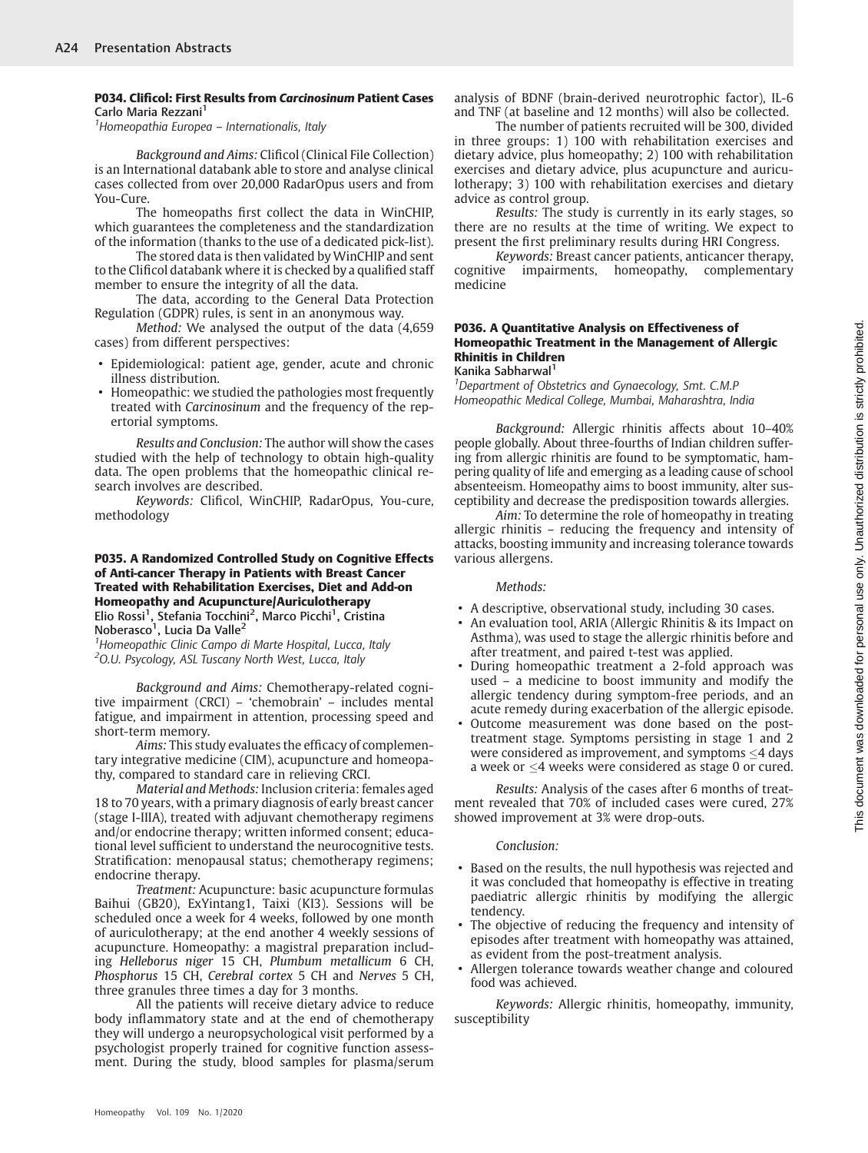#### P034. Clificol: First Results from Carcinosinum Patient Cases Carlo Maria Rezzani<sup>1</sup>

<sup>1</sup> Homeopathia Europea - Internationalis, Italy

Background and Aims: Clificol (Clinical File Collection) is an International databank able to store and analyse clinical cases collected from over 20,000 RadarOpus users and from You-Cure.

The homeopaths first collect the data in WinCHIP, which guarantees the completeness and the standardization of the information (thanks to the use of a dedicated pick-list).

The stored data is then validated by WinCHIP and sent to the Clificol databank where it is checked by a qualified staff member to ensure the integrity of all the data.

The data, according to the General Data Protection Regulation (GDPR) rules, is sent in an anonymous way.

Method: We analysed the output of the data (4,659 cases) from different perspectives:

- Epidemiological: patient age, gender, acute and chronic illness distribution.
- Homeopathic: we studied the pathologies most frequently treated with Carcinosinum and the frequency of the repertorial symptoms.

Results and Conclusion: The author will show the cases studied with the help of technology to obtain high-quality data. The open problems that the homeopathic clinical research involves are described.

Keywords: Clificol, WinCHIP, RadarOpus, You-cure, methodology

# P035. A Randomized Controlled Study on Cognitive Effects of Anti-cancer Therapy in Patients with Breast Cancer Treated with Rehabilitation Exercises, Diet and Add-on Homeopathy and Acupuncture/Auriculotherapy

Elio Rossi<sup>1</sup>, Stefania Tocchini<sup>2</sup>, Marco Picchi<sup>1</sup>, Cristina Noberasco<sup>1</sup>, Lucia Da Valle<sup>2</sup>

<sup>1</sup> Homeopathic Clinic Campo di Marte Hospital, Lucca, Italy <sup>2</sup>O.U. Psycology, ASL Tuscany North West, Lucca, Italy

Background and Aims: Chemotherapy-related cognitive impairment (CRCI) – 'chemobrain' – includes mental fatigue, and impairment in attention, processing speed and short-term memory.

Aims: This study evaluates the efficacy of complementary integrative medicine (CIM), acupuncture and homeopathy, compared to standard care in relieving CRCI.

Material and Methods: Inclusion criteria: females aged 18 to 70 years, with a primary diagnosis of early breast cancer (stage I-IIIA), treated with adjuvant chemotherapy regimens and/or endocrine therapy; written informed consent; educational level sufficient to understand the neurocognitive tests. Stratification: menopausal status; chemotherapy regimens; endocrine therapy.

Treatment: Acupuncture: basic acupuncture formulas Baihui (GB20), ExYintang1, Taixi (KI3). Sessions will be scheduled once a week for 4 weeks, followed by one month of auriculotherapy; at the end another 4 weekly sessions of acupuncture. Homeopathy: a magistral preparation including Helleborus niger 15 CH, Plumbum metallicum 6 CH, Phosphorus 15 CH, Cerebral cortex 5 CH and Nerves 5 CH, three granules three times a day for 3 months.

All the patients will receive dietary advice to reduce body inflammatory state and at the end of chemotherapy they will undergo a neuropsychological visit performed by a psychologist properly trained for cognitive function assessment. During the study, blood samples for plasma/serum analysis of BDNF (brain-derived neurotrophic factor), IL-6 and TNF (at baseline and 12 months) will also be collected.

The number of patients recruited will be 300, divided in three groups: 1) 100 with rehabilitation exercises and dietary advice, plus homeopathy; 2) 100 with rehabilitation exercises and dietary advice, plus acupuncture and auriculotherapy; 3) 100 with rehabilitation exercises and dietary advice as control group.

Results: The study is currently in its early stages, so there are no results at the time of writing. We expect to present the first preliminary results during HRI Congress.

Keywords: Breast cancer patients, anticancer therapy, cognitive impairments, homeopathy, complementary medicine

## P036. A Quantitative Analysis on Effectiveness of Homeopathic Treatment in the Management of Allergic Rhinitis in Children

Kanika Sabharwal<sup>1</sup>

<sup>1</sup>Department of Obstetrics and Gynaecology, Smt. C.M.P Homeopathic Medical College, Mumbai, Maharashtra, India

Background: Allergic rhinitis affects about 10–40% people globally. About three-fourths of Indian children suffering from allergic rhinitis are found to be symptomatic, hampering quality of life and emerging as a leading cause of school absenteeism. Homeopathy aims to boost immunity, alter susceptibility and decrease the predisposition towards allergies.

Aim: To determine the role of homeopathy in treating allergic rhinitis – reducing the frequency and intensity of attacks, boosting immunity and increasing tolerance towards various allergens.

#### Methods:

- A descriptive, observational study, including 30 cases.
- An evaluation tool, ARIA (Allergic Rhinitis & its Impact on Asthma), was used to stage the allergic rhinitis before and after treatment, and paired t-test was applied.
- During homeopathic treatment a 2-fold approach was used – a medicine to boost immunity and modify the allergic tendency during symptom-free periods, and an acute remedy during exacerbation of the allergic episode.
- Outcome measurement was done based on the posttreatment stage. Symptoms persisting in stage 1 and 2 were considered as improvement, and symptoms  $\leq$ 4 days a week or  $\leq$ 4 weeks were considered as stage 0 or cured.

Results: Analysis of the cases after 6 months of treatment revealed that 70% of included cases were cured, 27% showed improvement at 3% were drop-outs.

## Conclusion:

- Based on the results, the null hypothesis was rejected and it was concluded that homeopathy is effective in treating paediatric allergic rhinitis by modifying the allergic tendency.
- The objective of reducing the frequency and intensity of episodes after treatment with homeopathy was attained, as evident from the post-treatment analysis.
- Allergen tolerance towards weather change and coloured food was achieved.

Keywords: Allergic rhinitis, homeopathy, immunity, susceptibility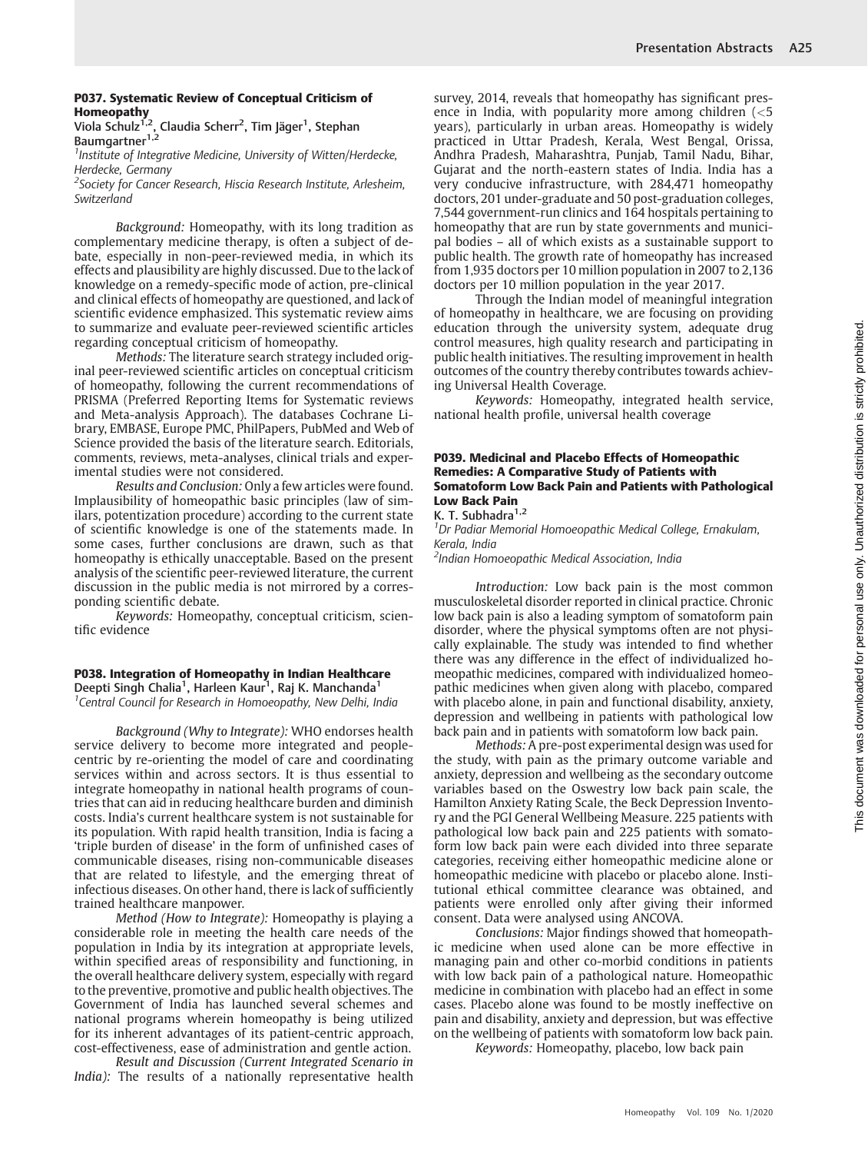# P037. Systematic Review of Conceptual Criticism of Homeopathy

Viola Schulz<sup>1,2</sup>, Claudia Scherr<sup>2</sup>, Tim Jäger<sup>1</sup>, Stephan Baumgartner<sup>1,2</sup>

<sup>1</sup> Institute of Integrative Medicine, University of Witten/Herdecke, Herdecke, Germany

<sup>2</sup>Society for Cancer Research, Hiscia Research Institute, Arlesheim, Switzerland

Background: Homeopathy, with its long tradition as complementary medicine therapy, is often a subject of debate, especially in non-peer-reviewed media, in which its effects and plausibility are highly discussed. Due to the lack of knowledge on a remedy-specific mode of action, pre-clinical and clinical effects of homeopathy are questioned, and lack of scientific evidence emphasized. This systematic review aims to summarize and evaluate peer-reviewed scientific articles regarding conceptual criticism of homeopathy.

Methods: The literature search strategy included original peer-reviewed scientific articles on conceptual criticism of homeopathy, following the current recommendations of PRISMA (Preferred Reporting Items for Systematic reviews and Meta-analysis Approach). The databases Cochrane Library, EMBASE, Europe PMC, PhilPapers, PubMed and Web of Science provided the basis of the literature search. Editorials, comments, reviews, meta-analyses, clinical trials and experimental studies were not considered.

Results and Conclusion: Only a few articles were found. Implausibility of homeopathic basic principles (law of similars, potentization procedure) according to the current state of scientific knowledge is one of the statements made. In some cases, further conclusions are drawn, such as that homeopathy is ethically unacceptable. Based on the present analysis of the scientific peer-reviewed literature, the current discussion in the public media is not mirrored by a corresponding scientific debate.

Keywords: Homeopathy, conceptual criticism, scientific evidence

P038. Integration of Homeopathy in Indian Healthcare Deepti Singh Chalia<sup>1</sup>, Harleen Kaur<sup>1</sup>, Raj K. Manchanda<sup>1</sup> <sup>1</sup> Central Council for Research in Homoeopathy, New Delhi, India

Background (Why to Integrate): WHO endorses health service delivery to become more integrated and peoplecentric by re-orienting the model of care and coordinating services within and across sectors. It is thus essential to integrate homeopathy in national health programs of countries that can aid in reducing healthcare burden and diminish costs. India's current healthcare system is not sustainable for its population. With rapid health transition, India is facing a 'triple burden of disease' in the form of unfinished cases of communicable diseases, rising non-communicable diseases that are related to lifestyle, and the emerging threat of infectious diseases. On other hand, there is lack of sufficiently trained healthcare manpower.

Method (How to Integrate): Homeopathy is playing a considerable role in meeting the health care needs of the population in India by its integration at appropriate levels, within specified areas of responsibility and functioning, in the overall healthcare delivery system, especially with regard to the preventive, promotive and public health objectives. The Government of India has launched several schemes and national programs wherein homeopathy is being utilized for its inherent advantages of its patient-centric approach, cost-effectiveness, ease of administration and gentle action.

Result and Discussion (Current Integrated Scenario in India): The results of a nationally representative health survey, 2014, reveals that homeopathy has significant presence in India, with popularity more among children (<5 years), particularly in urban areas. Homeopathy is widely practiced in Uttar Pradesh, Kerala, West Bengal, Orissa, Andhra Pradesh, Maharashtra, Punjab, Tamil Nadu, Bihar, Gujarat and the north-eastern states of India. India has a very conducive infrastructure, with 284,471 homeopathy doctors, 201 under-graduate and 50 post-graduation colleges, 7,544 government-run clinics and 164 hospitals pertaining to homeopathy that are run by state governments and municipal bodies – all of which exists as a sustainable support to public health. The growth rate of homeopathy has increased from 1,935 doctors per 10 million population in 2007 to 2,136 doctors per 10 million population in the year 2017.

Through the Indian model of meaningful integration of homeopathy in healthcare, we are focusing on providing education through the university system, adequate drug control measures, high quality research and participating in public health initiatives. The resulting improvement in health outcomes of the country thereby contributes towards achieving Universal Health Coverage.

Keywords: Homeopathy, integrated health service, national health profile, universal health coverage

#### P039. Medicinal and Placebo Effects of Homeopathic Remedies: A Comparative Study of Patients with Somatoform Low Back Pain and Patients with Pathological Low Back Pain

K. T. Subhadra $1,2$ 

<sup>1</sup>Dr Padiar Memorial Homoeopathic Medical College, Ernakulam, Kerala, India

<sup>2</sup>Indian Homoeopathic Medical Association, India

Introduction: Low back pain is the most common musculoskeletal disorder reported in clinical practice. Chronic low back pain is also a leading symptom of somatoform pain disorder, where the physical symptoms often are not physically explainable. The study was intended to find whether there was any difference in the effect of individualized homeopathic medicines, compared with individualized homeopathic medicines when given along with placebo, compared with placebo alone, in pain and functional disability, anxiety, depression and wellbeing in patients with pathological low back pain and in patients with somatoform low back pain.

Methods: A pre-post experimental design was used for the study, with pain as the primary outcome variable and anxiety, depression and wellbeing as the secondary outcome variables based on the Oswestry low back pain scale, the Hamilton Anxiety Rating Scale, the Beck Depression Inventory and the PGI General Wellbeing Measure. 225 patients with pathological low back pain and 225 patients with somatoform low back pain were each divided into three separate categories, receiving either homeopathic medicine alone or homeopathic medicine with placebo or placebo alone. Institutional ethical committee clearance was obtained, and patients were enrolled only after giving their informed consent. Data were analysed using ANCOVA.

Conclusions: Major findings showed that homeopathic medicine when used alone can be more effective in managing pain and other co-morbid conditions in patients with low back pain of a pathological nature. Homeopathic medicine in combination with placebo had an effect in some cases. Placebo alone was found to be mostly ineffective on pain and disability, anxiety and depression, but was effective on the wellbeing of patients with somatoform low back pain.

Keywords: Homeopathy, placebo, low back pain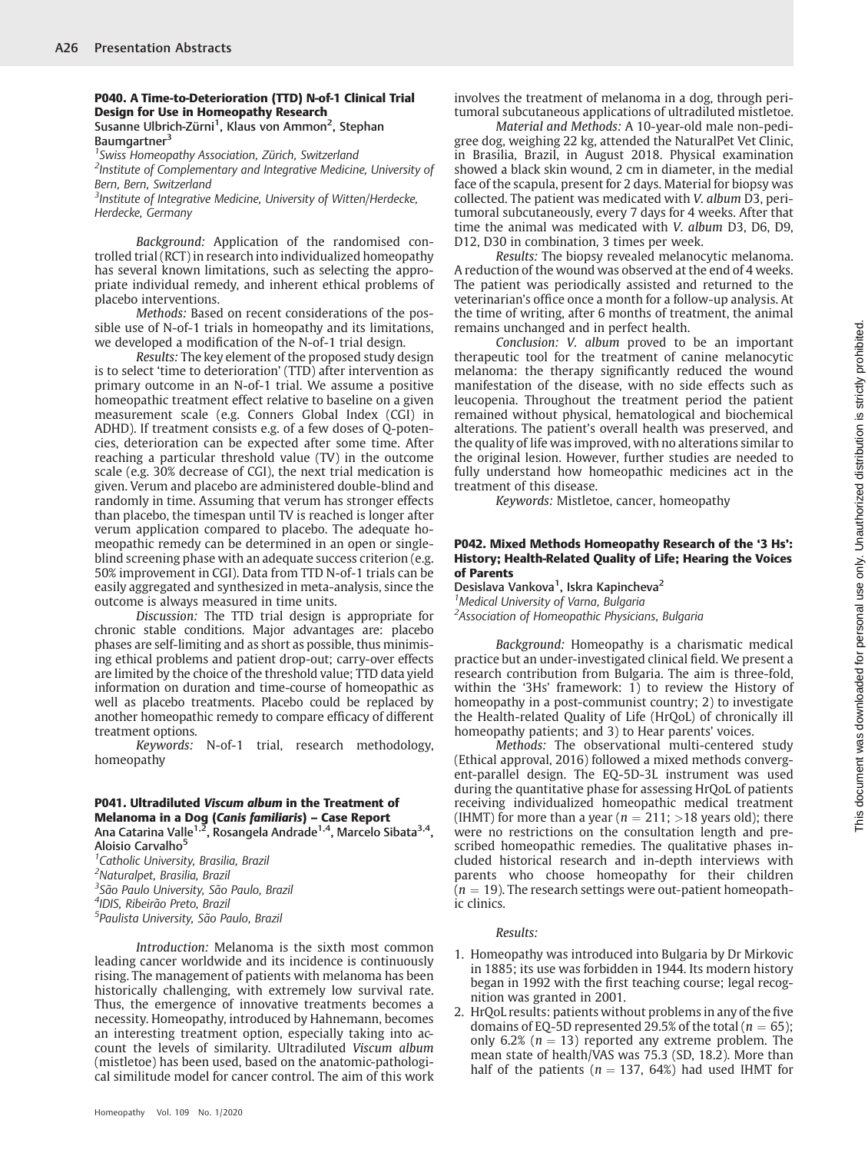#### P040. A Time-to-Deterioration (TTD) N-of-1 Clinical Trial Design for Use in Homeopathy Research Susanne Ulbrich-Zürni<sup>1</sup>, Klaus von Ammon<sup>2</sup>, Stephan

Baumgartner<sup>3</sup>

<sup>1</sup> Swiss Homeopathy Association, Zürich, Switzerland <sup>2</sup> Institute of Complementary and Integrative Medicine, University of Bern, Bern, Switzerland

 $3$ Institute of Integrative Medicine, University of Witten/Herdecke, Herdecke, Germany

Background: Application of the randomised controlled trial (RCT) in research into individualized homeopathy has several known limitations, such as selecting the appropriate individual remedy, and inherent ethical problems of placebo interventions.

Methods: Based on recent considerations of the possible use of N-of-1 trials in homeopathy and its limitations, we developed a modification of the N-of-1 trial design.

Results: The key element of the proposed study design is to select 'time to deterioration' (TTD) after intervention as primary outcome in an N-of-1 trial. We assume a positive homeopathic treatment effect relative to baseline on a given measurement scale (e.g. Conners Global Index (CGI) in ADHD). If treatment consists e.g. of a few doses of Q-potencies, deterioration can be expected after some time. After reaching a particular threshold value (TV) in the outcome scale (e.g. 30% decrease of CGI), the next trial medication is given. Verum and placebo are administered double-blind and randomly in time. Assuming that verum has stronger effects than placebo, the timespan until TV is reached is longer after verum application compared to placebo. The adequate homeopathic remedy can be determined in an open or singleblind screening phase with an adequate success criterion (e.g. 50% improvement in CGI). Data from TTD N-of-1 trials can be easily aggregated and synthesized in meta-analysis, since the outcome is always measured in time units.

Discussion: The TTD trial design is appropriate for chronic stable conditions. Major advantages are: placebo phases are self-limiting and as short as possible, thus minimising ethical problems and patient drop-out; carry-over effects are limited by the choice of the threshold value; TTD data yield information on duration and time-course of homeopathic as well as placebo treatments. Placebo could be replaced by another homeopathic remedy to compare efficacy of different treatment options.

Keywords: N-of-1 trial, research methodology, homeopathy

# P041. Ultradiluted Viscum album in the Treatment of Melanoma in a Dog (Canis familiaris) – Case Report

Ana Catarina Valle<sup>1,2</sup>, Rosangela Andrade<sup>1,4</sup>, Marcelo Sibata<sup>3,4</sup>, Aloisio Carvalho<sup>5</sup>

<sup>1</sup> Catholic University, Brasilia, Brazil 2 Naturalpet, Brasilia, Brazil 3 São Paulo University, São Paulo, Brazil 4 IDIS, Ribeirão Preto, Brazil <sup>5</sup>Paulista University, São Paulo, Brazil

Introduction: Melanoma is the sixth most common leading cancer worldwide and its incidence is continuously rising. The management of patients with melanoma has been historically challenging, with extremely low survival rate. Thus, the emergence of innovative treatments becomes a necessity. Homeopathy, introduced by Hahnemann, becomes an interesting treatment option, especially taking into account the levels of similarity. Ultradiluted Viscum album (mistletoe) has been used, based on the anatomic-pathological similitude model for cancer control. The aim of this work

Material and Methods: A 10-year-old male non-pedigree dog, weighing 22 kg, attended the NaturalPet Vet Clinic, in Brasilia, Brazil, in August 2018. Physical examination showed a black skin wound, 2 cm in diameter, in the medial face of the scapula, present for 2 days. Material for biopsy was collected. The patient was medicated with V. album D3, peritumoral subcutaneously, every 7 days for 4 weeks. After that time the animal was medicated with V. album D3, D6, D9, D12, D30 in combination, 3 times per week.

Results: The biopsy revealed melanocytic melanoma. A reduction of the wound was observed at the end of 4 weeks. The patient was periodically assisted and returned to the veterinarian's office once a month for a follow-up analysis. At the time of writing, after 6 months of treatment, the animal remains unchanged and in perfect health.

Conclusion: V. album proved to be an important therapeutic tool for the treatment of canine melanocytic melanoma: the therapy significantly reduced the wound manifestation of the disease, with no side effects such as leucopenia. Throughout the treatment period the patient remained without physical, hematological and biochemical alterations. The patient's overall health was preserved, and the quality of life was improved, with no alterations similar to the original lesion. However, further studies are needed to fully understand how homeopathic medicines act in the treatment of this disease.

Keywords: Mistletoe, cancer, homeopathy

#### P042. Mixed Methods Homeopathy Research of the '3 Hs': History; Health-Related Quality of Life; Hearing the Voices of Parents

Desislava Vankova<sup>1</sup>, Iskra Kapincheva<sup>2</sup> <sup>1</sup> Medical University of Varna, Bulgaria <sup>2</sup> Association of Homeopathic Physicians, Bulgaria

Background: Homeopathy is a charismatic medical practice but an under-investigated clinical field. We present a research contribution from Bulgaria. The aim is three-fold, within the '3Hs' framework:  $1)$  to review the History of homeopathy in a post-communist country; 2) to investigate the Health-related Quality of Life (HrQoL) of chronically ill homeopathy patients; and 3) to Hear parents' voices.

Methods: The observational multi-centered study (Ethical approval, 2016) followed a mixed methods convergent-parallel design. The EQ-5D-3L instrument was used during the quantitative phase for assessing HrQoL of patients receiving individualized homeopathic medical treatment (IHMT) for more than a year ( $n = 211$ ; >18 years old); there were no restrictions on the consultation length and prescribed homeopathic remedies. The qualitative phases included historical research and in-depth interviews with parents who choose homeopathy for their children  $(n = 19)$ . The research settings were out-patient homeopathic clinics.

## Results:

- 1. Homeopathy was introduced into Bulgaria by Dr Mirkovic in 1885; its use was forbidden in 1944. Its modern history began in 1992 with the first teaching course; legal recognition was granted in 2001.
- 2. HrQoL results: patients without problems in any of the five domains of EQ-5D represented 29.5% of the total ( $n = 65$ ); only 6.2% ( $n = 13$ ) reported any extreme problem. The mean state of health/VAS was 75.3 (SD, 18.2). More than half of the patients ( $n = 137, 64\%)$  had used IHMT for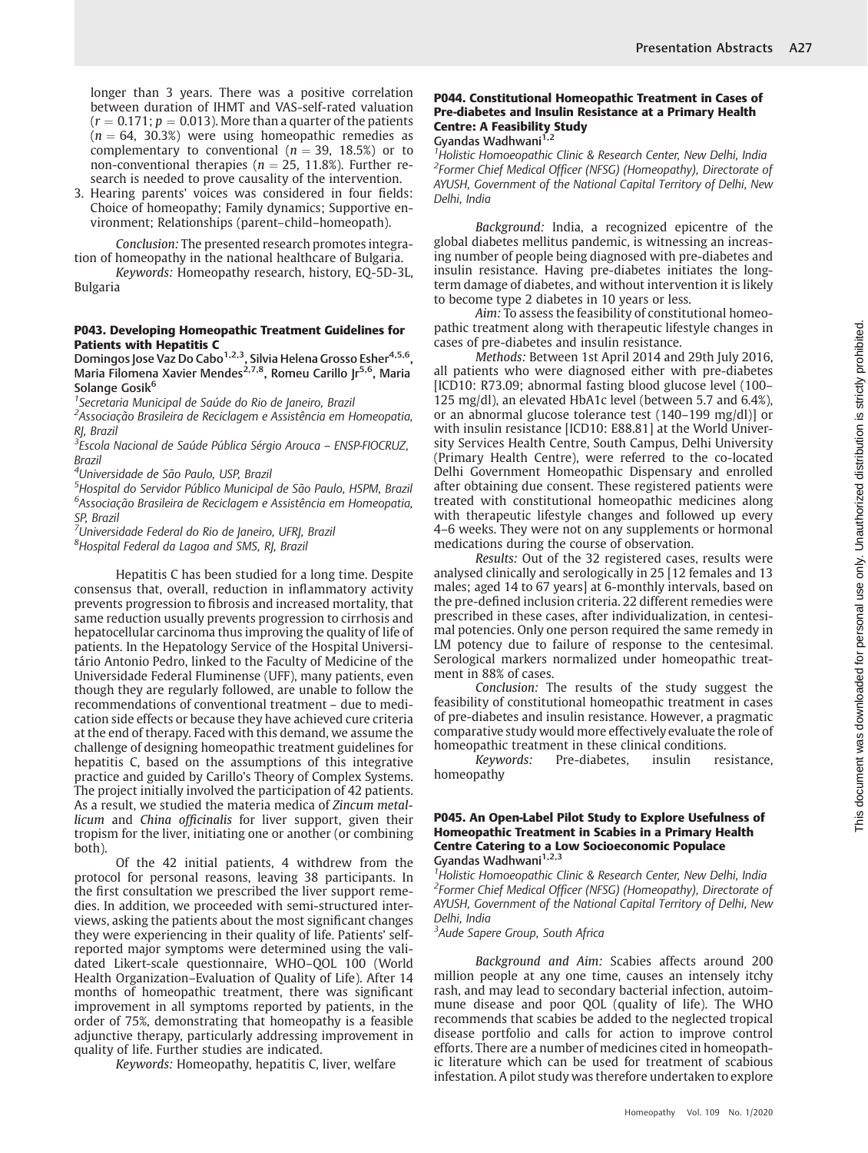longer than 3 years. There was a positive correlation between duration of IHMT and VAS-self-rated valuation  $(r = 0.171; p = 0.013)$ . More than a quarter of the patients  $(n = 64, 30.3%)$  were using homeopathic remedies as complementary to conventional ( $n = 39, 18.5\%$ ) or to non-conventional therapies ( $n = 25$ , 11.8%). Further research is needed to prove causality of the intervention.

3. Hearing parents' voices was considered in four fields: Choice of homeopathy; Family dynamics; Supportive environment; Relationships (parent–child–homeopath).

Conclusion: The presented research promotes integration of homeopathy in the national healthcare of Bulgaria. Keywords: Homeopathy research, history, EQ-5D-3L,

Bulgaria

#### P043. Developing Homeopathic Treatment Guidelines for Patients with Hepatitis C

Domingos Jose Vaz Do Cabo<sup>1,2,3</sup>, Silvia Helena Grosso Esher<sup>4,5,6</sup>, Maria Filomena Xavier Mendes<sup>2,7,8</sup>, Romeu Carillo Jr<sup>5,6</sup>, Maria Solange Gosik<sup>6</sup>

<sup>1</sup> Secretaria Municipal de Saúde do Rio de Janeiro, Brazil

<sup>2</sup>Associação Brasileira de Reciclagem e Assistência em Homeopatia, RJ, Brazil

3 Escola Nacional de Saúde Pública Sérgio Arouca – ENSP-FIOCRUZ, Brazil

4 Universidade de São Paulo, USP, Brazil

<sup>5</sup>Hospital do Servidor Público Municipal de São Paulo, HSPM, Brazil 6 Associação Brasileira de Reciclagem e Assistência em Homeopatia, SP, Brazil

 $^7$ Universidade Federal do Rio de Janeiro, UFRJ, Brazil

<sup>8</sup>Hospital Federal da Lagoa and SMS, RJ, Brazil

Hepatitis C has been studied for a long time. Despite consensus that, overall, reduction in inflammatory activity prevents progression to fibrosis and increased mortality, that same reduction usually prevents progression to cirrhosis and hepatocellular carcinoma thus improving the quality of life of patients. In the Hepatology Service of the Hospital Universitário Antonio Pedro, linked to the Faculty of Medicine of the Universidade Federal Fluminense (UFF), many patients, even though they are regularly followed, are unable to follow the recommendations of conventional treatment – due to medication side effects or because they have achieved cure criteria at the end of therapy. Faced with this demand, we assume the challenge of designing homeopathic treatment guidelines for hepatitis C, based on the assumptions of this integrative practice and guided by Carillo's Theory of Complex Systems. The project initially involved the participation of 42 patients. As a result, we studied the materia medica of Zincum metallicum and China officinalis for liver support, given their tropism for the liver, initiating one or another (or combining both).

Of the 42 initial patients, 4 withdrew from the protocol for personal reasons, leaving 38 participants. In the first consultation we prescribed the liver support remedies. In addition, we proceeded with semi-structured interviews, asking the patients about the most significant changes they were experiencing in their quality of life. Patients' selfreported major symptoms were determined using the validated Likert-scale questionnaire, WHO–QOL 100 (World Health Organization–Evaluation of Quality of Life). After 14 months of homeopathic treatment, there was significant improvement in all symptoms reported by patients, in the order of 75%, demonstrating that homeopathy is a feasible adjunctive therapy, particularly addressing improvement in quality of life. Further studies are indicated.

Keywords: Homeopathy, hepatitis C, liver, welfare

# P044. Constitutional Homeopathic Treatment in Cases of Pre-diabetes and Insulin Resistance at a Primary Health Centre: A Feasibility Study

Gyandas Wadhwani<sup>1,2</sup>

<sup>1</sup> Holistic Homoeopathic Clinic & Research Center, New Delhi, India <sup>2</sup>Former Chief Medical Officer (NFSG) (Homeopathy), Directorate of AYUSH, Government of the National Capital Territory of Delhi, New Delhi, India

Background: India, a recognized epicentre of the global diabetes mellitus pandemic, is witnessing an increasing number of people being diagnosed with pre-diabetes and insulin resistance. Having pre-diabetes initiates the longterm damage of diabetes, and without intervention it is likely to become type 2 diabetes in 10 years or less.

Aim: To assess the feasibility of constitutional homeopathic treatment along with therapeutic lifestyle changes in cases of pre-diabetes and insulin resistance.

Methods: Between 1st April 2014 and 29th July 2016, all patients who were diagnosed either with pre-diabetes [ICD10: R73.09; abnormal fasting blood glucose level (100– 125 mg/dl), an elevated HbA1c level (between 5.7 and 6.4%), or an abnormal glucose tolerance test (140–199 mg/dl)] or with insulin resistance [ICD10: E88.81] at the World University Services Health Centre, South Campus, Delhi University (Primary Health Centre), were referred to the co-located Delhi Government Homeopathic Dispensary and enrolled after obtaining due consent. These registered patients were treated with constitutional homeopathic medicines along with therapeutic lifestyle changes and followed up every 4–6 weeks. They were not on any supplements or hormonal medications during the course of observation.

Results: Out of the 32 registered cases, results were analysed clinically and serologically in 25 [12 females and 13 males; aged 14 to 67 years] at 6-monthly intervals, based on the pre-defined inclusion criteria. 22 different remedies were prescribed in these cases, after individualization, in centesimal potencies. Only one person required the same remedy in LM potency due to failure of response to the centesimal. Serological markers normalized under homeopathic treatment in 88% of cases.

Conclusion: The results of the study suggest the feasibility of constitutional homeopathic treatment in cases of pre-diabetes and insulin resistance. However, a pragmatic comparative study would more effectively evaluate the role of homeopathic treatment in these clinical conditions.

Keywords: Pre-diabetes, insulin resistance, homeopathy

# P045. An Open-Label Pilot Study to Explore Usefulness of Homeopathic Treatment in Scabies in a Primary Health **Centre Catering to a Low Socioeconomic Populace**<br>Gyandas Wadhwani<sup>1,2,3</sup>

<sup>1</sup> Holistic Homoeopathic Clinic & Research Center, New Delhi, India <sup>2</sup>Former Chief Medical Officer (NFSG) (Homeopathy), Directorate of AYUSH, Government of the National Capital Territory of Delhi, New Delhi, India

<sup>3</sup>Aude Sapere Group, South Africa

Background and Aim: Scabies affects around 200 million people at any one time, causes an intensely itchy rash, and may lead to secondary bacterial infection, autoimmune disease and poor QOL (quality of life). The WHO recommends that scabies be added to the neglected tropical disease portfolio and calls for action to improve control efforts. There are a number of medicines cited in homeopathic literature which can be used for treatment of scabious infestation. A pilot study was therefore undertaken to explore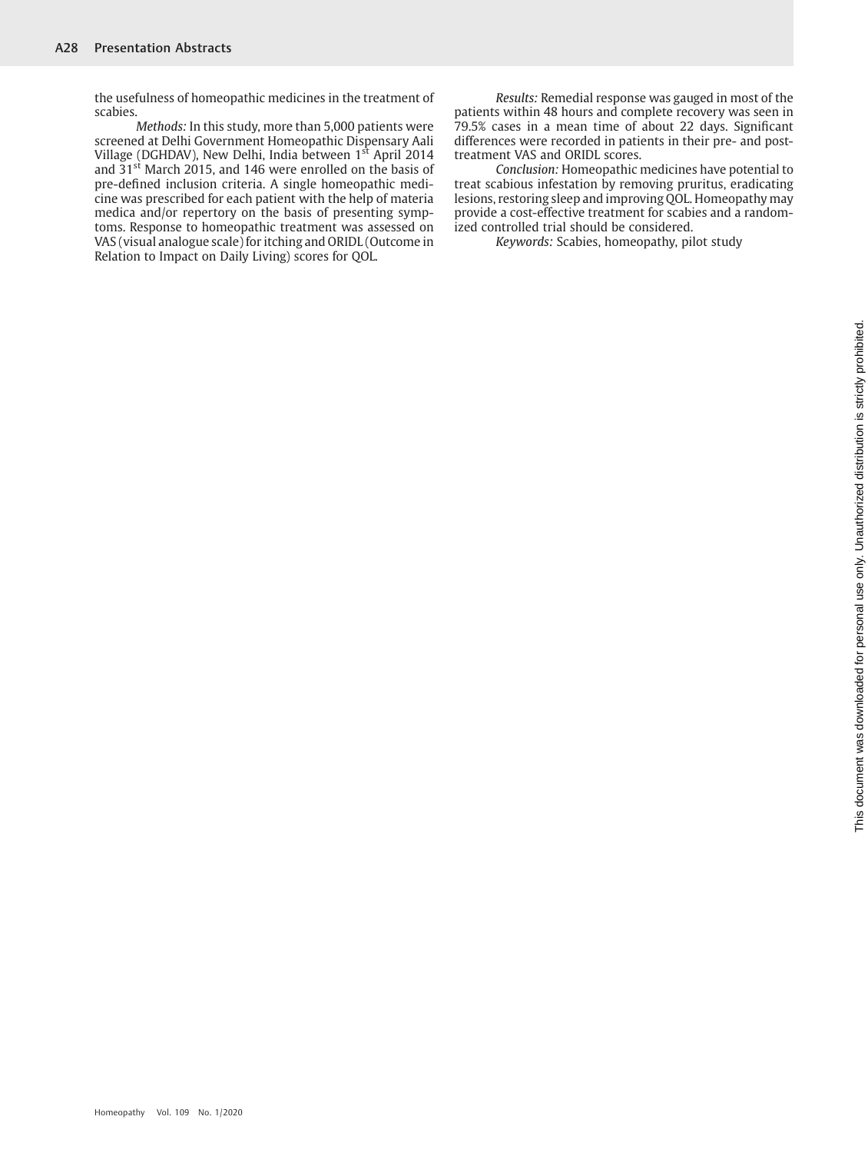the usefulness of homeopathic medicines in the treatment of scabies.

Methods: In this study, more than 5,000 patients were screened at Delhi Government Homeopathic Dispensary Aali Village (DGHDAV), New Delhi, India between 1<sup>st</sup> April 2014 and 31<sup>st</sup> March 2015, and 146 were enrolled on the basis of pre-defined inclusion criteria. A single homeopathic medicine was prescribed for each patient with the help of materia medica and/or repertory on the basis of presenting symptoms. Response to homeopathic treatment was assessed on VAS (visual analogue scale) for itching and ORIDL (Outcome in Relation to Impact on Daily Living) scores for QOL.

Results: Remedial response was gauged in most of the patients within 48 hours and complete recovery was seen in 79.5% cases in a mean time of about 22 days. Significant differences were recorded in patients in their pre- and posttreatment VAS and ORIDL scores.

Conclusion: Homeopathic medicines have potential to treat scabious infestation by removing pruritus, eradicating lesions, restoring sleep and improving QOL. Homeopathy may provide a cost-effective treatment for scabies and a randomized controlled trial should be considered.

Keywords: Scabies, homeopathy, pilot study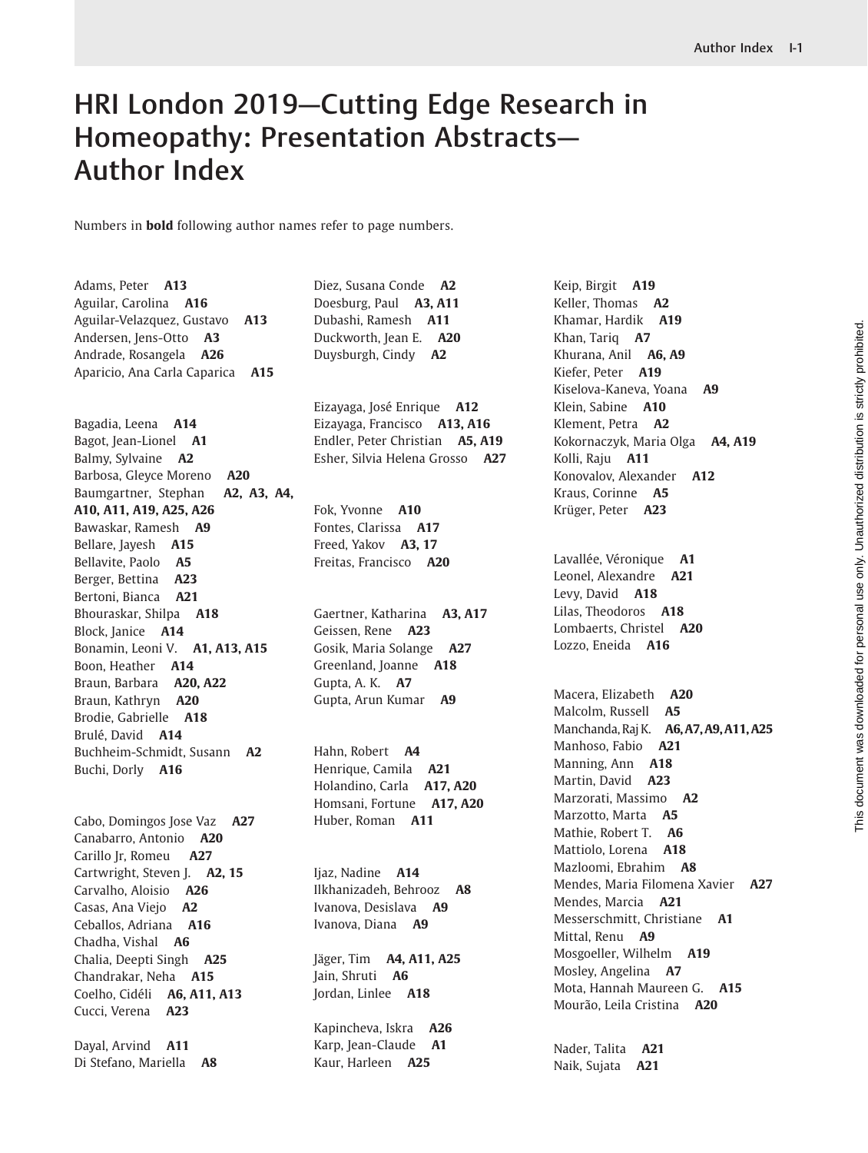# HRI London 2019—Cutting Edge Research in Homeopathy: Presentation Abstracts— Author Index

Numbers in bold following author names refer to page numbers.

Adams, Peter A13 Aguilar, Carolina A16 Aguilar-Velazquez, Gustavo A13 Andersen, Jens-Otto A3 Andrade, Rosangela A26 Aparicio, Ana Carla Caparica A15

Bagadia, Leena A14 Bagot, Jean-Lionel A1 Balmy, Sylvaine A2 Barbosa, Gleyce Moreno A20 Baumgartner, Stephan A2, A3, A4, A10, A11, A19, A25, A26 Bawaskar, Ramesh A9 Bellare, Jayesh A15 Bellavite, Paolo A5 Berger, Bettina A23 Bertoni, Bianca A21 Bhouraskar, Shilpa A18 Block, Janice A14 Bonamin, Leoni V. **A1, A13, A15** Boon, Heather A14 Braun, Barbara A20, A22 Braun, Kathryn A20 Brodie, Gabrielle A18 Brulé, David A14 Buchheim-Schmidt, Susann A2 Buchi, Dorly A16

Cabo, Domingos Jose Vaz A27 Canabarro, Antonio A20 Carillo Jr, Romeu A27 Cartwright, Steven J. A2, 15 Carvalho, Aloisio A26 Casas, Ana Viejo A2 Ceballos, Adriana A16 Chadha, Vishal A6 Chalia, Deepti Singh A25 Chandrakar, Neha A15 Coelho, Cidéli A6, A11, A13 Cucci, Verena A23 Dayal, Arvind A11

Di Stefano, Mariella A8

Diez, Susana Conde A2 Doesburg, Paul A3, A11 Dubashi, Ramesh A11 Duckworth, Jean E. A20 Duysburgh, Cindy A2

Eizayaga, José Enrique A12 Eizayaga, Francisco A13, A16 Endler, Peter Christian A5, A19 Esher, Silvia Helena Grosso A27

Fok, Yvonne A10 Fontes, Clarissa A17 Freed, Yakov A3, 17 Freitas, Francisco A20

Gaertner, Katharina A3, A17 Geissen, Rene A23 Gosik, Maria Solange A27 Greenland, Joanne A18 Gupta, A. K. A7 Gupta, Arun Kumar A9

Hahn, Robert A4 Henrique, Camila A21 Holandino, Carla A17, A20 Homsani, Fortune A17, A20 Huber, Roman A11

Ijaz, Nadine A14 Ilkhanizadeh, Behrooz A8 Ivanova, Desislava A9 Ivanova, Diana A9

Jäger, Tim **A4, A11, A25** Jain, Shruti A6 Jordan, Linlee A18

Kapincheva, Iskra A26 Karp, Jean-Claude A1 Kaur, Harleen A25

Keip, Birgit A19 Keller, Thomas A2 Khamar, Hardik A19 Khan, Tariq A7 Khurana, Anil A6, A9 Kiefer, Peter A19 Kiselova-Kaneva, Yoana A9 Klein, Sabine A10 Klement, Petra A2 Kokornaczyk, Maria Olga A4, A19 Kolli, Raju A11 Konovalov, Alexander A12 Kraus, Corinne A5 Krüger, Peter A23

Lavallée, Véronique A1 Leonel, Alexandre A21 Levy, David A18 Lilas, Theodoros A18 Lombaerts, Christel A20 Lozzo, Eneida A16

Macera, Elizabeth A20 Malcolm, Russell A5 Manchanda, Raj K. A6, A7, A9, A11, A25 Manhoso, Fabio A21 Manning, Ann A18 Martin, David A23 Marzorati, Massimo A2 Marzotto, Marta A5 Mathie, Robert T. A6 Mattiolo, Lorena A18 Mazloomi, Ebrahim A8 Mendes, Maria Filomena Xavier A27 Mendes, Marcia A21 Messerschmitt, Christiane A1 Mittal, Renu **A9** Mosgoeller, Wilhelm A19 Mosley, Angelina **A7** Mota, Hannah Maureen G. A15 Mourão, Leila Cristina A20

Nader, Talita A21 Naik, Sujata A21